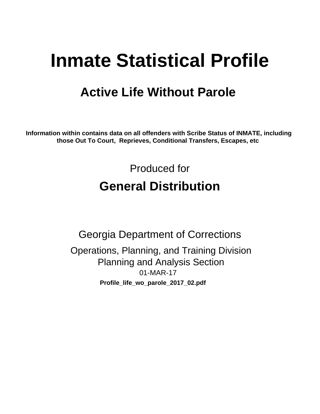# **Inmate Statistical Profile**

## **Active Life Without Parole**

Information within contains data on all offenders with Scribe Status of INMATE, including those Out To Court, Reprieves, Conditional Transfers, Escapes, etc

> Produced for **General Distribution**

**Georgia Department of Corrections** Operations, Planning, and Training Division **Planning and Analysis Section** 01-MAR-17 Profile\_life\_wo\_parole\_2017\_02.pdf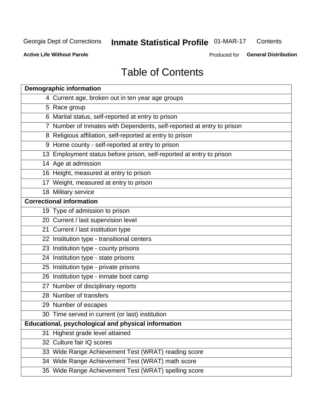#### Inmate Statistical Profile 01-MAR-17 Contents

**Active Life Without Parole** 

Produced for General Distribution

## **Table of Contents**

|    | <b>Demographic information</b>                                        |
|----|-----------------------------------------------------------------------|
|    | 4 Current age, broken out in ten year age groups                      |
|    | 5 Race group                                                          |
|    | 6 Marital status, self-reported at entry to prison                    |
|    | 7 Number of Inmates with Dependents, self-reported at entry to prison |
|    | 8 Religious affiliation, self-reported at entry to prison             |
|    | 9 Home county - self-reported at entry to prison                      |
|    | 13 Employment status before prison, self-reported at entry to prison  |
|    | 14 Age at admission                                                   |
|    | 16 Height, measured at entry to prison                                |
|    | 17 Weight, measured at entry to prison                                |
|    | 18 Military service                                                   |
|    | <b>Correctional information</b>                                       |
|    | 19 Type of admission to prison                                        |
|    | 20 Current / last supervision level                                   |
|    | 21 Current / last institution type                                    |
|    | 22 Institution type - transitional centers                            |
|    | 23 Institution type - county prisons                                  |
|    | 24 Institution type - state prisons                                   |
|    | 25 Institution type - private prisons                                 |
|    | 26 Institution type - inmate boot camp                                |
|    | 27 Number of disciplinary reports                                     |
|    | 28 Number of transfers                                                |
|    | 29 Number of escapes                                                  |
|    | 30 Time served in current (or last) institution                       |
|    | Educational, psychological and physical information                   |
| 31 | Highest grade level attained                                          |
|    | 32 Culture fair IQ scores                                             |
|    | 33 Wide Range Achievement Test (WRAT) reading score                   |
|    | 34 Wide Range Achievement Test (WRAT) math score                      |
|    | 35 Wide Range Achievement Test (WRAT) spelling score                  |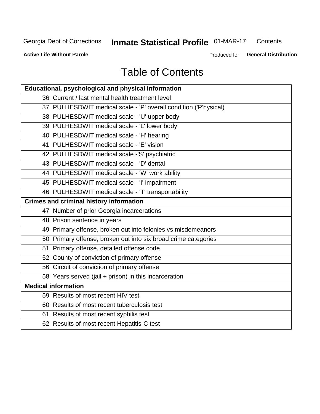## Inmate Statistical Profile 01-MAR-17

Contents

**Active Life Without Parole** 

Produced for General Distribution

## **Table of Contents**

| Educational, psychological and physical information              |
|------------------------------------------------------------------|
| 36 Current / last mental health treatment level                  |
| 37 PULHESDWIT medical scale - 'P' overall condition ('P'hysical) |
| 38 PULHESDWIT medical scale - 'U' upper body                     |
| 39 PULHESDWIT medical scale - 'L' lower body                     |
| 40 PULHESDWIT medical scale - 'H' hearing                        |
| 41 PULHESDWIT medical scale - 'E' vision                         |
| 42 PULHESDWIT medical scale -'S' psychiatric                     |
| 43 PULHESDWIT medical scale - 'D' dental                         |
| 44 PULHESDWIT medical scale - 'W' work ability                   |
| 45 PULHESDWIT medical scale - 'I' impairment                     |
| 46 PULHESDWIT medical scale - 'T' transportability               |
| <b>Crimes and criminal history information</b>                   |
| 47 Number of prior Georgia incarcerations                        |
| 48 Prison sentence in years                                      |
| 49 Primary offense, broken out into felonies vs misdemeanors     |
| 50 Primary offense, broken out into six broad crime categories   |
| 51 Primary offense, detailed offense code                        |
| 52 County of conviction of primary offense                       |
| 56 Circuit of conviction of primary offense                      |
| 58 Years served (jail + prison) in this incarceration            |
| <b>Medical information</b>                                       |
| 59 Results of most recent HIV test                               |
| 60 Results of most recent tuberculosis test                      |
| 61 Results of most recent syphilis test                          |
| 62 Results of most recent Hepatitis-C test                       |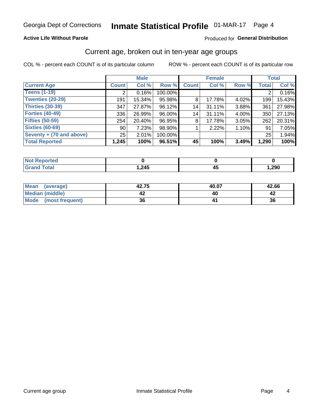#### **Active Life Without Parole**

#### Produced for General Distribution

### Current age, broken out in ten-year age groups

COL % - percent each COUNT is of its particular column

|                          | <b>Male</b>  |        |         |              | <b>Female</b> |       |              | <b>Total</b> |
|--------------------------|--------------|--------|---------|--------------|---------------|-------|--------------|--------------|
| <b>Current Age</b>       | <b>Count</b> | Col %  | Row %   | <b>Count</b> | Col %         | Row % | <b>Total</b> | Col %        |
| <b>Teens (1-19)</b>      | ◠            | 0.16%  | 100.00% |              |               |       | 2            | 0.16%        |
| <b>Twenties (20-29)</b>  | 191          | 15.34% | 95.98%  | 8            | 17.78%        | 4.02% | 199          | 15.43%       |
| Thirties (30-39)         | 347          | 27.87% | 96.12%  | 14           | 31.11%        | 3.88% | 361          | 27.98%       |
| <b>Forties (40-49)</b>   | 336          | 26.99% | 96.00%  | 14           | 31.11%        | 4.00% | 350          | 27.13%       |
| <b>Fifties (50-59)</b>   | 254          | 20.40% | 96.95%  | 8            | 17.78%        | 3.05% | 262          | 20.31%       |
| <b>Sixties (60-69)</b>   | 90           | 7.23%  | 98.90%  |              | 2.22%         | 1.10% | 91           | 7.05%        |
| Seventy + (70 and above) | 25           | 2.01%  | 100.00% |              |               |       | 25           | 1.94%        |
| <b>Total Reported</b>    | 1,245        | 100%   | 96.51%  | 45           | 100%          | 3.49% | 1,290        | 100%         |

| المترات المتراكب |      |      |
|------------------|------|------|
| $C = 1$          | ,245 | ,290 |

| Mean<br>(average)    | 42.75 | 40.07 | 42.66 |
|----------------------|-------|-------|-------|
| Median (middle)      |       |       |       |
| Mode (most frequent) | 36    |       | 36    |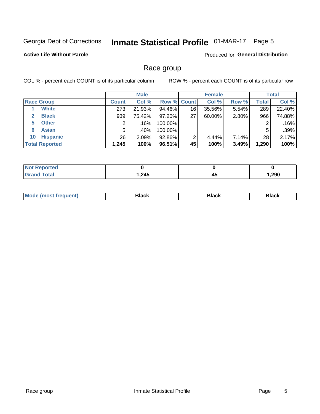## Inmate Statistical Profile 01-MAR-17 Page 5

#### **Active Life Without Parole**

Produced for General Distribution

### Race group

COL % - percent each COUNT is of its particular column

|                              | <b>Male</b>  |        |                    | <b>Female</b> |        |       | <b>Total</b> |        |
|------------------------------|--------------|--------|--------------------|---------------|--------|-------|--------------|--------|
| <b>Race Group</b>            | <b>Count</b> | Col %  | <b>Row % Count</b> |               | Col %  | Row % | <b>Total</b> | Col %  |
| <b>White</b>                 | 273          | 21.93% | 94.46%             | 16            | 35.56% | 5.54% | 289          | 22.40% |
| <b>Black</b><br>$\mathbf{2}$ | 939          | 75.42% | 97.20%             | 27            | 60.00% | 2.80% | 966          | 74.88% |
| <b>Other</b><br>5.           |              | .16%   | 100.00%            |               |        |       | 2            | .16%   |
| <b>Asian</b><br>6            | 5            | .40% ! | 100.00%            |               |        |       | 5            | .39%   |
| <b>Hispanic</b><br>10        | 26           | 2.09%  | 92.86%             | 2             | 4.44%  | 7.14% | 28           | 2.17%  |
| <b>Total Reported</b>        | 1,245        | 100%   | 96.51%             | 45            | 100%   | 3.49% | 1,290        | 100%   |

| rted         |      |    |      |
|--------------|------|----|------|
| <b>Total</b> | ,245 | 4. | ,290 |

| –•••• |  | M |  |  |  |
|-------|--|---|--|--|--|
|-------|--|---|--|--|--|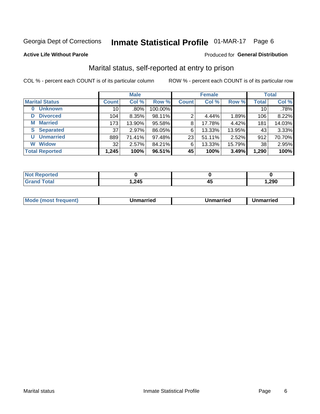## Inmate Statistical Profile 01-MAR-17 Page 6

#### **Active Life Without Parole**

#### Produced for General Distribution

### Marital status, self-reported at entry to prison

COL % - percent each COUNT is of its particular column

|                            | <b>Male</b>  |         | <b>Female</b> |              |        | <b>Total</b> |                 |        |
|----------------------------|--------------|---------|---------------|--------------|--------|--------------|-----------------|--------|
| <b>Marital Status</b>      | <b>Count</b> | Col %   | Row %         | <b>Count</b> | Col %  | Row %        | <b>Total</b>    | Col %  |
| <b>Unknown</b><br>$\bf{0}$ | 10           | $.80\%$ | 100.00%       |              |        |              | 10 <sub>1</sub> | .78%   |
| <b>Divorced</b><br>D       | 104          | 8.35%   | 98.11%        | 2            | 4.44%  | 1.89%        | 106             | 8.22%  |
| <b>Married</b><br>М        | 173          | 13.90%  | 95.58%        | 8            | 17.78% | 4.42%        | 181             | 14.03% |
| <b>Separated</b><br>S.     | 37           | 2.97%   | 86.05%        | 6            | 13.33% | 13.95%       | 43              | 3.33%  |
| <b>Unmarried</b><br>U      | 889          | 71.41%  | 97.48%        | 23           | 51.11% | 2.52%        | 912             | 70.70% |
| <b>Widow</b><br>W          | 32           | 2.57%   | 84.21%        | 6            | 13.33% | 15.79%       | 38              | 2.95%  |
| <b>Total Reported</b>      | 1,245        | 100%    | 96.51%        | 45           | 100%   | 3.49%        | 1,290           | 100%   |

| prted<br>NOT REDO |       |       |
|-------------------|-------|-------|
| <b>Total</b>      | l,245 | .290, |

|  | M | . | Unmarried | າmarried<br>_____ |
|--|---|---|-----------|-------------------|
|--|---|---|-----------|-------------------|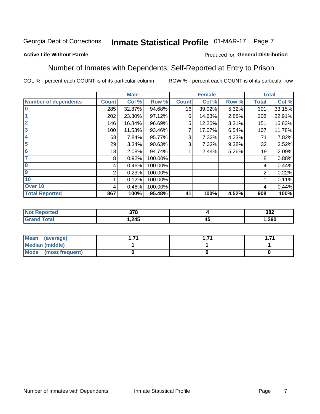## Inmate Statistical Profile 01-MAR-17 Page 7

#### **Active Life Without Parole**

#### Produced for General Distribution

### Number of Inmates with Dependents, Self-Reported at Entry to Prison

COL % - percent each COUNT is of its particular column

|                             |              | <b>Male</b> |         |              | <b>Female</b> |       |              | <b>Total</b> |
|-----------------------------|--------------|-------------|---------|--------------|---------------|-------|--------------|--------------|
| <b>Number of dependents</b> | <b>Count</b> | Col %       | Row %   | <b>Count</b> | Col %         | Row % | <b>Total</b> | Col %        |
| $\bf{0}$                    | 285          | 32.87%      | 94.68%  | 16           | 39.02%        | 5.32% | 301          | 33.15%       |
|                             | 202          | 23.30%      | 97.12%  | 6            | 14.63%        | 2.88% | 208          | 22.91%       |
| $\overline{2}$              | 146          | 16.84%      | 96.69%  | 5            | 12.20%        | 3.31% | 151          | 16.63%       |
| 3                           | 100          | 11.53%      | 93.46%  |              | 17.07%        | 6.54% | 107          | 11.78%       |
| 4                           | 68           | 7.84%       | 95.77%  | 3            | 7.32%         | 4.23% | 71           | 7.82%        |
| 5                           | 29           | 3.34%       | 90.63%  | 3            | 7.32%         | 9.38% | 32           | 3.52%        |
| $6\phantom{1}6$             | 18           | 2.08%       | 94.74%  |              | 2.44%         | 5.26% | 19           | 2.09%        |
| 7                           | 8            | 0.92%       | 100.00% |              |               |       | 8            | 0.88%        |
| $\overline{\mathbf{8}}$     | 4            | 0.46%       | 100.00% |              |               |       | 4            | 0.44%        |
| $\boldsymbol{9}$            | 2            | 0.23%       | 100.00% |              |               |       | 2            | 0.22%        |
| 10                          |              | 0.12%       | 100.00% |              |               |       |              | 0.11%        |
| Over 10                     | 4            | 0.46%       | 100.00% |              |               |       | 4            | 0.44%        |
| <b>Total Reported</b>       | 867          | 100%        | 95.48%  | 41           | 100%          | 4.52% | 908          | 100%         |

| ιυυ | 270<br>uıu |    | 382    |
|-----|------------|----|--------|
|     | 215        | 4  | ാറ്റ   |
|     | . 24J      | ≖∾ | 1 .ZYU |

| Mean (average)       |  | . |
|----------------------|--|---|
| Median (middle)      |  |   |
| Mode (most frequent) |  |   |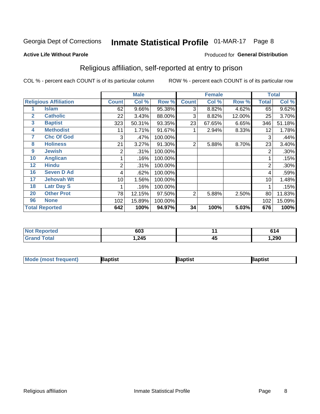## Inmate Statistical Profile 01-MAR-17 Page 8

#### **Active Life Without Parole**

#### Produced for General Distribution

### Religious affiliation, self-reported at entry to prison

COL % - percent each COUNT is of its particular column

|              |                              | <b>Male</b>  |        |         | <b>Female</b>  |        |        | <b>Total</b> |         |
|--------------|------------------------------|--------------|--------|---------|----------------|--------|--------|--------------|---------|
|              | <b>Religious Affiliation</b> | <b>Count</b> | Col %  | Row %   | <b>Count</b>   | Col %  | Row %  | Total        | Col %   |
|              | <b>Islam</b>                 | 62           | 9.66%  | 95.38%  | 3              | 8.82%  | 4.62%  | 65           | 9.62%   |
| $\mathbf{2}$ | <b>Catholic</b>              | 22           | 3.43%  | 88.00%  | 3              | 8.82%  | 12.00% | 25           | 3.70%   |
| 3            | <b>Baptist</b>               | 323          | 50.31% | 93.35%  | 23             | 67.65% | 6.65%  | 346          | 51.18%  |
| 4            | <b>Methodist</b>             | 11           | 1.71%  | 91.67%  |                | 2.94%  | 8.33%  | 12           | 1.78%   |
| 7            | <b>Chc Of God</b>            | 3            | .47%   | 100.00% |                |        |        | 3            | .44%    |
| 8            | <b>Holiness</b>              | 21           | 3.27%  | 91.30%  | $\overline{2}$ | 5.88%  | 8.70%  | 23           | 3.40%   |
| 9            | <b>Jewish</b>                | 2            | .31%   | 100.00% |                |        |        | 2            | $.30\%$ |
| 10           | <b>Anglican</b>              |              | .16%   | 100.00% |                |        |        |              | .15%    |
| 12           | <b>Hindu</b>                 | 2            | .31%   | 100.00% |                |        |        | 2            | .30%    |
| 16           | <b>Seven D Ad</b>            | 4            | .62%   | 100.00% |                |        |        | 4            | .59%    |
| 17           | <b>Jehovah Wt</b>            | 10           | 1.56%  | 100.00% |                |        |        | 10           | 1.48%   |
| 18           | <b>Latr Day S</b>            |              | .16%   | 100.00% |                |        |        |              | .15%    |
| 20           | <b>Other Prot</b>            | 78           | 12.15% | 97.50%  | 2              | 5.88%  | 2.50%  | 80           | 11.83%  |
| 96           | <b>None</b>                  | 102          | 15.89% | 100.00% |                |        |        | 102          | 15.09%  |
|              | <b>Total Reported</b>        | 642          | 100%   | 94.97%  | 34             | 100%   | 5.03%  | 676          | 100%    |

| rteo | con.  |   | .    |
|------|-------|---|------|
| .    | ნსა   |   | I 71 |
|      | 1,245 | ∼ | ,290 |

| <b>Mode (most frequent)</b> | 3aptist | 3aptist | Baptist |
|-----------------------------|---------|---------|---------|
|-----------------------------|---------|---------|---------|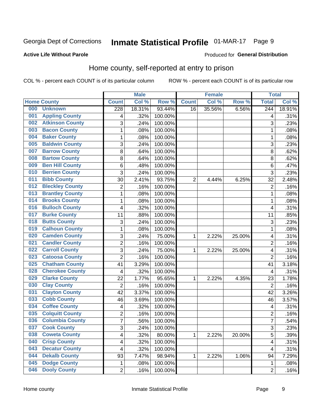## Inmate Statistical Profile 01-MAR-17 Page 9

#### **Active Life Without Parole**

#### Produced for General Distribution

### Home county, self-reported at entry to prison

COL % - percent each COUNT is of its particular column

|     |                        |                  | <b>Male</b> |         |                | <b>Female</b> |        | <b>Total</b>     |        |
|-----|------------------------|------------------|-------------|---------|----------------|---------------|--------|------------------|--------|
|     | <b>Home County</b>     | <b>Count</b>     | Col %       | Row %   | <b>Count</b>   | Col %         | Row %  | <b>Total</b>     | Col %  |
| 000 | <b>Unknown</b>         | $\overline{228}$ | 18.31%      | 93.44%  | 16             | 35.56%        | 6.56%  | $\overline{244}$ | 18.91% |
| 001 | <b>Appling County</b>  | 4                | .32%        | 100.00% |                |               |        | 4                | .31%   |
| 002 | <b>Atkinson County</b> | 3                | .24%        | 100.00% |                |               |        | 3                | .23%   |
| 003 | <b>Bacon County</b>    | $\mathbf 1$      | .08%        | 100.00% |                |               |        | 1                | .08%   |
| 004 | <b>Baker County</b>    | $\mathbf 1$      | .08%        | 100.00% |                |               |        | 1                | .08%   |
| 005 | <b>Baldwin County</b>  | 3                | .24%        | 100.00% |                |               |        | 3                | .23%   |
| 007 | <b>Barrow County</b>   | 8                | .64%        | 100.00% |                |               |        | 8                | .62%   |
| 008 | <b>Bartow County</b>   | 8                | .64%        | 100.00% |                |               |        | 8                | .62%   |
| 009 | <b>Ben Hill County</b> | 6                | .48%        | 100.00% |                |               |        | 6                | .47%   |
| 010 | <b>Berrien County</b>  | 3                | .24%        | 100.00% |                |               |        | 3                | .23%   |
| 011 | <b>Bibb County</b>     | 30               | 2.41%       | 93.75%  | $\overline{2}$ | 4.44%         | 6.25%  | 32               | 2.48%  |
| 012 | <b>Bleckley County</b> | $\overline{2}$   | .16%        | 100.00% |                |               |        | $\overline{2}$   | .16%   |
| 013 | <b>Brantley County</b> | $\mathbf{1}$     | .08%        | 100.00% |                |               |        | 1                | .08%   |
| 014 | <b>Brooks County</b>   | $\mathbf 1$      | .08%        | 100.00% |                |               |        | 1                | .08%   |
| 016 | <b>Bulloch County</b>  | 4                | .32%        | 100.00% |                |               |        | 4                | .31%   |
| 017 | <b>Burke County</b>    | 11               | .88%        | 100.00% |                |               |        | 11               | .85%   |
| 018 | <b>Butts County</b>    | 3                | .24%        | 100.00% |                |               |        | 3                | .23%   |
| 019 | <b>Calhoun County</b>  | $\mathbf 1$      | .08%        | 100.00% |                |               |        | 1                | .08%   |
| 020 | <b>Camden County</b>   | 3                | .24%        | 75.00%  | 1              | 2.22%         | 25.00% | 4                | .31%   |
| 021 | <b>Candler County</b>  | $\overline{2}$   | .16%        | 100.00% |                |               |        | $\overline{2}$   | .16%   |
| 022 | <b>Carroll County</b>  | 3                | .24%        | 75.00%  | 1              | 2.22%         | 25.00% | 4                | .31%   |
| 023 | <b>Catoosa County</b>  | $\overline{2}$   | .16%        | 100.00% |                |               |        | $\overline{2}$   | .16%   |
| 025 | <b>Chatham County</b>  | 41               | 3.29%       | 100.00% |                |               |        | 41               | 3.18%  |
| 028 | <b>Cherokee County</b> | 4                | .32%        | 100.00% |                |               |        | 4                | .31%   |
| 029 | <b>Clarke County</b>   | 22               | 1.77%       | 95.65%  | 1              | 2.22%         | 4.35%  | 23               | 1.78%  |
| 030 | <b>Clay County</b>     | $\overline{2}$   | .16%        | 100.00% |                |               |        | $\overline{2}$   | .16%   |
| 031 | <b>Clayton County</b>  | 42               | 3.37%       | 100.00% |                |               |        | 42               | 3.26%  |
| 033 | <b>Cobb County</b>     | 46               | 3.69%       | 100.00% |                |               |        | 46               | 3.57%  |
| 034 | <b>Coffee County</b>   | 4                | .32%        | 100.00% |                |               |        | 4                | .31%   |
| 035 | <b>Colquitt County</b> | $\overline{2}$   | .16%        | 100.00% |                |               |        | $\overline{2}$   | .16%   |
| 036 | <b>Columbia County</b> | $\overline{7}$   | .56%        | 100.00% |                |               |        | 7                | .54%   |
| 037 | <b>Cook County</b>     | 3                | .24%        | 100.00% |                |               |        | 3                | .23%   |
| 038 | <b>Coweta County</b>   | 4                | .32%        | 80.00%  | $\mathbf{1}$   | 2.22%         | 20.00% | 5                | .39%   |
| 040 | <b>Crisp County</b>    | 4                | .32%        | 100.00% |                |               |        | 4                | .31%   |
| 043 | <b>Decatur County</b>  | 4                | .32%        | 100.00% |                |               |        | 4                | .31%   |
| 044 | <b>Dekalb County</b>   | 93               | 7.47%       | 98.94%  | 1              | 2.22%         | 1.06%  | 94               | 7.29%  |
| 045 | <b>Dodge County</b>    | 1                | .08%        | 100.00% |                |               |        | 1                | .08%   |
| 046 | <b>Dooly County</b>    | $\overline{2}$   | .16%        | 100.00% |                |               |        | $\overline{2}$   | .16%   |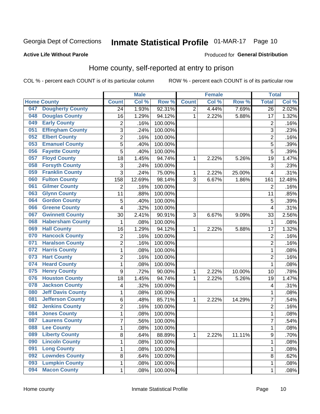## Inmate Statistical Profile 01-MAR-17 Page 10

#### **Active Life Without Parole**

#### Produced for General Distribution

### Home county, self-reported at entry to prison

COL % - percent each COUNT is of its particular column

|     |                          |                  | <b>Male</b> |         |                | <b>Female</b> |        | <b>Total</b>            |        |
|-----|--------------------------|------------------|-------------|---------|----------------|---------------|--------|-------------------------|--------|
|     | <b>Home County</b>       | <b>Count</b>     | Col %       | Row %   | <b>Count</b>   | Col %         | Row %  | <b>Total</b>            | Col %  |
| 047 | <b>Dougherty County</b>  | 24               | 1.93%       | 92.31%  | $\overline{2}$ | 4.44%         | 7.69%  | 26                      | 2.02%  |
| 048 | <b>Douglas County</b>    | 16               | 1.29%       | 94.12%  | 1              | 2.22%         | 5.88%  | 17                      | 1.32%  |
| 049 | <b>Early County</b>      | 2                | .16%        | 100.00% |                |               |        | $\overline{2}$          | .16%   |
| 051 | <b>Effingham County</b>  | 3                | .24%        | 100.00% |                |               |        | 3                       | .23%   |
| 052 | <b>Elbert County</b>     | $\overline{c}$   | .16%        | 100.00% |                |               |        | $\overline{2}$          | .16%   |
| 053 | <b>Emanuel County</b>    | 5                | .40%        | 100.00% |                |               |        | 5                       | .39%   |
| 056 | <b>Fayette County</b>    | 5                | .40%        | 100.00% |                |               |        | 5                       | .39%   |
| 057 | <b>Floyd County</b>      | 18               | 1.45%       | 94.74%  | 1              | 2.22%         | 5.26%  | 19                      | 1.47%  |
| 058 | <b>Forsyth County</b>    | 3                | .24%        | 100.00% |                |               |        | 3                       | .23%   |
| 059 | <b>Franklin County</b>   | 3                | .24%        | 75.00%  | 1              | 2.22%         | 25.00% | $\overline{4}$          | .31%   |
| 060 | <b>Fulton County</b>     | 158              | 12.69%      | 98.14%  | 3              | 6.67%         | 1.86%  | 161                     | 12.48% |
| 061 | <b>Gilmer County</b>     | $\overline{2}$   | .16%        | 100.00% |                |               |        | $\overline{2}$          | .16%   |
| 063 | <b>Glynn County</b>      | 11               | .88%        | 100.00% |                |               |        | 11                      | .85%   |
| 064 | <b>Gordon County</b>     | 5                | .40%        | 100.00% |                |               |        | 5                       | .39%   |
| 066 | <b>Greene County</b>     | 4                | .32%        | 100.00% |                |               |        | $\overline{4}$          | .31%   |
| 067 | <b>Gwinnett County</b>   | 30               | 2.41%       | 90.91%  | 3              | 6.67%         | 9.09%  | 33                      | 2.56%  |
| 068 | <b>Habersham County</b>  | 1                | .08%        | 100.00% |                |               |        | 1                       | .08%   |
| 069 | <b>Hall County</b>       | 16               | 1.29%       | 94.12%  | 1              | 2.22%         | 5.88%  | 17                      | 1.32%  |
| 070 | <b>Hancock County</b>    | 2                | .16%        | 100.00% |                |               |        | $\overline{2}$          | .16%   |
| 071 | <b>Haralson County</b>   | $\overline{2}$   | .16%        | 100.00% |                |               |        | $\overline{2}$          | .16%   |
| 072 | <b>Harris County</b>     | $\mathbf 1$      | .08%        | 100.00% |                |               |        | 1                       | .08%   |
| 073 | <b>Hart County</b>       | $\overline{2}$   | .16%        | 100.00% |                |               |        | $\overline{2}$          | .16%   |
| 074 | <b>Heard County</b>      | $\mathbf{1}$     | .08%        | 100.00% |                |               |        | 1                       | .08%   |
| 075 | <b>Henry County</b>      | $\boldsymbol{9}$ | .72%        | 90.00%  | 1              | 2.22%         | 10.00% | 10                      | .78%   |
| 076 | <b>Houston County</b>    | 18               | 1.45%       | 94.74%  | 1              | 2.22%         | 5.26%  | 19                      | 1.47%  |
| 078 | <b>Jackson County</b>    | 4                | .32%        | 100.00% |                |               |        | $\overline{\mathbf{4}}$ | .31%   |
| 080 | <b>Jeff Davis County</b> | $\mathbf 1$      | .08%        | 100.00% |                |               |        | 1                       | .08%   |
| 081 | <b>Jefferson County</b>  | 6                | .48%        | 85.71%  | 1              | 2.22%         | 14.29% | 7                       | .54%   |
| 082 | <b>Jenkins County</b>    | $\overline{c}$   | .16%        | 100.00% |                |               |        | $\overline{2}$          | .16%   |
| 084 | <b>Jones County</b>      | $\mathbf{1}$     | .08%        | 100.00% |                |               |        | 1                       | .08%   |
| 087 | <b>Laurens County</b>    | $\overline{7}$   | .56%        | 100.00% |                |               |        | 7                       | .54%   |
| 088 | <b>Lee County</b>        | 1                | .08%        | 100.00% |                |               |        | 1                       | .08%   |
| 089 | <b>Liberty County</b>    | 8                | .64%        | 88.89%  | $\mathbf{1}$   | 2.22%         | 11.11% | 9                       | .70%   |
| 090 | <b>Lincoln County</b>    | $\mathbf{1}$     | .08%        | 100.00% |                |               |        | 1                       | .08%   |
| 091 | <b>Long County</b>       | $\mathbf{1}$     | .08%        | 100.00% |                |               |        | 1                       | .08%   |
| 092 | <b>Lowndes County</b>    | 8                | .64%        | 100.00% |                |               |        | 8                       | .62%   |
| 093 | <b>Lumpkin County</b>    | 1                | .08%        | 100.00% |                |               |        | 1                       | .08%   |
| 094 | <b>Macon County</b>      | $\mathbf{1}$     | .08%        | 100.00% |                |               |        | 1                       | .08%   |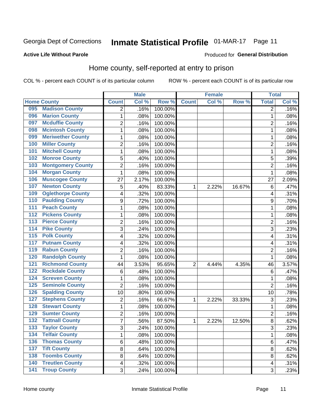## Inmate Statistical Profile 01-MAR-17 Page 11

#### **Active Life Without Parole**

#### Produced for General Distribution

### Home county, self-reported at entry to prison

COL % - percent each COUNT is of its particular column

|                  |                          |                         | <b>Male</b> |         |                | <b>Female</b> |        | <b>Total</b>            |       |
|------------------|--------------------------|-------------------------|-------------|---------|----------------|---------------|--------|-------------------------|-------|
|                  | <b>Home County</b>       | <b>Count</b>            | Col %       | Row %   | <b>Count</b>   | Col%          | Row %  | <b>Total</b>            | Col % |
| 095              | <b>Madison County</b>    | 2                       | .16%        | 100.00% |                |               |        | 2                       | .16%  |
| 096              | <b>Marion County</b>     | 1                       | .08%        | 100.00% |                |               |        | 1                       | .08%  |
| 097              | <b>Mcduffie County</b>   | $\overline{c}$          | .16%        | 100.00% |                |               |        | 2                       | .16%  |
| 098              | <b>Mcintosh County</b>   | $\mathbf{1}$            | .08%        | 100.00% |                |               |        | 1                       | .08%  |
| 099              | <b>Meriwether County</b> | $\mathbf 1$             | .08%        | 100.00% |                |               |        | 1                       | .08%  |
| 100              | <b>Miller County</b>     | $\overline{2}$          | .16%        | 100.00% |                |               |        | $\overline{2}$          | .16%  |
| 101              | <b>Mitchell County</b>   | $\mathbf 1$             | .08%        | 100.00% |                |               |        | 1                       | .08%  |
| 102              | <b>Monroe County</b>     | 5                       | .40%        | 100.00% |                |               |        | 5                       | .39%  |
| 103              | <b>Montgomery County</b> | $\overline{2}$          | .16%        | 100.00% |                |               |        | $\overline{2}$          | .16%  |
| 104              | <b>Morgan County</b>     | 1                       | .08%        | 100.00% |                |               |        | 1                       | .08%  |
| 106              | <b>Muscogee County</b>   | 27                      | 2.17%       | 100.00% |                |               |        | 27                      | 2.09% |
| 107              | <b>Newton County</b>     | 5                       | .40%        | 83.33%  | 1              | 2.22%         | 16.67% | $\,6$                   | .47%  |
| 109              | <b>Oglethorpe County</b> | 4                       | .32%        | 100.00% |                |               |        | 4                       | .31%  |
| 110              | <b>Paulding County</b>   | 9                       | .72%        | 100.00% |                |               |        | 9                       | .70%  |
| 111              | <b>Peach County</b>      | $\mathbf 1$             | .08%        | 100.00% |                |               |        | 1                       | .08%  |
| 112              | <b>Pickens County</b>    | $\mathbf 1$             | .08%        | 100.00% |                |               |        | 1                       | .08%  |
| 113              | <b>Pierce County</b>     | $\overline{2}$          | .16%        | 100.00% |                |               |        | $\overline{2}$          | .16%  |
| 114              | <b>Pike County</b>       | 3                       | .24%        | 100.00% |                |               |        | 3                       | .23%  |
| $\overline{115}$ | <b>Polk County</b>       | 4                       | .32%        | 100.00% |                |               |        | 4                       | .31%  |
| 117              | <b>Putnam County</b>     | 4                       | .32%        | 100.00% |                |               |        | 4                       | .31%  |
| 119              | <b>Rabun County</b>      | $\overline{2}$          | .16%        | 100.00% |                |               |        | $\overline{2}$          | .16%  |
| 120              | <b>Randolph County</b>   | 1                       | .08%        | 100.00% |                |               |        | 1                       | .08%  |
| 121              | <b>Richmond County</b>   | 44                      | 3.53%       | 95.65%  | $\overline{2}$ | 4.44%         | 4.35%  | 46                      | 3.57% |
| 122              | <b>Rockdale County</b>   | 6                       | .48%        | 100.00% |                |               |        | $6\phantom{1}6$         | .47%  |
| 124              | <b>Screven County</b>    | $\mathbf 1$             | .08%        | 100.00% |                |               |        | 1                       | .08%  |
| 125              | <b>Seminole County</b>   | $\overline{c}$          | .16%        | 100.00% |                |               |        | $\overline{2}$          | .16%  |
| 126              | <b>Spalding County</b>   | 10                      | .80%        | 100.00% |                |               |        | 10                      | .78%  |
| 127              | <b>Stephens County</b>   | $\overline{c}$          | .16%        | 66.67%  | 1              | 2.22%         | 33.33% | 3                       | .23%  |
| 128              | <b>Stewart County</b>    | $\mathbf 1$             | .08%        | 100.00% |                |               |        | 1                       | .08%  |
| 129              | <b>Sumter County</b>     | $\overline{c}$          | .16%        | 100.00% |                |               |        | $\overline{2}$          | .16%  |
| 132              | <b>Tattnall County</b>   | $\overline{7}$          | .56%        | 87.50%  | 1              | 2.22%         | 12.50% | 8                       | .62%  |
| 133              | <b>Taylor County</b>     | 3                       | .24%        | 100.00% |                |               |        | 3                       | .23%  |
| 134              | <b>Telfair County</b>    | $\mathbf{1}$            | .08%        | 100.00% |                |               |        | 1                       | .08%  |
| 136              | <b>Thomas County</b>     | 6                       | .48%        | 100.00% |                |               |        | 6                       | .47%  |
| $\overline{137}$ | <b>Tift County</b>       | 8                       | .64%        | 100.00% |                |               |        | 8                       | .62%  |
| 138              | <b>Toombs County</b>     | 8                       | .64%        | 100.00% |                |               |        | 8                       | .62%  |
| 140              | <b>Treutlen County</b>   | $\overline{\mathbf{4}}$ | .32%        | 100.00% |                |               |        | $\overline{\mathbf{4}}$ | .31%  |
| 141              | <b>Troup County</b>      | 3                       | .24%        | 100.00% |                |               |        | 3                       | .23%  |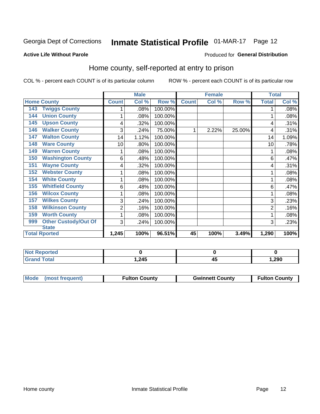## Inmate Statistical Profile 01-MAR-17 Page 12

#### **Active Life Without Parole**

#### Produced for General Distribution

### Home county, self-reported at entry to prison

COL % - percent each COUNT is of its particular column

|                                    |              | <b>Male</b> |         |              | <b>Female</b> |        | <b>Total</b> |       |
|------------------------------------|--------------|-------------|---------|--------------|---------------|--------|--------------|-------|
| <b>Home County</b>                 | <b>Count</b> | Col %       | Row %   | <b>Count</b> | Col %         | Row %  | <b>Total</b> | Col % |
| <b>Twiggs County</b><br>143        |              | .08%        | 100.00% |              |               |        |              | .08%  |
| <b>Union County</b><br>144         | 1            | .08%        | 100.00% |              |               |        |              | .08%  |
| <b>Upson County</b><br>145         | 4            | .32%        | 100.00% |              |               |        | 4            | .31%  |
| <b>Walker County</b><br>146        | 3            | .24%        | 75.00%  | 1            | 2.22%         | 25.00% | 4            | .31%  |
| <b>Walton County</b><br>147        | 14           | 1.12%       | 100.00% |              |               |        | 14           | 1.09% |
| <b>Ware County</b><br>148          | 10           | .80%        | 100.00% |              |               |        | 10           | .78%  |
| <b>Warren County</b><br>149        | 1            | .08%        | 100.00% |              |               |        |              | .08%  |
| <b>Washington County</b><br>150    | 6            | .48%        | 100.00% |              |               |        | 6            | .47%  |
| <b>Wayne County</b><br>151         | 4            | .32%        | 100.00% |              |               |        | 4            | .31%  |
| <b>Webster County</b><br>152       | 1            | .08%        | 100.00% |              |               |        |              | .08%  |
| <b>White County</b><br>154         | 1            | .08%        | 100.00% |              |               |        |              | .08%  |
| <b>Whitfield County</b><br>155     | 6            | .48%        | 100.00% |              |               |        | 6            | .47%  |
| <b>Wilcox County</b><br>156        | 1            | .08%        | 100.00% |              |               |        |              | .08%  |
| <b>Wilkes County</b><br>157        | 3            | .24%        | 100.00% |              |               |        | 3            | .23%  |
| <b>Wilkinson County</b><br>158     | 2            | .16%        | 100.00% |              |               |        | 2            | .16%  |
| <b>Worth County</b><br>159         | 1            | .08%        | 100.00% |              |               |        |              | .08%  |
| <b>Other Custody/Out Of</b><br>999 | 3            | .24%        | 100.00% |              |               |        | 3            | .23%  |
| <b>State</b>                       |              |             |         |              |               |        |              |       |
| <b>Total Rported</b>               | 1,245        | 100%        | 96.51%  | 45           | 100%          | 3.49%  | 1,290        | 100%  |

| <b>Not Reported</b> |       |       |
|---------------------|-------|-------|
| `otal               | 1,245 | ,290، |

| Mode (most frequent)<br><b>Gwinnett County</b><br><b>Fulton County</b> |                      |
|------------------------------------------------------------------------|----------------------|
|                                                                        | <b>Fulton County</b> |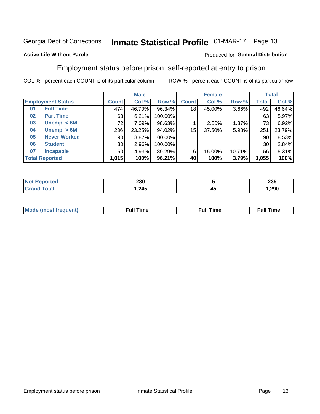## Inmate Statistical Profile 01-MAR-17 Page 13

#### **Active Life Without Parole**

#### Produced for General Distribution

### Employment status before prison, self-reported at entry to prison

COL % - percent each COUNT is of its particular column

|                          |                     | <b>Male</b>     |        |         | <b>Female</b> |        |        | <b>Total</b> |        |
|--------------------------|---------------------|-----------------|--------|---------|---------------|--------|--------|--------------|--------|
| <b>Employment Status</b> |                     | <b>Count</b>    | Col %  | Row %   | <b>Count</b>  | Col %  | Row %  | Total        | Col %  |
| 01                       | <b>Full Time</b>    | 474             | 46.70% | 96.34%  | 18            | 45.00% | 3.66%  | 492          | 46.64% |
| 02                       | <b>Part Time</b>    | 63              | 6.21%  | 100.00% |               |        |        | 63           | 5.97%  |
| 03                       | Unempl $<$ 6M       | 72              | 7.09%  | 98.63%  |               | 2.50%  | 1.37%  | 73           | 6.92%  |
| 04                       | Unempl > 6M         | 236             | 23.25% | 94.02%  | 15            | 37.50% | 5.98%  | 251          | 23.79% |
| 05                       | <b>Never Worked</b> | 90 <sub>1</sub> | 8.87%  | 100.00% |               |        |        | 90           | 8.53%  |
| 06                       | <b>Student</b>      | 30 <sup>1</sup> | 2.96%  | 100.00% |               |        |        | 30           | 2.84%  |
| 07                       | <b>Incapable</b>    | 50              | 4.93%  | 89.29%  | 6             | 15.00% | 10.71% | 56           | 5.31%  |
| <b>Total Reported</b>    |                     | 1,015           | 100%   | 96.21%  | 40            | 100%   | 3.79%  | 1,055        | 100%   |

| 230   |    | 00 F<br>∠งง |
|-------|----|-------------|
| 1,245 | 4. | 1,290       |

| Mc | ∙u∥<br>----<br>ıme | ίuΙ<br>Πmε |
|----|--------------------|------------|
|    |                    |            |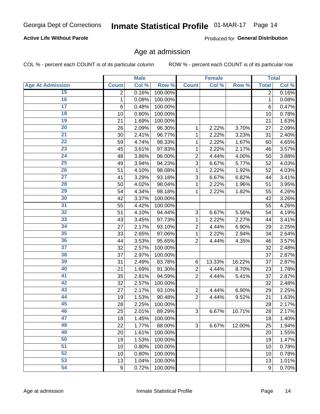#### **Active Life Without Parole**

Produced for General Distribution

### Age at admission

COL % - percent each COUNT is of its particular column

|                         |                 | <b>Male</b> |         |                | <b>Female</b> |        |                | <b>Total</b> |
|-------------------------|-----------------|-------------|---------|----------------|---------------|--------|----------------|--------------|
| <b>Age At Admission</b> | <b>Count</b>    | Col %       | Row %   | <b>Count</b>   | Col %         | Row %  | <b>Total</b>   | Col %        |
| 15                      | $\overline{2}$  | 0.16%       | 100.00% |                |               |        | $\overline{2}$ | 0.16%        |
| 16                      | 1               | 0.08%       | 100.00% |                |               |        | $\mathbf{1}$   | 0.08%        |
| $\overline{17}$         | $6\phantom{1}6$ | 0.48%       | 100.00% |                |               |        | 6              | 0.47%        |
| 18                      | 10              | 0.80%       | 100.00% |                |               |        | 10             | 0.78%        |
| 19                      | 21              | 1.69%       | 100.00% |                |               |        | 21             | 1.63%        |
| $\overline{20}$         | 26              | 2.09%       | 96.30%  | 1              | 2.22%         | 3.70%  | 27             | 2.09%        |
| 21                      | 30              | 2.41%       | 96.77%  | 1              | 2.22%         | 3.23%  | 31             | 2.40%        |
| 22                      | 59              | 4.74%       | 98.33%  | 1              | 2.22%         | 1.67%  | 60             | 4.65%        |
| 23                      | 45              | 3.61%       | 97.83%  | 1              | 2.22%         | 2.17%  | 46             | 3.57%        |
| 24                      | 48              | 3.86%       | 96.00%  | $\overline{2}$ | 4.44%         | 4.00%  | 50             | 3.88%        |
| $\overline{25}$         | 49              | 3.94%       | 94.23%  | 3              | 6.67%         | 5.77%  | 52             | 4.03%        |
| 26                      | 51              | 4.10%       | 98.08%  | 1              | 2.22%         | 1.92%  | 52             | 4.03%        |
| $\overline{27}$         | 41              | 3.29%       | 93.18%  | 3              | 6.67%         | 6.82%  | 44             | 3.41%        |
| 28                      | 50              | 4.02%       | 98.04%  | 1              | 2.22%         | 1.96%  | 51             | 3.95%        |
| 29                      | 54              | 4.34%       | 98.18%  | 1              | 2.22%         | 1.82%  | 55             | 4.26%        |
| 30                      | 42              | 3.37%       | 100.00% |                |               |        | 42             | 3.26%        |
| 31                      | 55              | 4.42%       | 100.00% |                |               |        | 55             | 4.26%        |
| 32                      | 51              | 4.10%       | 94.44%  | 3              | 6.67%         | 5.56%  | 54             | 4.19%        |
| 33                      | 43              | 3.45%       | 97.73%  | 1              | 2.22%         | 2.27%  | 44             | 3.41%        |
| 34                      | 27              | 2.17%       | 93.10%  | $\overline{2}$ | 4.44%         | 6.90%  | 29             | 2.25%        |
| 35                      | 33              | 2.65%       | 97.06%  | 1              | 2.22%         | 2.94%  | 34             | 2.64%        |
| 36                      | 44              | 3.53%       | 95.65%  | $\overline{2}$ | 4.44%         | 4.35%  | 46             | 3.57%        |
| $\overline{37}$         | 32              | 2.57%       | 100.00% |                |               |        | 32             | 2.48%        |
| 38                      | 37              | 2.97%       | 100.00% |                |               |        | 37             | 2.87%        |
| 39                      | 31              | 2.49%       | 83.78%  | 6              | 13.33%        | 16.22% | 37             | 2.87%        |
| 40                      | 21              | 1.69%       | 91.30%  | $\overline{c}$ | 4.44%         | 8.70%  | 23             | 1.78%        |
| 41                      | 35              | 2.81%       | 94.59%  | $\overline{2}$ | 4.44%         | 5.41%  | 37             | 2.87%        |
| 42                      | 32              | 2.57%       | 100.00% |                |               |        | 32             | 2.48%        |
| 43                      | 27              | 2.17%       | 93.10%  | $\overline{2}$ | 4.44%         | 6.90%  | 29             | 2.25%        |
| 44                      | 19              | 1.53%       | 90.48%  | $\overline{2}$ | 4.44%         | 9.52%  | 21             | 1.63%        |
| 45                      | 28              | 2.25%       | 100.00% |                |               |        | 28             | 2.17%        |
| 46                      | 25              | 2.01%       | 89.29%  | 3              | 6.67%         | 10.71% | 28             | 2.17%        |
| 47                      | 18              | 1.45%       | 100.00% |                |               |        | 18             | 1.40%        |
| 48                      | 22              | 1.77%       | 88.00%  | 3              | 6.67%         | 12.00% | 25             | 1.94%        |
| 49                      | 20              | 1.61%       | 100.00% |                |               |        | 20             | 1.55%        |
| 50                      | 19              | 1.53%       | 100.00% |                |               |        | 19             | 1.47%        |
| $\overline{51}$         | 10              | 0.80%       | 100.00% |                |               |        | 10             | 0.78%        |
| 52                      | 10              | 0.80%       | 100.00% |                |               |        | 10             | 0.78%        |
| 53                      | 13              | 1.04%       | 100.00% |                |               |        | 13             | 1.01%        |
| 54                      | $9\,$           | 0.72%       | 100.00% |                |               |        | 9              | 0.70%        |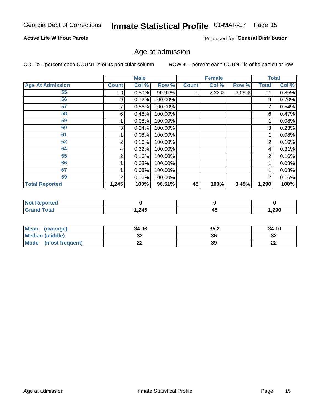#### **Active Life Without Parole**

Produced for General Distribution

### Age at admission

COL % - percent each COUNT is of its particular column

|                         |                 | <b>Male</b> |         |              | <b>Female</b> |       |              | <b>Total</b> |
|-------------------------|-----------------|-------------|---------|--------------|---------------|-------|--------------|--------------|
| <b>Age At Admission</b> | <b>Count</b>    | Col %       | Row %   | <b>Count</b> | Col %         | Row % | <b>Total</b> | Col %        |
| 55                      | 10 <sup>1</sup> | 0.80%       | 90.91%  |              | 2.22%         | 9.09% | 11           | 0.85%        |
| 56                      | 9               | 0.72%       | 100.00% |              |               |       | 9            | 0.70%        |
| 57                      |                 | 0.56%       | 100.00% |              |               |       | 7            | 0.54%        |
| 58                      | 6               | 0.48%       | 100.00% |              |               |       | 6            | 0.47%        |
| 59                      |                 | 0.08%       | 100.00% |              |               |       |              | 0.08%        |
| 60                      | 3               | 0.24%       | 100.00% |              |               |       | 3            | 0.23%        |
| 61                      |                 | 0.08%       | 100.00% |              |               |       |              | 0.08%        |
| 62                      | 2               | 0.16%       | 100.00% |              |               |       | 2            | 0.16%        |
| 64                      | 4               | 0.32%       | 100.00% |              |               |       | 4            | 0.31%        |
| 65                      | 2               | 0.16%       | 100.00% |              |               |       | 2            | 0.16%        |
| 66                      |                 | 0.08%       | 100.00% |              |               |       |              | 0.08%        |
| 67                      |                 | 0.08%       | 100.00% |              |               |       |              | 0.08%        |
| 69                      | 2               | 0.16%       | 100.00% |              |               |       | 2            | 0.16%        |
| <b>Total Reported</b>   | 1,245           | 100%        | 96.51%  | 45           | 100%          | 3.49% | 1,290        | 100%         |

| <b>Not Reported</b>    |        |    |       |
|------------------------|--------|----|-------|
| <b>Total</b><br>'Grand | 245. ا | 4. | 1,290 |

| <b>Mean</b><br>(average) | 34.06 | 35.2 | 34.10    |
|--------------------------|-------|------|----------|
| <b>Median (middle)</b>   | JZ    | 36   | 32       |
| Mode<br>(most frequent)  | --    | 39   | n.<br>LL |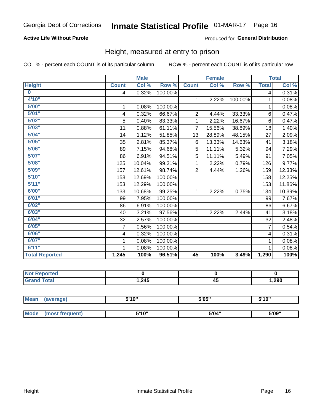#### **Active Life Without Parole**

#### Produced for General Distribution

### Height, measured at entry to prison

COL % - percent each COUNT is of its particular column

|                       |                | <b>Male</b> |         |                | <b>Female</b> |         |                | <b>Total</b> |
|-----------------------|----------------|-------------|---------|----------------|---------------|---------|----------------|--------------|
| <b>Height</b>         | <b>Count</b>   | Col %       | Row %   | <b>Count</b>   | Col %         | Row %   | <b>Total</b>   | Col %        |
| $\bf{0}$              | 4              | 0.32%       | 100.00% |                |               |         | 4              | 0.31%        |
| 4'10''                |                |             |         | $\mathbf{1}$   | 2.22%         | 100.00% | 1              | 0.08%        |
| 5'00''                | 1              | 0.08%       | 100.00% |                |               |         | 1              | 0.08%        |
| 5'01"                 | 4              | 0.32%       | 66.67%  | $\overline{2}$ | 4.44%         | 33.33%  | 6              | 0.47%        |
| 5'02"                 | 5              | 0.40%       | 83.33%  | 1              | 2.22%         | 16.67%  | $6\phantom{1}$ | 0.47%        |
| 5'03''                | 11             | 0.88%       | 61.11%  | $\overline{7}$ | 15.56%        | 38.89%  | 18             | 1.40%        |
| 5'04"                 | 14             | 1.12%       | 51.85%  | 13             | 28.89%        | 48.15%  | 27             | 2.09%        |
| 5'05"                 | 35             | 2.81%       | 85.37%  | 6              | 13.33%        | 14.63%  | 41             | 3.18%        |
| 5'06''                | 89             | 7.15%       | 94.68%  | 5              | 11.11%        | 5.32%   | 94             | 7.29%        |
| 5'07"                 | 86             | 6.91%       | 94.51%  | 5              | 11.11%        | 5.49%   | 91             | 7.05%        |
| 5'08''                | 125            | 10.04%      | 99.21%  | 1              | 2.22%         | 0.79%   | 126            | 9.77%        |
| 5'09''                | 157            | 12.61%      | 98.74%  | $\overline{2}$ | 4.44%         | 1.26%   | 159            | 12.33%       |
| 5'10''                | 158            | 12.69%      | 100.00% |                |               |         | 158            | 12.25%       |
| 5'11"                 | 153            | 12.29%      | 100.00% |                |               |         | 153            | 11.86%       |
| 6'00''                | 133            | 10.68%      | 99.25%  | 1.             | 2.22%         | 0.75%   | 134            | 10.39%       |
| 6'01''                | 99             | 7.95%       | 100.00% |                |               |         | 99             | 7.67%        |
| 6'02"                 | 86             | 6.91%       | 100.00% |                |               |         | 86             | 6.67%        |
| 6'03''                | 40             | 3.21%       | 97.56%  | $\mathbf{1}$   | 2.22%         | 2.44%   | 41             | 3.18%        |
| 6'04"                 | 32             | 2.57%       | 100.00% |                |               |         | 32             | 2.48%        |
| 6'05''                | $\overline{7}$ | 0.56%       | 100.00% |                |               |         | $\overline{7}$ | 0.54%        |
| 6'06''                | 4              | 0.32%       | 100.00% |                |               |         | 4              | 0.31%        |
| 6'07''                | 1              | 0.08%       | 100.00% |                |               |         | 1              | 0.08%        |
| 6'11''                | 1              | 0.08%       | 100.00% |                |               |         | 1              | 0.08%        |
| <b>Total Reported</b> | 1,245          | 100%        | 96.51%  | 45             | 100%          | 3.49%   | 1,290          | 100%         |

| <b>eported</b> |      |                |       |
|----------------|------|----------------|-------|
| <b>otal</b>    | ,245 | . .<br>л.<br>∼ | 1,290 |

| <b>Mean</b> | (average)       | 5'10" | 5'05" | 5'10" |
|-------------|-----------------|-------|-------|-------|
|             |                 |       |       |       |
| <b>Mode</b> | (most frequent) | 5'10" | 5'04" | 5'09" |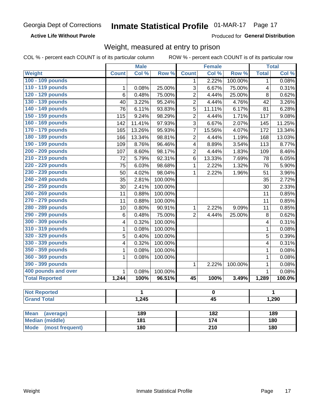#### **Active Life Without Parole**

Produced for General Distribution

### Weight, measured at entry to prison

COL % - percent each COUNT is of its particular column

ROW % - percent each COUNT is of its particular row

| Col %<br>Row %<br>Col %<br>Row %<br><b>Total</b><br>Col %<br>Weight<br><b>Count</b><br><b>Count</b><br>100 - 109 pounds<br>2.22%<br>100.00%<br>0.08%<br>$\mathbf 1$<br>1<br>110 - 119 pounds<br>$\overline{3}$<br>0.08%<br>25.00%<br>6.67%<br>75.00%<br>0.31%<br>$\mathbf{1}$<br>4<br>120 - 129 pounds<br>0.48%<br>0.62%<br>6<br>75.00%<br>$\overline{2}$<br>4.44%<br>25.00%<br>8<br>130 - 139 pounds<br>3.26%<br>40<br>3.22%<br>95.24%<br>$\overline{2}$<br>4.44%<br>4.76%<br>42<br>140 - 149 pounds<br>6.11%<br>11.11%<br>6.28%<br>76<br>93.83%<br>5<br>6.17%<br>81<br>150 - 159 pounds<br>$\overline{2}$<br>9.08%<br>115<br>9.24%<br>98.29%<br>4.44%<br>1.71%<br>117<br>160 - 169 pounds<br>11.25%<br>11.41%<br>97.93%<br>3<br>6.67%<br>2.07%<br>145<br>142<br>170 - 179 pounds<br>13.26%<br>95.93%<br>15.56%<br>4.07%<br>13.34%<br>165<br>$\overline{7}$<br>172<br>180 - 189 pounds<br>13.03%<br>13.34%<br>98.81%<br>$\overline{2}$<br>4.44%<br>1.19%<br>168<br>166<br>190 - 199 pounds<br>8.76%<br>96.46%<br>8.89%<br>3.54%<br>113<br>8.77%<br>109<br>$\overline{\mathbf{4}}$<br>200 - 209 pounds<br>$\overline{2}$<br>4.44%<br>8.46%<br>8.60%<br>98.17%<br>1.83%<br>109<br>107<br>210 - 219 pounds<br>6.05%<br>5.79%<br>92.31%<br>6<br>13.33%<br>7.69%<br>78<br>72<br>220 - 229 pounds<br>98.68%<br>$\mathbf{1}$<br>2.22%<br>1.32%<br>5.90%<br>75<br>6.03%<br>76<br>230 - 239 pounds<br>98.04%<br>3.96%<br>50<br>4.02%<br>$\mathbf{1}$<br>2.22%<br>1.96%<br>51<br>240 - 249 pounds<br>2.81%<br>100.00%<br>2.72%<br>35<br>35<br>250 - 259 pounds<br>100.00%<br>2.33%<br>30<br>2.41%<br>30<br>260 - 269 pounds<br>0.88%<br>100.00%<br>0.85%<br>11<br>11<br>270 - 279 pounds<br>100.00%<br>0.85%<br>11<br>0.88%<br>11<br>280 - 289 pounds<br>2.22%<br>10<br>0.80%<br>90.91%<br>$\mathbf{1}$<br>9.09%<br>0.85%<br>11<br>290 - 299 pounds<br>75.00%<br>$\overline{2}$<br>$6\phantom{1}$<br>0.48%<br>4.44%<br>25.00%<br>8<br>0.62%<br>300 - 309 pounds<br>0.32%<br>100.00%<br>0.31%<br>$\overline{\mathbf{4}}$<br>4<br>310 - 319 pounds<br>$\mathbf 1$<br>0.08%<br>100.00%<br>0.08%<br>1<br>320 - 329 pounds<br>5<br>100.00%<br>5<br>0.39%<br>0.40%<br>330 - 339 pounds<br>0.31%<br>0.32%<br>100.00%<br>4<br>4<br>350 - 359 pounds<br>$\mathbf{1}$<br>0.08%<br>100.00%<br>0.08%<br>$\mathbf{1}$<br>360 - 369 pounds<br>$\mathbf 1$<br>100.00%<br>$\mathbf 1$<br>0.08%<br>0.08%<br>390 - 399 pounds<br>100.00%<br>$\mathbf{1}$<br>0.08%<br>$\mathbf{1}$<br>2.22%<br>400 pounds and over<br>$\mathbf{1}$<br>0.08%<br>0.08%<br>$\mathbf{1}$<br>100.00%<br><b>Total Reported</b><br>1,244<br>96.51%<br>100.0%<br>100%<br>$\overline{45}$<br>100%<br>3.49%<br>1,289<br><b>Not Reported</b><br>1<br>1<br>$\pmb{0}$<br><b>Grand Total</b><br>1,245<br>$\overline{45}$<br>1,290<br><b>Mean</b><br>189<br>182<br>189<br>(average)<br>180 |                        | <b>Male</b> |  | <b>Female</b> |  |  | <b>Total</b> |  |
|---------------------------------------------------------------------------------------------------------------------------------------------------------------------------------------------------------------------------------------------------------------------------------------------------------------------------------------------------------------------------------------------------------------------------------------------------------------------------------------------------------------------------------------------------------------------------------------------------------------------------------------------------------------------------------------------------------------------------------------------------------------------------------------------------------------------------------------------------------------------------------------------------------------------------------------------------------------------------------------------------------------------------------------------------------------------------------------------------------------------------------------------------------------------------------------------------------------------------------------------------------------------------------------------------------------------------------------------------------------------------------------------------------------------------------------------------------------------------------------------------------------------------------------------------------------------------------------------------------------------------------------------------------------------------------------------------------------------------------------------------------------------------------------------------------------------------------------------------------------------------------------------------------------------------------------------------------------------------------------------------------------------------------------------------------------------------------------------------------------------------------------------------------------------------------------------------------------------------------------------------------------------------------------------------------------------------------------------------------------------------------------------------------------------------------------------------------------------------------------------------------------------------------------------------------------------------------------------------------------------------------------------------------------------------------------------------------------------------------------------------------------------------------------------------------------------------------|------------------------|-------------|--|---------------|--|--|--------------|--|
|                                                                                                                                                                                                                                                                                                                                                                                                                                                                                                                                                                                                                                                                                                                                                                                                                                                                                                                                                                                                                                                                                                                                                                                                                                                                                                                                                                                                                                                                                                                                                                                                                                                                                                                                                                                                                                                                                                                                                                                                                                                                                                                                                                                                                                                                                                                                                                                                                                                                                                                                                                                                                                                                                                                                                                                                                                 |                        |             |  |               |  |  |              |  |
|                                                                                                                                                                                                                                                                                                                                                                                                                                                                                                                                                                                                                                                                                                                                                                                                                                                                                                                                                                                                                                                                                                                                                                                                                                                                                                                                                                                                                                                                                                                                                                                                                                                                                                                                                                                                                                                                                                                                                                                                                                                                                                                                                                                                                                                                                                                                                                                                                                                                                                                                                                                                                                                                                                                                                                                                                                 |                        |             |  |               |  |  |              |  |
|                                                                                                                                                                                                                                                                                                                                                                                                                                                                                                                                                                                                                                                                                                                                                                                                                                                                                                                                                                                                                                                                                                                                                                                                                                                                                                                                                                                                                                                                                                                                                                                                                                                                                                                                                                                                                                                                                                                                                                                                                                                                                                                                                                                                                                                                                                                                                                                                                                                                                                                                                                                                                                                                                                                                                                                                                                 |                        |             |  |               |  |  |              |  |
|                                                                                                                                                                                                                                                                                                                                                                                                                                                                                                                                                                                                                                                                                                                                                                                                                                                                                                                                                                                                                                                                                                                                                                                                                                                                                                                                                                                                                                                                                                                                                                                                                                                                                                                                                                                                                                                                                                                                                                                                                                                                                                                                                                                                                                                                                                                                                                                                                                                                                                                                                                                                                                                                                                                                                                                                                                 |                        |             |  |               |  |  |              |  |
|                                                                                                                                                                                                                                                                                                                                                                                                                                                                                                                                                                                                                                                                                                                                                                                                                                                                                                                                                                                                                                                                                                                                                                                                                                                                                                                                                                                                                                                                                                                                                                                                                                                                                                                                                                                                                                                                                                                                                                                                                                                                                                                                                                                                                                                                                                                                                                                                                                                                                                                                                                                                                                                                                                                                                                                                                                 |                        |             |  |               |  |  |              |  |
|                                                                                                                                                                                                                                                                                                                                                                                                                                                                                                                                                                                                                                                                                                                                                                                                                                                                                                                                                                                                                                                                                                                                                                                                                                                                                                                                                                                                                                                                                                                                                                                                                                                                                                                                                                                                                                                                                                                                                                                                                                                                                                                                                                                                                                                                                                                                                                                                                                                                                                                                                                                                                                                                                                                                                                                                                                 |                        |             |  |               |  |  |              |  |
|                                                                                                                                                                                                                                                                                                                                                                                                                                                                                                                                                                                                                                                                                                                                                                                                                                                                                                                                                                                                                                                                                                                                                                                                                                                                                                                                                                                                                                                                                                                                                                                                                                                                                                                                                                                                                                                                                                                                                                                                                                                                                                                                                                                                                                                                                                                                                                                                                                                                                                                                                                                                                                                                                                                                                                                                                                 |                        |             |  |               |  |  |              |  |
|                                                                                                                                                                                                                                                                                                                                                                                                                                                                                                                                                                                                                                                                                                                                                                                                                                                                                                                                                                                                                                                                                                                                                                                                                                                                                                                                                                                                                                                                                                                                                                                                                                                                                                                                                                                                                                                                                                                                                                                                                                                                                                                                                                                                                                                                                                                                                                                                                                                                                                                                                                                                                                                                                                                                                                                                                                 |                        |             |  |               |  |  |              |  |
|                                                                                                                                                                                                                                                                                                                                                                                                                                                                                                                                                                                                                                                                                                                                                                                                                                                                                                                                                                                                                                                                                                                                                                                                                                                                                                                                                                                                                                                                                                                                                                                                                                                                                                                                                                                                                                                                                                                                                                                                                                                                                                                                                                                                                                                                                                                                                                                                                                                                                                                                                                                                                                                                                                                                                                                                                                 |                        |             |  |               |  |  |              |  |
|                                                                                                                                                                                                                                                                                                                                                                                                                                                                                                                                                                                                                                                                                                                                                                                                                                                                                                                                                                                                                                                                                                                                                                                                                                                                                                                                                                                                                                                                                                                                                                                                                                                                                                                                                                                                                                                                                                                                                                                                                                                                                                                                                                                                                                                                                                                                                                                                                                                                                                                                                                                                                                                                                                                                                                                                                                 |                        |             |  |               |  |  |              |  |
|                                                                                                                                                                                                                                                                                                                                                                                                                                                                                                                                                                                                                                                                                                                                                                                                                                                                                                                                                                                                                                                                                                                                                                                                                                                                                                                                                                                                                                                                                                                                                                                                                                                                                                                                                                                                                                                                                                                                                                                                                                                                                                                                                                                                                                                                                                                                                                                                                                                                                                                                                                                                                                                                                                                                                                                                                                 |                        |             |  |               |  |  |              |  |
|                                                                                                                                                                                                                                                                                                                                                                                                                                                                                                                                                                                                                                                                                                                                                                                                                                                                                                                                                                                                                                                                                                                                                                                                                                                                                                                                                                                                                                                                                                                                                                                                                                                                                                                                                                                                                                                                                                                                                                                                                                                                                                                                                                                                                                                                                                                                                                                                                                                                                                                                                                                                                                                                                                                                                                                                                                 |                        |             |  |               |  |  |              |  |
|                                                                                                                                                                                                                                                                                                                                                                                                                                                                                                                                                                                                                                                                                                                                                                                                                                                                                                                                                                                                                                                                                                                                                                                                                                                                                                                                                                                                                                                                                                                                                                                                                                                                                                                                                                                                                                                                                                                                                                                                                                                                                                                                                                                                                                                                                                                                                                                                                                                                                                                                                                                                                                                                                                                                                                                                                                 |                        |             |  |               |  |  |              |  |
|                                                                                                                                                                                                                                                                                                                                                                                                                                                                                                                                                                                                                                                                                                                                                                                                                                                                                                                                                                                                                                                                                                                                                                                                                                                                                                                                                                                                                                                                                                                                                                                                                                                                                                                                                                                                                                                                                                                                                                                                                                                                                                                                                                                                                                                                                                                                                                                                                                                                                                                                                                                                                                                                                                                                                                                                                                 |                        |             |  |               |  |  |              |  |
|                                                                                                                                                                                                                                                                                                                                                                                                                                                                                                                                                                                                                                                                                                                                                                                                                                                                                                                                                                                                                                                                                                                                                                                                                                                                                                                                                                                                                                                                                                                                                                                                                                                                                                                                                                                                                                                                                                                                                                                                                                                                                                                                                                                                                                                                                                                                                                                                                                                                                                                                                                                                                                                                                                                                                                                                                                 |                        |             |  |               |  |  |              |  |
|                                                                                                                                                                                                                                                                                                                                                                                                                                                                                                                                                                                                                                                                                                                                                                                                                                                                                                                                                                                                                                                                                                                                                                                                                                                                                                                                                                                                                                                                                                                                                                                                                                                                                                                                                                                                                                                                                                                                                                                                                                                                                                                                                                                                                                                                                                                                                                                                                                                                                                                                                                                                                                                                                                                                                                                                                                 |                        |             |  |               |  |  |              |  |
|                                                                                                                                                                                                                                                                                                                                                                                                                                                                                                                                                                                                                                                                                                                                                                                                                                                                                                                                                                                                                                                                                                                                                                                                                                                                                                                                                                                                                                                                                                                                                                                                                                                                                                                                                                                                                                                                                                                                                                                                                                                                                                                                                                                                                                                                                                                                                                                                                                                                                                                                                                                                                                                                                                                                                                                                                                 |                        |             |  |               |  |  |              |  |
|                                                                                                                                                                                                                                                                                                                                                                                                                                                                                                                                                                                                                                                                                                                                                                                                                                                                                                                                                                                                                                                                                                                                                                                                                                                                                                                                                                                                                                                                                                                                                                                                                                                                                                                                                                                                                                                                                                                                                                                                                                                                                                                                                                                                                                                                                                                                                                                                                                                                                                                                                                                                                                                                                                                                                                                                                                 |                        |             |  |               |  |  |              |  |
|                                                                                                                                                                                                                                                                                                                                                                                                                                                                                                                                                                                                                                                                                                                                                                                                                                                                                                                                                                                                                                                                                                                                                                                                                                                                                                                                                                                                                                                                                                                                                                                                                                                                                                                                                                                                                                                                                                                                                                                                                                                                                                                                                                                                                                                                                                                                                                                                                                                                                                                                                                                                                                                                                                                                                                                                                                 |                        |             |  |               |  |  |              |  |
|                                                                                                                                                                                                                                                                                                                                                                                                                                                                                                                                                                                                                                                                                                                                                                                                                                                                                                                                                                                                                                                                                                                                                                                                                                                                                                                                                                                                                                                                                                                                                                                                                                                                                                                                                                                                                                                                                                                                                                                                                                                                                                                                                                                                                                                                                                                                                                                                                                                                                                                                                                                                                                                                                                                                                                                                                                 |                        |             |  |               |  |  |              |  |
|                                                                                                                                                                                                                                                                                                                                                                                                                                                                                                                                                                                                                                                                                                                                                                                                                                                                                                                                                                                                                                                                                                                                                                                                                                                                                                                                                                                                                                                                                                                                                                                                                                                                                                                                                                                                                                                                                                                                                                                                                                                                                                                                                                                                                                                                                                                                                                                                                                                                                                                                                                                                                                                                                                                                                                                                                                 |                        |             |  |               |  |  |              |  |
|                                                                                                                                                                                                                                                                                                                                                                                                                                                                                                                                                                                                                                                                                                                                                                                                                                                                                                                                                                                                                                                                                                                                                                                                                                                                                                                                                                                                                                                                                                                                                                                                                                                                                                                                                                                                                                                                                                                                                                                                                                                                                                                                                                                                                                                                                                                                                                                                                                                                                                                                                                                                                                                                                                                                                                                                                                 |                        |             |  |               |  |  |              |  |
|                                                                                                                                                                                                                                                                                                                                                                                                                                                                                                                                                                                                                                                                                                                                                                                                                                                                                                                                                                                                                                                                                                                                                                                                                                                                                                                                                                                                                                                                                                                                                                                                                                                                                                                                                                                                                                                                                                                                                                                                                                                                                                                                                                                                                                                                                                                                                                                                                                                                                                                                                                                                                                                                                                                                                                                                                                 |                        |             |  |               |  |  |              |  |
|                                                                                                                                                                                                                                                                                                                                                                                                                                                                                                                                                                                                                                                                                                                                                                                                                                                                                                                                                                                                                                                                                                                                                                                                                                                                                                                                                                                                                                                                                                                                                                                                                                                                                                                                                                                                                                                                                                                                                                                                                                                                                                                                                                                                                                                                                                                                                                                                                                                                                                                                                                                                                                                                                                                                                                                                                                 |                        |             |  |               |  |  |              |  |
|                                                                                                                                                                                                                                                                                                                                                                                                                                                                                                                                                                                                                                                                                                                                                                                                                                                                                                                                                                                                                                                                                                                                                                                                                                                                                                                                                                                                                                                                                                                                                                                                                                                                                                                                                                                                                                                                                                                                                                                                                                                                                                                                                                                                                                                                                                                                                                                                                                                                                                                                                                                                                                                                                                                                                                                                                                 |                        |             |  |               |  |  |              |  |
|                                                                                                                                                                                                                                                                                                                                                                                                                                                                                                                                                                                                                                                                                                                                                                                                                                                                                                                                                                                                                                                                                                                                                                                                                                                                                                                                                                                                                                                                                                                                                                                                                                                                                                                                                                                                                                                                                                                                                                                                                                                                                                                                                                                                                                                                                                                                                                                                                                                                                                                                                                                                                                                                                                                                                                                                                                 |                        |             |  |               |  |  |              |  |
|                                                                                                                                                                                                                                                                                                                                                                                                                                                                                                                                                                                                                                                                                                                                                                                                                                                                                                                                                                                                                                                                                                                                                                                                                                                                                                                                                                                                                                                                                                                                                                                                                                                                                                                                                                                                                                                                                                                                                                                                                                                                                                                                                                                                                                                                                                                                                                                                                                                                                                                                                                                                                                                                                                                                                                                                                                 |                        |             |  |               |  |  |              |  |
|                                                                                                                                                                                                                                                                                                                                                                                                                                                                                                                                                                                                                                                                                                                                                                                                                                                                                                                                                                                                                                                                                                                                                                                                                                                                                                                                                                                                                                                                                                                                                                                                                                                                                                                                                                                                                                                                                                                                                                                                                                                                                                                                                                                                                                                                                                                                                                                                                                                                                                                                                                                                                                                                                                                                                                                                                                 |                        |             |  |               |  |  |              |  |
|                                                                                                                                                                                                                                                                                                                                                                                                                                                                                                                                                                                                                                                                                                                                                                                                                                                                                                                                                                                                                                                                                                                                                                                                                                                                                                                                                                                                                                                                                                                                                                                                                                                                                                                                                                                                                                                                                                                                                                                                                                                                                                                                                                                                                                                                                                                                                                                                                                                                                                                                                                                                                                                                                                                                                                                                                                 |                        |             |  |               |  |  |              |  |
|                                                                                                                                                                                                                                                                                                                                                                                                                                                                                                                                                                                                                                                                                                                                                                                                                                                                                                                                                                                                                                                                                                                                                                                                                                                                                                                                                                                                                                                                                                                                                                                                                                                                                                                                                                                                                                                                                                                                                                                                                                                                                                                                                                                                                                                                                                                                                                                                                                                                                                                                                                                                                                                                                                                                                                                                                                 |                        |             |  |               |  |  |              |  |
|                                                                                                                                                                                                                                                                                                                                                                                                                                                                                                                                                                                                                                                                                                                                                                                                                                                                                                                                                                                                                                                                                                                                                                                                                                                                                                                                                                                                                                                                                                                                                                                                                                                                                                                                                                                                                                                                                                                                                                                                                                                                                                                                                                                                                                                                                                                                                                                                                                                                                                                                                                                                                                                                                                                                                                                                                                 |                        |             |  |               |  |  |              |  |
|                                                                                                                                                                                                                                                                                                                                                                                                                                                                                                                                                                                                                                                                                                                                                                                                                                                                                                                                                                                                                                                                                                                                                                                                                                                                                                                                                                                                                                                                                                                                                                                                                                                                                                                                                                                                                                                                                                                                                                                                                                                                                                                                                                                                                                                                                                                                                                                                                                                                                                                                                                                                                                                                                                                                                                                                                                 |                        |             |  |               |  |  |              |  |
|                                                                                                                                                                                                                                                                                                                                                                                                                                                                                                                                                                                                                                                                                                                                                                                                                                                                                                                                                                                                                                                                                                                                                                                                                                                                                                                                                                                                                                                                                                                                                                                                                                                                                                                                                                                                                                                                                                                                                                                                                                                                                                                                                                                                                                                                                                                                                                                                                                                                                                                                                                                                                                                                                                                                                                                                                                 |                        |             |  |               |  |  |              |  |
|                                                                                                                                                                                                                                                                                                                                                                                                                                                                                                                                                                                                                                                                                                                                                                                                                                                                                                                                                                                                                                                                                                                                                                                                                                                                                                                                                                                                                                                                                                                                                                                                                                                                                                                                                                                                                                                                                                                                                                                                                                                                                                                                                                                                                                                                                                                                                                                                                                                                                                                                                                                                                                                                                                                                                                                                                                 |                        |             |  |               |  |  |              |  |
|                                                                                                                                                                                                                                                                                                                                                                                                                                                                                                                                                                                                                                                                                                                                                                                                                                                                                                                                                                                                                                                                                                                                                                                                                                                                                                                                                                                                                                                                                                                                                                                                                                                                                                                                                                                                                                                                                                                                                                                                                                                                                                                                                                                                                                                                                                                                                                                                                                                                                                                                                                                                                                                                                                                                                                                                                                 | <b>Median (middle)</b> | 181         |  | 174           |  |  |              |  |

**Mode** 

(most frequent)

 $\overline{210}$ 

 $180$ 

 $180$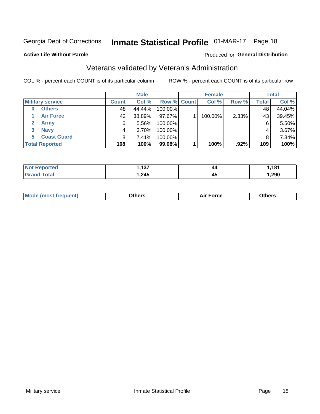## Inmate Statistical Profile 01-MAR-17 Page 18

#### **Active Life Without Parole**

#### Produced for General Distribution

### Veterans validated by Veteran's Administration

COL % - percent each COUNT is of its particular column

|                         |              | <b>Male</b> |             | <b>Female</b> |       |              | <b>Total</b> |
|-------------------------|--------------|-------------|-------------|---------------|-------|--------------|--------------|
| <b>Military service</b> | <b>Count</b> | Col %       | Row % Count | Col %         | Row % | <b>Total</b> | Col %        |
| <b>Others</b><br>0      | 48           | 44.44%      | 100.00%     |               |       | 48           | 44.04%       |
| <b>Air Force</b>        | 42           | 38.89%      | 97.67%      | 100.00%       | 2.33% | 43           | 39.45%       |
| <b>Army</b>             | 6            | 5.56%       | 100.00%     |               |       | 6            | 5.50%        |
| <b>Navy</b><br>3        |              | $3.70\%$    | 100.00%     |               |       | 4            | 3.67%        |
| <b>Coast Guard</b><br>5 |              | 7.41%       | 100.00%     |               |       |              | 7.34%        |
| <b>Total Reported</b>   | 108          | 100%        | 99.08%      | 100%          | .92%  | 109          | 100%         |

| тес         | $\sqrt{2}$ | 44 | ,181 |
|-------------|------------|----|------|
| <b>Tota</b> | ,245       | 45 | ,290 |

| Mo<br>m | ∖‡h∧rc<br>____ | $-0.002$<br>28 F T<br>UI CE | <b>Others</b><br>____ |
|---------|----------------|-----------------------------|-----------------------|
|         |                |                             |                       |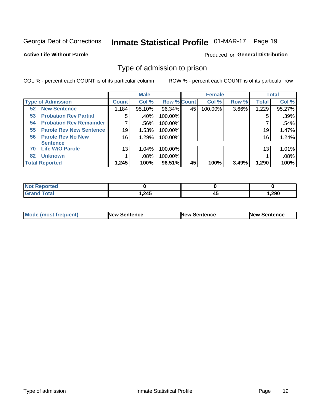## Inmate Statistical Profile 01-MAR-17 Page 19

#### **Active Life Without Parole**

#### Produced for General Distribution

### Type of admission to prison

COL % - percent each COUNT is of its particular column

|                                      |                 | <b>Male</b> |                    |    | <b>Female</b> |       |              | <b>Total</b> |
|--------------------------------------|-----------------|-------------|--------------------|----|---------------|-------|--------------|--------------|
| <b>Type of Admission</b>             | <b>Count</b>    | Col %       | <b>Row % Count</b> |    | Col %         | Row % | <b>Total</b> | Col %        |
| <b>New Sentence</b><br>52            | 1,184           | 95.10%      | 96.34%             | 45 | 100.00%       | 3.66% | 1,229        | 95.27%       |
| <b>Probation Rev Partial</b><br>53   | 5               | .40%        | 100.00%            |    |               |       | 5            | .39%         |
| <b>Probation Rev Remainder</b><br>54 |                 | .56%        | 100.00%            |    |               |       |              | .54%         |
| <b>Parole Rev New Sentence</b><br>55 | 19              | 1.53%       | 100.00%            |    |               |       | 19           | 1.47%        |
| <b>Parole Rev No New</b><br>56       | 16              | 1.29%       | 100.00%            |    |               |       | 16           | 1.24%        |
| <b>Sentence</b>                      |                 |             |                    |    |               |       |              |              |
| <b>Life W/O Parole</b><br>70         | 13 <sub>1</sub> | 1.04%       | 100.00%            |    |               |       | 13           | 1.01%        |
| <b>Unknown</b><br>82                 |                 | .08%        | 100.00%            |    |               |       |              | .08%         |
| <b>Total Reported</b>                | 1,245           | 100%        | 96.51%             | 45 | 100%          | 3.49% | 1,290        | 100%         |

| <b>Not Reported</b>    |       |    |       |
|------------------------|-------|----|-------|
| <b>Total</b><br>"Gran. | 1,245 | ᠇ഄ | 290,، |

| Mode (most frequent) | <b>New Sentence</b> | <b>New Sentence</b> | <b>New Sentence</b> |
|----------------------|---------------------|---------------------|---------------------|
|                      |                     |                     |                     |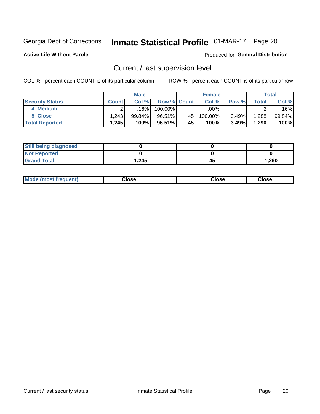## Inmate Statistical Profile 01-MAR-17 Page 20

**Active Life Without Parole** 

#### **Produced for General Distribution**

## Current / last supervision level

COL % - percent each COUNT is of its particular column

|                        |              | <b>Male</b> |                    |    | <b>Female</b> |       |       | Total  |
|------------------------|--------------|-------------|--------------------|----|---------------|-------|-------|--------|
| <b>Security Status</b> | <b>Count</b> | Col%        | <b>Row % Count</b> |    | Col %         | Row % | Total | Col %  |
| 4 Medium               |              | 16%         | 100.00%            |    | .00% '        |       |       | .16%   |
| 5 Close                | .243         | $99.84\%$   | 96.51%             | 45 | 100.00%       | 3.49% | 1,288 | 99.84% |
| <b>Total Reported</b>  | 1,245        | 100%        | 96.51%             | 45 | 100%          | 3.49% | 1,290 | 100%   |

| <b>Still being diagnosed</b> |       |    |       |
|------------------------------|-------|----|-------|
| <b>Not Reported</b>          |       |    |       |
| <b>Grand Total</b>           | 1,245 | 45 | 1,290 |

| <b>Mode (most frequent)</b> | Close | ∵lose | Close |
|-----------------------------|-------|-------|-------|
|                             |       |       |       |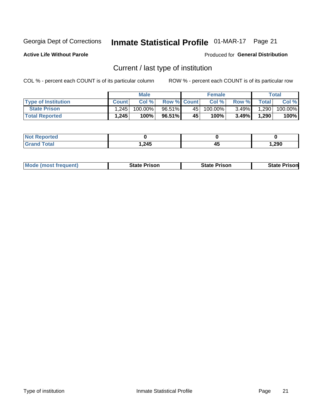## Inmate Statistical Profile 01-MAR-17 Page 21

**Active Life Without Parole** 

Produced for General Distribution

## Current / last type of institution

COL % - percent each COUNT is of its particular column

|                            |              | <b>Male</b> |                    |                 | <b>Female</b> |          |              | <b>Total</b> |
|----------------------------|--------------|-------------|--------------------|-----------------|---------------|----------|--------------|--------------|
| <b>Type of Institution</b> | <b>Count</b> | Col%        | <b>Row % Count</b> |                 | Col %         | Row %    | <b>Total</b> | Col %        |
| <b>State Prison</b>        | 1,245        | $100.00\%$  | 96.51%             | 45              | 100.00%       | $3.49\%$ | 1,290        | 100.00%      |
| <b>Total Reported</b>      | 1,245        | 100%        | 96.51%             | 45 <sup>1</sup> | $100\%$ .     | $3.49\%$ | 1,290        | 100%         |

| τeα             |       |    |        |
|-----------------|-------|----|--------|
| $\sim$ - $\sim$ | 1,245 | 45 | 290, ا |

| <b>Mode (most frequent)</b> | State Prison | <b>State Prison</b> | State<br>⊦Prisonl |
|-----------------------------|--------------|---------------------|-------------------|
|                             |              |                     |                   |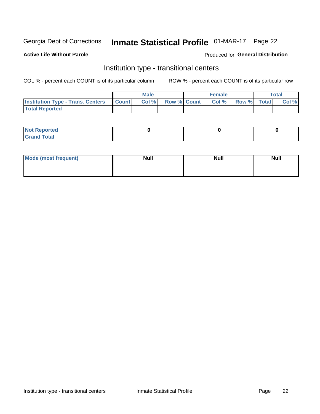## Inmate Statistical Profile 01-MAR-17 Page 22

#### **Active Life Without Parole**

#### Produced for General Distribution

### Institution type - transitional centers

COL % - percent each COUNT is of its particular column

|                                          |              | <b>Male</b> |                    | <b>Female</b> |             | <b>Total</b> |
|------------------------------------------|--------------|-------------|--------------------|---------------|-------------|--------------|
| <b>Institution Type - Trans. Centers</b> | <b>Count</b> | CoI%        | <b>Row % Count</b> | Col %         | Row % Total | Col %        |
| <b>Total Reported</b>                    |              |             |                    |               |             |              |

| <b>Reported</b><br><b>NOT</b><br>$\sim$            |  |  |
|----------------------------------------------------|--|--|
| $f$ $f \circ f \circ f$<br>$C = 1$<br><b>TULAI</b> |  |  |

| Mode (most frequent) | <b>Null</b> | <b>Null</b> | <b>Null</b> |
|----------------------|-------------|-------------|-------------|
|                      |             |             |             |
|                      |             |             |             |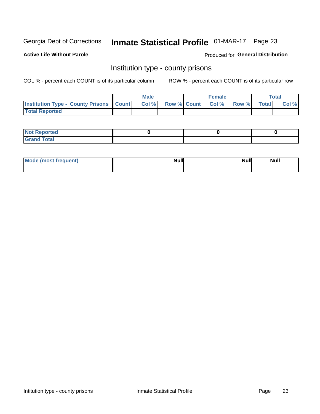## Inmate Statistical Profile 01-MAR-17 Page 23

**Active Life Without Parole** 

**Produced for General Distribution** 

### Institution type - county prisons

COL % - percent each COUNT is of its particular column

|                                                    | <b>Male</b> |       |  | <b>Female</b> |                          |             | <b>Total</b> |       |
|----------------------------------------------------|-------------|-------|--|---------------|--------------------------|-------------|--------------|-------|
| <b>Institution Type - County Prisons   Count  </b> |             | Col % |  |               | <b>Row % Count Col %</b> | Row % Total |              | Col % |
| <b>Total Reported</b>                              |             |       |  |               |                          |             |              |       |

| <b>Not</b><br>: Reported<br> |  |  |
|------------------------------|--|--|
| <b>Total</b><br>---          |  |  |

| Mode (most frequent) | <b>Null</b> | <b>Null</b><br><b>Null</b> |
|----------------------|-------------|----------------------------|
|                      |             |                            |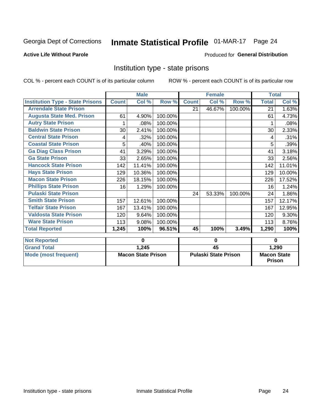## Inmate Statistical Profile 01-MAR-17 Page 24

#### **Active Life Without Parole**

#### Produced for General Distribution

### Institution type - state prisons

COL % - percent each COUNT is of its particular column

ROW % - percent each COUNT is of its particular row

|                                         | <b>Male</b>  |                           |         | <b>Female</b>               |                 |         | <b>Total</b>       |          |  |
|-----------------------------------------|--------------|---------------------------|---------|-----------------------------|-----------------|---------|--------------------|----------|--|
| <b>Institution Type - State Prisons</b> | <b>Count</b> | Col %                     | Row %   | <b>Count</b>                | Col %           | Row %   | <b>Total</b>       | Col %    |  |
| <b>Arrendale State Prison</b>           |              |                           |         | 21                          | 46.67%          | 100.00% | 21                 | 1.63%    |  |
| <b>Augusta State Med. Prison</b>        | 61           | 4.90%                     | 100.00% |                             |                 |         | 61                 | 4.73%    |  |
| <b>Autry State Prison</b>               |              | .08%                      | 100.00% |                             |                 |         |                    | .08%     |  |
| <b>Baldwin State Prison</b>             | 30           | 2.41%                     | 100.00% |                             |                 |         | 30                 | 2.33%    |  |
| <b>Central State Prison</b>             | 4            | .32%                      | 100.00% |                             |                 |         | 4                  | .31%     |  |
| <b>Coastal State Prison</b>             | 5            | .40%                      | 100.00% |                             |                 |         | 5                  | .39%     |  |
| <b>Ga Diag Class Prison</b>             | 41           | 3.29%                     | 100.00% |                             |                 |         | 41                 | 3.18%    |  |
| <b>Ga State Prison</b>                  | 33           | 2.65%                     | 100.00% |                             |                 |         | 33                 | 2.56%    |  |
| <b>Hancock State Prison</b>             | 142          | 11.41%                    | 100.00% |                             |                 |         | 142                | 11.01%   |  |
| <b>Hays State Prison</b>                | 129          | 10.36%                    | 100.00% |                             |                 |         | 129                | 10.00%   |  |
| <b>Macon State Prison</b>               | 226          | 18.15%                    | 100.00% |                             |                 |         | 226                | 17.52%   |  |
| <b>Phillips State Prison</b>            | 16           | 1.29%                     | 100.00% |                             |                 |         | 16                 | 1.24%    |  |
| <b>Pulaski State Prison</b>             |              |                           |         | 24                          | 53.33%          | 100.00% | 24                 | 1.86%    |  |
| <b>Smith State Prison</b>               | 157          | 12.61%                    | 100.00% |                             |                 |         | 157                | 12.17%   |  |
| <b>Telfair State Prison</b>             | 167          | 13.41%                    | 100.00% |                             |                 |         | 167                | 12.95%   |  |
| <b>Valdosta State Prison</b>            | 120          | 9.64%                     | 100.00% |                             |                 |         | 120                | $9.30\%$ |  |
| <b>Ware State Prison</b>                | 113          | 9.08%                     | 100.00% |                             |                 |         | 113                | 8.76%    |  |
| <b>Total Reported</b>                   | 1,245        | 100%                      | 96.51%  | 45                          | 100%            | 3.49%   | 1,290              | 100%     |  |
|                                         |              |                           |         |                             |                 | 0       |                    |          |  |
| <b>Not Reported</b>                     |              | 0                         |         | 0                           |                 |         |                    |          |  |
| <b>Grand Total</b>                      |              | 1,245                     |         |                             | $\overline{45}$ |         |                    | 1,290    |  |
| <b>Mode (most frequent)</b>             |              | <b>Macon State Prison</b> |         | <b>Pulaski State Prison</b> |                 |         | <b>Macon State</b> |          |  |

Prison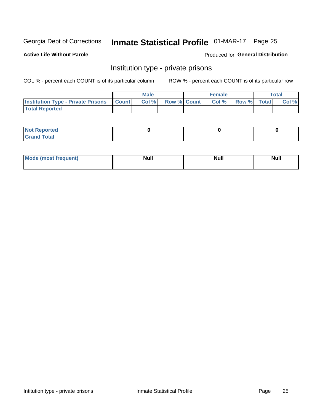## Inmate Statistical Profile 01-MAR-17 Page 25

**Active Life Without Parole** 

Produced for General Distribution

### Institution type - private prisons

COL % - percent each COUNT is of its particular column

|                                                 | <b>Male</b> |      |                    | <b>Female</b> |       |             | Total |       |
|-------------------------------------------------|-------------|------|--------------------|---------------|-------|-------------|-------|-------|
| <b>Institution Type - Private Prisons Count</b> |             | Col% | <b>Row % Count</b> |               | Col % | Row % Total |       | Col % |
| <b>Total Reported</b>                           |             |      |                    |               |       |             |       |       |

| Not Reported           |  |  |
|------------------------|--|--|
| <b>Cotal</b><br>______ |  |  |

| <b>Mo</b><br>frequent) | <b>Null</b> | <b>Null</b> | . . I *<br><b>IVUII</b> |
|------------------------|-------------|-------------|-------------------------|
|                        |             |             |                         |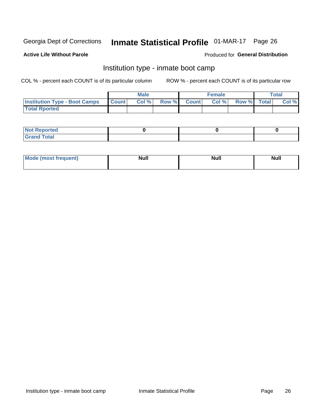## Inmate Statistical Profile 01-MAR-17 Page 26

#### **Active Life Without Parole**

#### Produced for General Distribution

### Institution type - inmate boot camp

COL % - percent each COUNT is of its particular column

|                                      | <b>Male</b>  |       |               |              | <b>Female</b> | <b>Total</b> |  |       |
|--------------------------------------|--------------|-------|---------------|--------------|---------------|--------------|--|-------|
| <b>Institution Type - Boot Camps</b> | <b>Count</b> | Col % | <b>Row %I</b> | <b>Count</b> | Col %         | Row % Total  |  | Col % |
| <b>Total Rported</b>                 |              |       |               |              |               |              |  |       |

| <b>Not Reported</b>            |  |  |
|--------------------------------|--|--|
| <b>Total</b><br>C <sub>r</sub> |  |  |

| Mod<br>uamo | Nul.<br>$- - - - - -$ | <b>Null</b> | <br>uu.<br>------ |
|-------------|-----------------------|-------------|-------------------|
|             |                       |             |                   |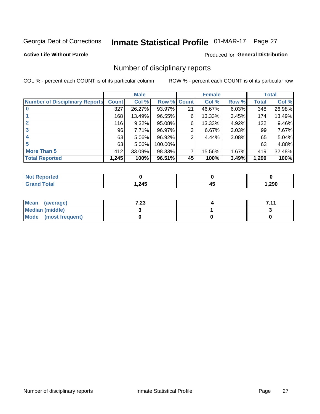## Inmate Statistical Profile 01-MAR-17 Page 27

#### **Active Life Without Parole**

#### **Produced for General Distribution**

### Number of disciplinary reports

COL % - percent each COUNT is of its particular column

|                                       | <b>Male</b>  |          |         | <b>Female</b> |        |          | <b>Total</b> |        |
|---------------------------------------|--------------|----------|---------|---------------|--------|----------|--------------|--------|
| <b>Number of Disciplinary Reports</b> | <b>Count</b> | Col %    | Row %   | <b>Count</b>  | Col %  | Row %    | Total        | Col %  |
|                                       | 327          | 26.27%   | 93.97%  | 21            | 46.67% | 6.03%    | 348          | 26.98% |
|                                       | 168          | 13.49%   | 96.55%  | 6             | 13.33% | 3.45%    | 174          | 13.49% |
| 2                                     | 116          | $9.32\%$ | 95.08%  | 6             | 13.33% | 4.92%    | 122          | 9.46%  |
| 3                                     | 96           | 7.71%    | 96.97%  | 3             | 6.67%  | $3.03\%$ | 99           | 7.67%  |
|                                       | 63           | $5.06\%$ | 96.92%  | 2             | 4.44%  | 3.08%    | 65           | 5.04%  |
| 5                                     | 63           | 5.06%    | 100.00% |               |        |          | 63           | 4.88%  |
| <b>More Than 5</b>                    | 412          | 33.09%   | 98.33%  | 7             | 15.56% | 1.67%    | 419          | 32.48% |
| <b>Total Reported</b>                 | 1,245        | 100%     | 96.51%  | 45            | 100%   | 3.49%    | 1,290        | 100%   |

| NO    |      |   |        |
|-------|------|---|--------|
| Γotal | ,245 | ᠇ | 290ء ا |

| Mean (average)       | 1 ר?<br>د∡. ا | 711 |
|----------------------|---------------|-----|
| Median (middle)      |               |     |
| Mode (most frequent) |               |     |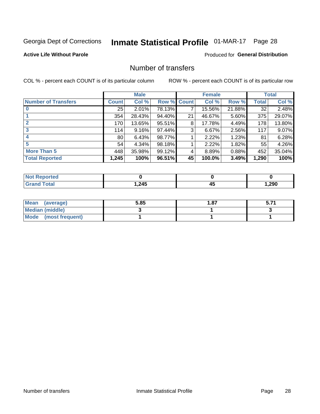## Inmate Statistical Profile 01-MAR-17 Page 28

#### **Active Life Without Parole**

#### Produced for General Distribution

### Number of transfers

COL % - percent each COUNT is of its particular column

|                            | <b>Male</b>     |        | <b>Female</b> |              |        | <b>Total</b> |              |        |
|----------------------------|-----------------|--------|---------------|--------------|--------|--------------|--------------|--------|
| <b>Number of Transfers</b> | Count l         | Col %  | Row %         | <b>Count</b> | Col %  | Row %        | <b>Total</b> | Col %  |
|                            | 25              | 2.01%  | 78.13%        | 7            | 15.56% | 21.88%       | 32           | 2.48%  |
|                            | 354             | 28.43% | 94.40%        | 21           | 46.67% | 5.60%        | 375          | 29.07% |
| 2                          | 170             | 13.65% | 95.51%        | 8            | 17.78% | 4.49%        | 178          | 13.80% |
| 3                          | 114             | 9.16%  | 97.44%        | 3            | 6.67%  | $2.56\%$     | 117          | 9.07%  |
|                            | 80 <sub>1</sub> | 6.43%  | 98.77%        |              | 2.22%  | 1.23%        | 81           | 6.28%  |
| 5                          | 54              | 4.34%  | 98.18%        |              | 2.22%  | 1.82%        | 55           | 4.26%  |
| <b>More Than 5</b>         | 448             | 35.98% | 99.12%        | 4            | 8.89%  | 0.88%        | 452          | 35.04% |
| <b>Total Reported</b>      | 1,245           | 100%   | 96.51%        | 45           | 100.0% | 3.49%        | 1,290        | 100%   |

| NO    |      |   |        |
|-------|------|---|--------|
| Γotal | ,245 | ᠇ | 290ء ا |

| Mean (average)         | 5.85 | 87. ا |  |
|------------------------|------|-------|--|
| <b>Median (middle)</b> |      |       |  |
| Mode (most frequent)   |      |       |  |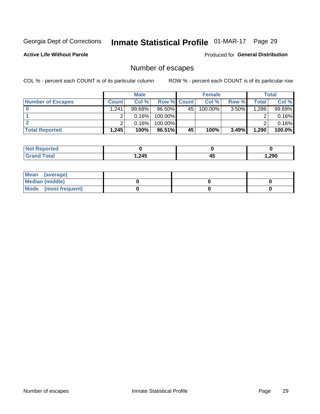## Inmate Statistical Profile 01-MAR-17 Page 29

**Active Life Without Parole** 

**Produced for General Distribution** 

## Number of escapes

COL % - percent each COUNT is of its particular column

|                          | <b>Male</b>  |           |                    | <b>Female</b> |         |          | Total |        |
|--------------------------|--------------|-----------|--------------------|---------------|---------|----------|-------|--------|
| <b>Number of Escapes</b> | <b>Count</b> | Col %     | <b>Row % Count</b> |               | Col %   | Row %    | Total | Col %  |
|                          | 1,241        | $99.68\%$ | $96.50\%$          | 45            | 100.00% | $3.50\%$ | 1,286 | 99.69% |
|                          |              | 0.16%     | 100.00%            |               |         |          |       | 0.16%  |
|                          |              | 0.16%     | $100.00\%$         |               |         |          |       | 0.16%  |
| <b>Total Reported</b>    | 1,245        | 100%      | $96.51\%$          | 45            | 100%    | 3.49%    | 1,290 | 100.0% |

| rted<br>NO:    |        |    |        |
|----------------|--------|----|--------|
| `otal<br>Grand | 245. ا | 45 | 290, ا |

| Mean (average)       |  |  |
|----------------------|--|--|
| Median (middle)      |  |  |
| Mode (most frequent) |  |  |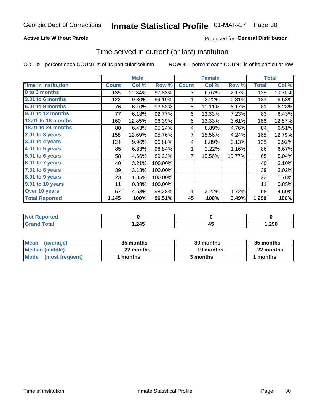#### **Active Life Without Parole**

#### Produced for General Distribution

### Time served in current (or last) institution

COL % - percent each COUNT is of its particular column

|                            |              | <b>Male</b> |         | <b>Female</b> |        |        | <b>Total</b> |        |
|----------------------------|--------------|-------------|---------|---------------|--------|--------|--------------|--------|
| <b>Time In Institution</b> | <b>Count</b> | Col %       | Row %   | <b>Count</b>  | Col %  | Row %  | <b>Total</b> | Col %  |
| 0 to 3 months              | 135          | 10.84%      | 97.83%  | 3             | 6.67%  | 2.17%  | 138          | 10.70% |
| <b>3.01 to 6 months</b>    | 122          | 9.80%       | 99.19%  | 1             | 2.22%  | 0.81%  | 123          | 9.53%  |
| 6.01 to 9 months           | 76           | 6.10%       | 93.83%  | 5             | 11.11% | 6.17%  | 81           | 6.28%  |
| 9.01 to 12 months          | 77           | 6.18%       | 92.77%  | 6             | 13.33% | 7.23%  | 83           | 6.43%  |
| 12.01 to 18 months         | 160          | 12.85%      | 96.39%  | 6             | 13.33% | 3.61%  | 166          | 12.87% |
| <b>18.01 to 24 months</b>  | 80           | 6.43%       | 95.24%  | 4             | 8.89%  | 4.76%  | 84           | 6.51%  |
| $2.01$ to 3 years          | 158          | 12.69%      | 95.76%  | 7             | 15.56% | 4.24%  | 165          | 12.79% |
| $3.01$ to 4 years          | 124          | 9.96%       | 96.88%  | 4             | 8.89%  | 3.13%  | 128          | 9.92%  |
| 4.01 to 5 years            | 85           | 6.83%       | 98.84%  | 1             | 2.22%  | 1.16%  | 86           | 6.67%  |
| 5.01 to 6 years            | 58           | 4.66%       | 89.23%  | 7             | 15.56% | 10.77% | 65           | 5.04%  |
| 6.01 to 7 years            | 40           | 3.21%       | 100.00% |               |        |        | 40           | 3.10%  |
| 7.01 to 8 years            | 39           | 3.13%       | 100.00% |               |        |        | 39           | 3.02%  |
| 8.01 to 9 years            | 23           | 1.85%       | 100.00% |               |        |        | 23           | 1.78%  |
| 9.01 to 10 years           | 11           | 0.88%       | 100.00% |               |        |        | 11           | 0.85%  |
| Over 10 years              | 57           | 4.58%       | 98.28%  | 1             | 2.22%  | 1.72%  | 58           | 4.50%  |
| <b>Total Reported</b>      | 1,245        | 100%        | 96.51%  | 45            | 100%   | 3.49%  | 1,290        | 100%   |

| <b>Not Reported</b> |       |   |      |
|---------------------|-------|---|------|
| Tota <sup>l</sup>   | 1,245 | ∼ | 290, |

| <b>Mean</b><br>(average) | 35 months | 30 months | 35 months |
|--------------------------|-----------|-----------|-----------|
| Median (middle)          | 22 months | 19 months | 22 months |
| Mode (most frequent)     | months    | 3 months  | 1 months  |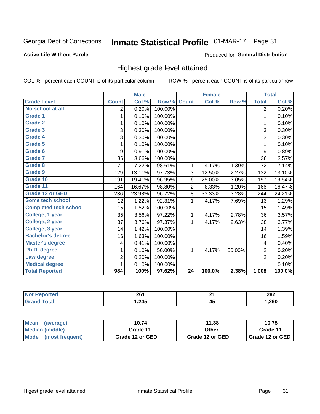## Inmate Statistical Profile 01-MAR-17 Page 31

#### **Active Life Without Parole**

#### Produced for General Distribution

### Highest grade level attained

COL % - percent each COUNT is of its particular column

|                              |                         | <b>Male</b> |         |                 | <b>Female</b> |        |                         | <b>Total</b> |
|------------------------------|-------------------------|-------------|---------|-----------------|---------------|--------|-------------------------|--------------|
| <b>Grade Level</b>           | <b>Count</b>            | Col %       | Row %   | <b>Count</b>    | Col %         | Row %  | <b>Total</b>            | Col %        |
| No school at all             | 2                       | 0.20%       | 100.00% |                 |               |        | 2                       | 0.20%        |
| Grade 1                      | 1                       | 0.10%       | 100.00% |                 |               |        | 1                       | 0.10%        |
| <b>Grade 2</b>               | 1                       | 0.10%       | 100.00% |                 |               |        | $\mathbf 1$             | 0.10%        |
| Grade 3                      | 3                       | 0.30%       | 100.00% |                 |               |        | 3                       | 0.30%        |
| <b>Grade 4</b>               | 3                       | 0.30%       | 100.00% |                 |               |        | 3                       | 0.30%        |
| Grade 5                      | 1                       | 0.10%       | 100.00% |                 |               |        | 1                       | 0.10%        |
| Grade 6                      | 9                       | 0.91%       | 100.00% |                 |               |        | 9                       | 0.89%        |
| <b>Grade 7</b>               | 36                      | 3.66%       | 100.00% |                 |               |        | 36                      | 3.57%        |
| Grade 8                      | 71                      | 7.22%       | 98.61%  | 1               | 4.17%         | 1.39%  | 72                      | 7.14%        |
| Grade 9                      | 129                     | 13.11%      | 97.73%  | 3               | 12.50%        | 2.27%  | 132                     | 13.10%       |
| Grade 10                     | 191                     | 19.41%      | 96.95%  | 6               | 25.00%        | 3.05%  | 197                     | 19.54%       |
| Grade 11                     | 164                     | 16.67%      | 98.80%  | $\overline{2}$  | 8.33%         | 1.20%  | 166                     | 16.47%       |
| <b>Grade 12 or GED</b>       | 236                     | 23.98%      | 96.72%  | 8               | 33.33%        | 3.28%  | 244                     | 24.21%       |
| Some tech school             | 12                      | 1.22%       | 92.31%  | 1               | 4.17%         | 7.69%  | 13                      | 1.29%        |
| <b>Completed tech school</b> | 15                      | 1.52%       | 100.00% |                 |               |        | 15                      | 1.49%        |
| College, 1 year              | 35                      | 3.56%       | 97.22%  | 1               | 4.17%         | 2.78%  | 36                      | 3.57%        |
| College, 2 year              | 37                      | 3.76%       | 97.37%  | 1               | 4.17%         | 2.63%  | 38                      | 3.77%        |
| College, 3 year              | 14                      | 1.42%       | 100.00% |                 |               |        | 14                      | 1.39%        |
| <b>Bachelor's degree</b>     | 16                      | 1.63%       | 100.00% |                 |               |        | 16                      | 1.59%        |
| <b>Master's degree</b>       | $\overline{\mathbf{4}}$ | 0.41%       | 100.00% |                 |               |        | $\overline{\mathbf{4}}$ | 0.40%        |
| Ph.D. degree                 | 1                       | 0.10%       | 50.00%  | 1               | 4.17%         | 50.00% | $\overline{2}$          | 0.20%        |
| Law degree                   | $\overline{2}$          | 0.20%       | 100.00% |                 |               |        | $\overline{2}$          | 0.20%        |
| <b>Medical degree</b>        | 1                       | 0.10%       | 100.00% |                 |               |        | 1                       | 0.10%        |
| <b>Total Reported</b>        | 984                     | 100%        | 97.62%  | $\overline{24}$ | 100.0%        | 2.38%  | 1,008                   | 100.0%       |

| ue o | 261<br>____ | ົ              | 282   |
|------|-------------|----------------|-------|
|      | .245        | . .<br>л.<br>∼ | 1,290 |

| <b>Mean</b><br>(average) | 10.74           | 11.38           | 10.75             |
|--------------------------|-----------------|-----------------|-------------------|
| Median (middle)          | Grade 11        | Other           | Grade 11          |
| Mode<br>(most frequent)  | Grade 12 or GED | Grade 12 or GED | I Grade 12 or GED |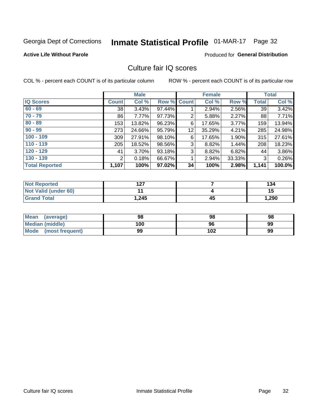## Inmate Statistical Profile 01-MAR-17 Page 32

#### **Active Life Without Parole**

#### Produced for General Distribution

### Culture fair IQ scores

COL % - percent each COUNT is of its particular column

|                       |              | <b>Male</b> |                    |    | <b>Female</b> |        |              | <b>Total</b> |
|-----------------------|--------------|-------------|--------------------|----|---------------|--------|--------------|--------------|
| <b>IQ Scores</b>      | <b>Count</b> | Col %       | <b>Row % Count</b> |    | Col %         | Row %  | <b>Total</b> | Col %        |
| $60 - 69$             | 38           | 3.43%       | 97.44%             |    | 2.94%         | 2.56%  | 39           | 3.42%        |
| $70 - 79$             | 86           | 7.77%       | 97.73%             | 2  | 5.88%         | 2.27%  | 88           | 7.71%        |
| $80 - 89$             | 153          | 13.82%      | 96.23%             | 6  | 17.65%        | 3.77%  | 159          | 13.94%       |
| $90 - 99$             | 273          | 24.66%      | 95.79%             | 12 | 35.29%        | 4.21%  | 285          | 24.98%       |
| $100 - 109$           | 309          | 27.91%      | 98.10%             | 6  | 17.65%        | 1.90%  | 315          | 27.61%       |
| $110 - 119$           | 205          | 18.52%      | 98.56%             | 3  | 8.82%         | 1.44%  | 208          | 18.23%       |
| $120 - 129$           | 41           | 3.70%       | 93.18%             | 3  | 8.82%         | 6.82%  | 44           | 3.86%        |
| $130 - 139$           | 2            | 0.18%       | 66.67%             | 1  | 2.94%         | 33.33% | 3            | 0.26%        |
| <b>Total Reported</b> | 1,107        | 100%        | 97.02%             | 34 | 100%          | 2.98%  | 1,141        | 100.0%       |

| <b>Not Reported</b>  | 1 2 7<br>I 41 |    | 134   |
|----------------------|---------------|----|-------|
| Not Valid (under 60) |               |    | 15    |
| <b>Grand Total</b>   | 1,245         | 45 | 1,290 |

| <b>Mean</b><br>(average) | 98  | 98  | 98 |
|--------------------------|-----|-----|----|
| Median (middle)          | 100 | 96  | 99 |
| Mode (most frequent)     | 99  | 102 | 99 |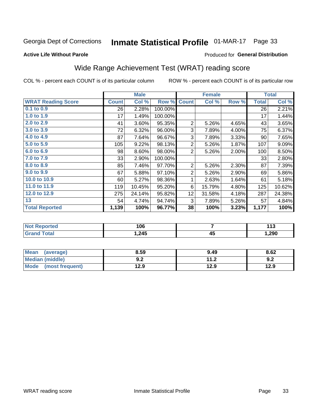## Inmate Statistical Profile 01-MAR-17 Page 33

#### **Active Life Without Parole**

#### Produced for General Distribution

## Wide Range Achievement Test (WRAT) reading score

COL % - percent each COUNT is of its particular column

|                           | <b>Male</b>  |        |         | <b>Female</b>   | <b>Total</b> |       |              |        |
|---------------------------|--------------|--------|---------|-----------------|--------------|-------|--------------|--------|
| <b>WRAT Reading Score</b> | <b>Count</b> | Col %  | Row %   | <b>Count</b>    | Col %        | Row % | <b>Total</b> | Col %  |
| $0.1$ to $0.9$            | 26           | 2.28%  | 100.00% |                 |              |       | 26           | 2.21%  |
| 1.0 to 1.9                | 17           | 1.49%  | 100.00% |                 |              |       | 17           | 1.44%  |
| 2.0 to 2.9                | 41           | 3.60%  | 95.35%  | $\overline{2}$  | 5.26%        | 4.65% | 43           | 3.65%  |
| 3.0 to 3.9                | 72           | 6.32%  | 96.00%  | 3               | 7.89%        | 4.00% | 75           | 6.37%  |
| 4.0 to 4.9                | 87           | 7.64%  | 96.67%  | 3               | 7.89%        | 3.33% | 90           | 7.65%  |
| 5.0 to 5.9                | 105          | 9.22%  | 98.13%  | $\overline{2}$  | 5.26%        | 1.87% | 107          | 9.09%  |
| 6.0 to 6.9                | 98           | 8.60%  | 98.00%  | $\overline{2}$  | 5.26%        | 2.00% | 100          | 8.50%  |
| 7.0 to 7.9                | 33           | 2.90%  | 100.00% |                 |              |       | 33           | 2.80%  |
| 8.0 to 8.9                | 85           | 7.46%  | 97.70%  | $\overline{2}$  | 5.26%        | 2.30% | 87           | 7.39%  |
| 9.0 to 9.9                | 67           | 5.88%  | 97.10%  | $\overline{2}$  | 5.26%        | 2.90% | 69           | 5.86%  |
| 10.0 to 10.9              | 60           | 5.27%  | 98.36%  | 1               | 2.63%        | 1.64% | 61           | 5.18%  |
| 11.0 to 11.9              | 119          | 10.45% | 95.20%  | 6               | 15.79%       | 4.80% | 125          | 10.62% |
| 12.0 to 12.9              | 275          | 24.14% | 95.82%  | 12 <sub>2</sub> | 31.58%       | 4.18% | 287          | 24.38% |
| 13                        | 54           | 4.74%  | 94.74%  | 3               | 7.89%        | 5.26% | 57           | 4.84%  |
| <b>Total Reported</b>     | 1,139        | 100%   | 96.77%  | 38              | 100%         | 3.23% | 1,177        | 100%   |

| <b>Not</b><br><b>Reported</b> | 106   |         | 442<br>. |
|-------------------------------|-------|---------|----------|
| <b>Total</b>                  | 1,245 | л.<br>∼ | 290, ا   |

| <b>Mean</b><br>(average)       | 8.59       | 9.49                 | 8.62 |
|--------------------------------|------------|----------------------|------|
| <b>Median (middle)</b>         | ר ח<br>J.Z | 11 O<br>. <i>. .</i> | 9.Z  |
| <b>Mode</b><br>(most frequent) | l2.9       | 12.9                 | 12.9 |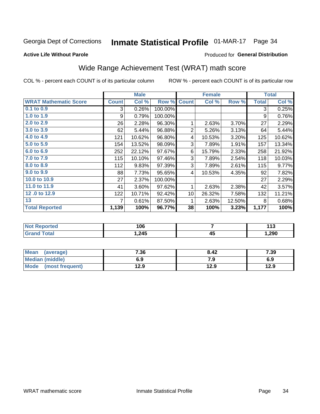## Inmate Statistical Profile 01-MAR-17 Page 34

#### **Active Life Without Parole**

#### Produced for General Distribution

## Wide Range Achievement Test (WRAT) math score

COL % - percent each COUNT is of its particular column

|                              |              | <b>Male</b> |         |                 | <b>Female</b> | <b>Total</b> |              |        |
|------------------------------|--------------|-------------|---------|-----------------|---------------|--------------|--------------|--------|
| <b>WRAT Mathematic Score</b> | <b>Count</b> | Col %       | Row %   | <b>Count</b>    | Col %         | Row %        | <b>Total</b> | Col %  |
| 0.1 to 0.9                   | 3            | 0.26%       | 100.00% |                 |               |              | 3            | 0.25%  |
| 1.0 to 1.9                   | 9            | 0.79%       | 100.00% |                 |               |              | 9            | 0.76%  |
| 2.0 to 2.9                   | 26           | 2.28%       | 96.30%  | 1               | 2.63%         | 3.70%        | 27           | 2.29%  |
| 3.0 to 3.9                   | 62           | 5.44%       | 96.88%  | $\overline{2}$  | 5.26%         | 3.13%        | 64           | 5.44%  |
| 4.0 to 4.9                   | 121          | 10.62%      | 96.80%  | 4               | 10.53%        | 3.20%        | 125          | 10.62% |
| 5.0 to 5.9                   | 154          | 13.52%      | 98.09%  | 3               | 7.89%         | 1.91%        | 157          | 13.34% |
| 6.0 to 6.9                   | 252          | 22.12%      | 97.67%  | 6               | 15.79%        | 2.33%        | 258          | 21.92% |
| 7.0 to 7.9                   | 115          | 10.10%      | 97.46%  | 3               | 7.89%         | 2.54%        | 118          | 10.03% |
| 8.0 to 8.9                   | 112          | 9.83%       | 97.39%  | 3               | 7.89%         | 2.61%        | 115          | 9.77%  |
| 9.0 to 9.9                   | 88           | 7.73%       | 95.65%  | 4               | 10.53%        | 4.35%        | 92           | 7.82%  |
| 10.0 to 10.9                 | 27           | 2.37%       | 100.00% |                 |               |              | 27           | 2.29%  |
| 11.0 to 11.9                 | 41           | 3.60%       | 97.62%  | 1               | 2.63%         | 2.38%        | 42           | 3.57%  |
| 12.0 to 12.9                 | 122          | 10.71%      | 92.42%  | 10 <sup>1</sup> | 26.32%        | 7.58%        | 132          | 11.21% |
| 13                           | 7            | 0.61%       | 87.50%  | 1               | 2.63%         | 12.50%       | 8            | 0.68%  |
| <b>Total Reported</b>        | 1,139        | 100%        | 96.77%  | 38              | 100%          | 3.23%        | 1,177        | 100%   |
|                              |              |             |         |                 |               |              |              |        |

| <b>Not Reported</b>   | 106    |         | 442<br>. |
|-----------------------|--------|---------|----------|
| <b>Total</b><br>Grand | .245.، | ΛI<br>᠇ | 1,290    |

| Mean (average)       | 7.36 | 8.42 | 7.39 |
|----------------------|------|------|------|
| Median (middle)      | 6.9  | 7.9  | 6.9  |
| Mode (most frequent) | 12.9 | 12.9 | 12.9 |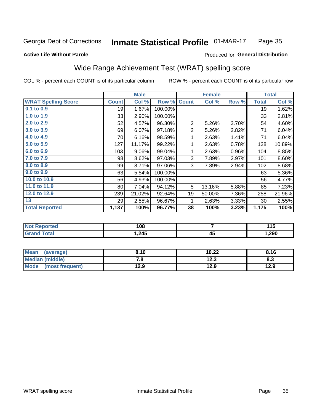#### Inmate Statistical Profile 01-MAR-17 Page 35

#### **Active Life Without Parole**

#### Produced for General Distribution

### Wide Range Achievement Test (WRAT) spelling score

COL % - percent each COUNT is of its particular column

|                            |              | <b>Male</b>      |         | <b>Female</b>  |               |       | <b>Total</b> |        |
|----------------------------|--------------|------------------|---------|----------------|---------------|-------|--------------|--------|
| <b>WRAT Spelling Score</b> | <b>Count</b> | Col %            | Row %   | <b>Count</b>   | Col %         | Row % | <b>Total</b> | Col %  |
| $0.1$ to $0.9$             | 19           | 1.67%            | 100.00% |                |               |       | 19           | 1.62%  |
| 1.0 to 1.9                 | 33           | 2.90%            | 100.00% |                |               |       | 33           | 2.81%  |
| 2.0 to 2.9                 | 52           | 4.57%            | 96.30%  | $\overline{2}$ | 5.26%         | 3.70% | 54           | 4.60%  |
| 3.0 to 3.9                 | 69           | 6.07%            | 97.18%  | $\overline{c}$ | 5.26%         | 2.82% | 71           | 6.04%  |
| 4.0 to 4.9                 | 70           | 6.16%            | 98.59%  | 1              | 2.63%         | 1.41% | 71           | 6.04%  |
| 5.0 to 5.9                 | 127          | 11.17%           | 99.22%  | 1              | 2.63%         | 0.78% | 128          | 10.89% |
| 6.0 to 6.9                 | 103          | 9.06%            | 99.04%  | 1              | 2.63%         | 0.96% | 104          | 8.85%  |
| 7.0 to 7.9                 | 98           | 8.62%            | 97.03%  | 3              | 7.89%         | 2.97% | 101          | 8.60%  |
| 8.0 to 8.9                 | 99           | 8.71%            | 97.06%  | 3              | 7.89%         | 2.94% | 102          | 8.68%  |
| 9.0 to 9.9                 | 63           | 5.54%            | 100.00% |                |               |       | 63           | 5.36%  |
| 10.0 to 10.9               | 56           | 4.93%            | 100.00% |                |               |       | 56           | 4.77%  |
| 11.0 to 11.9               | 80           | 7.04%            | 94.12%  | 5              | 13.16%        | 5.88% | 85           | 7.23%  |
| 12.0 to 12.9               | 239          | 21.02%           | 92.64%  | 19             | 50.00%        | 7.36% | 258          | 21.96% |
| 13                         | 29           | 2.55%            | 96.67%  | 1              | 2.63%         | 3.33% | 30           | 2.55%  |
| <b>Total Reported</b>      | 1,137        | 100%             | 96.77%  | 38             | 100%          | 3.23% | 1,175        | 100%   |
|                            |              |                  |         |                |               |       |              |        |
| Mart Daniel and a st       |              | $\overline{100}$ |         |                | $\rightarrow$ |       |              | 44 F   |

| ontea    | 108    |           | .      |
|----------|--------|-----------|--------|
| $\sim$ . | 245. ا | A I<br>᠇៶ | 290, ا |

| <b>Mean</b><br>(average) | 8.10 | 10.22 | 8.16 |
|--------------------------|------|-------|------|
| Median (middle)          | 7.a  | 12.3  | 8.3  |
| Mode<br>(most frequent)  | 12.9 | 12.9  | 12.9 |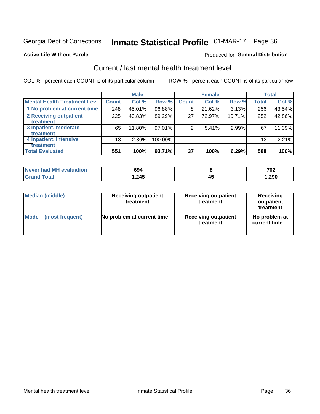## Inmate Statistical Profile 01-MAR-17 Page 36

#### **Active Life Without Parole**

#### **Produced for General Distribution**

## Current / last mental health treatment level

COL % - percent each COUNT is of its particular column

|                                    |              | <b>Male</b> |           |              | <b>Female</b> |        |                 | <b>Total</b> |
|------------------------------------|--------------|-------------|-----------|--------------|---------------|--------|-----------------|--------------|
| <b>Mental Health Treatment Lev</b> | <b>Count</b> | Col%        | Row %     | <b>Count</b> | Col %         | Row %  | Total           | Col %        |
| 1 No problem at current time       | 248          | 45.01%      | 96.88%    | 8            | 21.62%        | 3.13%  | 256             | 43.54%       |
| 2 Receiving outpatient             | 225          | 40.83%      | 89.29%    | 27           | 72.97%        | 10.71% | 252             | 42.86%       |
| Treatment                          |              |             |           |              |               |        |                 |              |
| 3 Inpatient, moderate              | 65           | 11.80%      | $97.01\%$ | 2            | 5.41%         | 2.99%  | 67              | 11.39%       |
| Treatment                          |              |             |           |              |               |        |                 |              |
| 4 Inpatient, intensive             | 13           | $2.36\%$    | 100.00%   |              |               |        | 13 <sub>1</sub> | 2.21%        |
| Treatment                          |              |             |           |              |               |        |                 |              |
| <b>Total Evaluated</b>             | 551          | 100%        | 93.71%    | 37           | 100%          | 6.29%  | 588             | 100%         |

| Never had MH evaluation | 694    |    | 702  |
|-------------------------|--------|----|------|
| $\tau$ otal             | 245. ا | ᠇֊ | 290, |

| <b>Median (middle)</b> | <b>Receiving outpatient</b><br>treatment | <b>Receiving outpatient</b><br>treatment | <b>Receiving</b><br>outpatient<br>treatment |  |  |
|------------------------|------------------------------------------|------------------------------------------|---------------------------------------------|--|--|
| <b>Mode</b>            | No problem at current time               | <b>Receiving outpatient</b>              | No problem at                               |  |  |
| (most frequent)        |                                          | treatment                                | current time                                |  |  |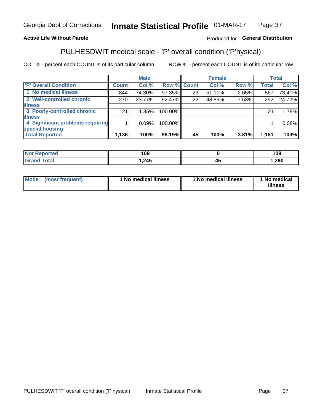#### Inmate Statistical Profile 01-MAR-17 Page 37

#### **Active Life Without Parole**

#### Produced for General Distribution

## PULHESDWIT medical scale - 'P' overall condition ('P'hysical)

COL % - percent each COUNT is of its particular column

|                                  |         | <b>Male</b> |                    |    | <b>Female</b> |       |              | <b>Total</b> |
|----------------------------------|---------|-------------|--------------------|----|---------------|-------|--------------|--------------|
| 'P' Overall Condition            | Count l | Col %       | <b>Row % Count</b> |    | Col %         | Row % | <b>Total</b> | Col %        |
| 1 No medical illness             | 844     | 74.30%      | 97.35%             | 23 | $51.11\%$     | 2.65% | 867          | 73.41%       |
| 2 Well-controlled chronic        | 270     | 23.77%      | 92.47%             | 22 | 48.89%        | 7.53% | 292          | 24.72%       |
| <b>illness</b>                   |         |             |                    |    |               |       |              |              |
| 3 Poorly-controlled chronic      | 21      | 1.85%       | 100.00%            |    |               |       | 21           | 1.78%        |
| <b>illness</b>                   |         |             |                    |    |               |       |              |              |
| 4 Significant problems requiring |         | 0.09%       | 100.00%            |    |               |       |              | 0.08%        |
| special housing                  |         |             |                    |    |               |       |              |              |
| <b>Total Reported</b>            | 1,136   | 100%        | 96.19%             | 45 | 100%          | 3.81% | 1,181        | 100%         |

|      | 109  |                    | 109  |
|------|------|--------------------|------|
| ____ | .24F | $\mathbf{r}$<br>᠇៶ | ,290 |

| <b>Mode</b> | (most frequent) | ' No medical illness | 1 No medical illness | 1 No medical<br>illness |
|-------------|-----------------|----------------------|----------------------|-------------------------|
|-------------|-----------------|----------------------|----------------------|-------------------------|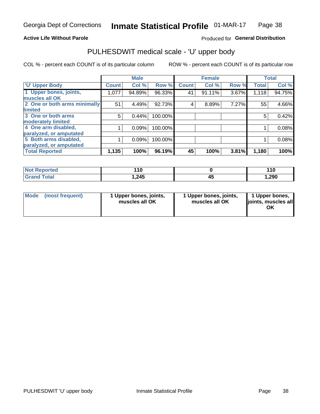#### **Active Life Without Parole**

#### Produced for General Distribution

## PULHESDWIT medical scale - 'U' upper body

COL % - percent each COUNT is of its particular column

|                              |               | <b>Male</b> |         |              | <b>Female</b> |       |              | <b>Total</b> |
|------------------------------|---------------|-------------|---------|--------------|---------------|-------|--------------|--------------|
| <b>U' Upper Body</b>         | <b>Count!</b> | Col %       | Row %   | <b>Count</b> | Col %         | Row % | <b>Total</b> | Col %        |
| 1 Upper bones, joints,       | 1,077         | 94.89%      | 96.33%  | 41           | $91.11\%$     | 3.67% | 1,118        | 94.75%       |
| muscles all OK               |               |             |         |              |               |       |              |              |
| 2 One or both arms minimally | 51            | 4.49%       | 92.73%  | 4            | 8.89%         | 7.27% | 55           | 4.66%        |
| limited                      |               |             |         |              |               |       |              |              |
| 3 One or both arms           | 5             | 0.44%       | 100.00% |              |               |       | 5            | 0.42%        |
| <b>moderately limited</b>    |               |             |         |              |               |       |              |              |
| 4 One arm disabled,          |               | 0.09%       | 100.00% |              |               |       |              | 0.08%        |
| paralyzed, or amputated      |               |             |         |              |               |       |              |              |
| 5 Both arms disabled,        |               | 0.09%       | 100.00% |              |               |       |              | 0.08%        |
| paralyzed, or amputated      |               |             |         |              |               |       |              |              |
| <b>Total Reported</b>        | 1,135         | 100%        | 96.19%  | 45           | 100%          | 3.81% | 1,180        | 100%         |

| <b>Not Reported</b> | 44 C  | 110   |
|---------------------|-------|-------|
| <b>Grand Total</b>  | 1,245 | .290, |

| Mode (most frequent) | 1 Upper bones, joints,<br>muscles all OK | 1 Upper bones, joints,<br>muscles all OK | 1 Upper bones,<br>joints, muscles all<br>ΟK |
|----------------------|------------------------------------------|------------------------------------------|---------------------------------------------|
|----------------------|------------------------------------------|------------------------------------------|---------------------------------------------|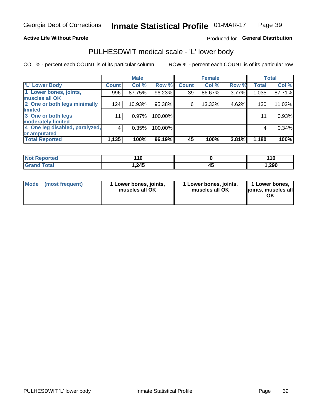#### **Active Life Without Parole**

#### Produced for General Distribution

### PULHESDWIT medical scale - 'L' lower body

COL % - percent each COUNT is of its particular column

|                                |              | <b>Male</b> |         |              | <b>Female</b> |       |              | <b>Total</b> |
|--------------------------------|--------------|-------------|---------|--------------|---------------|-------|--------------|--------------|
| 'L' Lower Body                 | <b>Count</b> | Col %       | Row %   | <b>Count</b> | Col %         | Row % | <b>Total</b> | Col %        |
| 1 Lower bones, joints,         | 996          | 87.75%      | 96.23%  | 39           | 86.67%        | 3.77% | 1,035        | 87.71%       |
| muscles all OK                 |              |             |         |              |               |       |              |              |
| 2 One or both legs minimally   | 124          | 10.93%      | 95.38%  | 6            | 13.33%        | 4.62% | 130          | 11.02%       |
| limited                        |              |             |         |              |               |       |              |              |
| 3 One or both legs             | 11           | 0.97%       | 100.00% |              |               |       | 11           | 0.93%        |
| moderately limited             |              |             |         |              |               |       |              |              |
| 4 One leg disabled, paralyzed, | 4            | 0.35%       | 100.00% |              |               |       | 4            | 0.34%        |
| or amputated                   |              |             |         |              |               |       |              |              |
| <b>Total Reported</b>          | 1,135        | 100%        | 96.19%  | 45           | 100%          | 3.81% | 1,180        | 100%         |

| <b>Not Reported</b> | 10    | 110    |
|---------------------|-------|--------|
| <b>Grand Total</b>  | 1,245 | 290, ا |

|  | Mode (most frequent) | 1 Lower bones, joints,<br>muscles all OK | 1 Lower bones, joints,<br>muscles all OK | 1 Lower bones,<br>joints, muscles all<br>ΟK |
|--|----------------------|------------------------------------------|------------------------------------------|---------------------------------------------|
|--|----------------------|------------------------------------------|------------------------------------------|---------------------------------------------|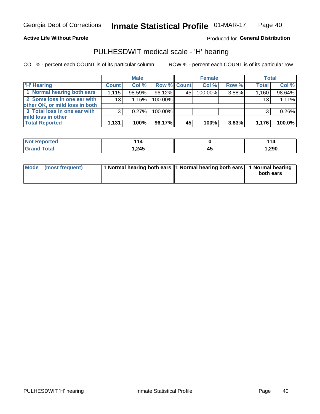#### **Active Life Without Parole**

**Produced for General Distribution** 

### PULHESDWIT medical scale - 'H' hearing

COL % - percent each COUNT is of its particular column

|                                                               |                 | <b>Male</b> |                    |     | <b>Female</b> |          | <b>Total</b> |        |
|---------------------------------------------------------------|-----------------|-------------|--------------------|-----|---------------|----------|--------------|--------|
| <b>H'</b> Hearing                                             | <b>Count</b>    | Col %       | <b>Row % Count</b> |     | Col%          | Row %    | <b>Total</b> | Col %  |
| 1 Normal hearing both ears                                    | 1,115           | 98.59%      | 96.12%             | 45' | 100.00%       | 3.88%    | 1,160        | 98.64% |
| 2 Some loss in one ear with<br>other OK, or mild loss in both | 13 <sub>1</sub> | 1.15%       | 100.00%            |     |               |          | 13           | 1.11%  |
| 3 Total loss in one ear with<br>mild loss in other            | 3               | 0.27%       | 100.00%            |     |               |          |              | 0.26%  |
| <b>Total Reported</b>                                         | 1,131           | 100%        | 96.17%             | 45  | 100%          | $3.83\%$ | 1,176        | 100.0% |

| Reported<br><b>NOT</b> | '14∶         | . .<br> |
|------------------------|--------------|---------|
| <b>otal</b>            | クイベ<br>U+4,I | ,290    |

| Mode (most frequent) | 1 Normal hearing both ears 1 Normal hearing both ears 1 Normal hearing | both ears |
|----------------------|------------------------------------------------------------------------|-----------|
|                      |                                                                        |           |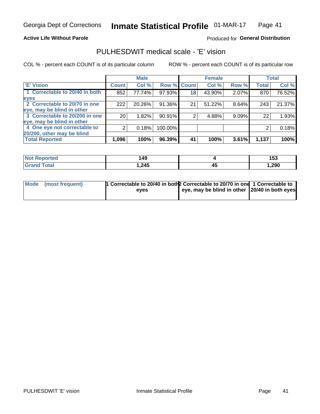#### **Active Life Without Parole**

#### Produced for General Distribution

### PULHESDWIT medical scale - 'E' vision

COL % - percent each COUNT is of its particular column

|                                |                 | <b>Male</b> |             |                 | <b>Female</b> |       |              | <b>Total</b> |
|--------------------------------|-----------------|-------------|-------------|-----------------|---------------|-------|--------------|--------------|
| <b>E' Vision</b>               | <b>Count</b>    | Col %       | Row % Count |                 | Col %         | Row % | <b>Total</b> | Col %        |
| 1 Correctable to 20/40 in both | 852             | 77.74%      | 97.93%      | 18 <sub>1</sub> | 43.90%        | 2.07% | 870          | 76.52%       |
| eyes                           |                 |             |             |                 |               |       |              |              |
| 2 Correctable to 20/70 in one  | 222             | 20.26%      | 91.36%      | 21              | 51.22%        | 8.64% | 243          | 21.37%       |
| eye, may be blind in other     |                 |             |             |                 |               |       |              |              |
| 3 Correctable to 20/200 in one | 20 <sub>1</sub> | 1.82%       | 90.91%      |                 | 4.88%         | 9.09% | 22           | 1.93%        |
| eye, may be blind in other     |                 |             |             |                 |               |       |              |              |
| 4 One eye not correctable to   |                 | 0.18%       | 100.00%     |                 |               |       | 2            | 0.18%        |
| 20/200, other may be blind     |                 |             |             |                 |               |       |              |              |
| <b>Total Reported</b>          | 1,096           | 100%        | 96.39%      | 41              | 100%          | 3.61% | 1,137        | 100%         |

| <b>Not Reported</b> | 49    |    | 4E <sub>c</sub><br>199 |
|---------------------|-------|----|------------------------|
| Total               | 1,245 | 45 | .290                   |

| Mode (most frequent) | 1 Correctable to 20/40 in both 2 Correctable to 20/70 in one 1 Correctable to |                                               |  |
|----------------------|-------------------------------------------------------------------------------|-----------------------------------------------|--|
|                      | eves                                                                          | eye, may be blind in other 20/40 in both eyes |  |
|                      |                                                                               |                                               |  |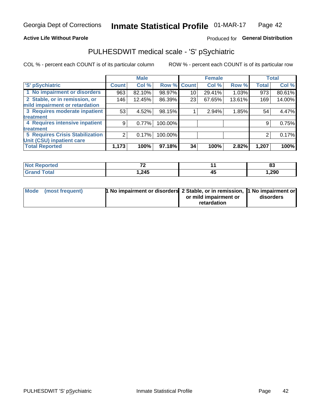#### **Active Life Without Parole**

#### Produced for General Distribution

## PULHESDWIT medical scale - 'S' pSychiatric

COL % - percent each COUNT is of its particular column

|                                        |              | <b>Male</b> |                    |    | <b>Female</b> |        |              | <b>Total</b> |
|----------------------------------------|--------------|-------------|--------------------|----|---------------|--------|--------------|--------------|
| 'S' pSychiatric                        | <b>Count</b> | Col %       | <b>Row % Count</b> |    | Col %         | Row %  | <b>Total</b> | Col %        |
| 1 No impairment or disorders           | 963          | 82.10%      | 98.97%             | 10 | 29.41%        | 1.03%  | 973          | 80.61%       |
| 2 Stable, or in remission, or          | 146          | 12.45%      | 86.39%             | 23 | 67.65%        | 13.61% | 169          | 14.00%       |
| mild impairment or retardation         |              |             |                    |    |               |        |              |              |
| 3 Requires moderate inpatient          | 53           | $4.52\%$    | 98.15%             |    | 2.94%         | 1.85%  | 54           | 4.47%        |
| treatment                              |              |             |                    |    |               |        |              |              |
| 4 Requires intensive inpatient         | 9            | 0.77%       | 100.00%            |    |               |        | 9            | 0.75%        |
| treatment                              |              |             |                    |    |               |        |              |              |
| <b>5 Requires Crisis Stabilization</b> | ◠            | 0.17%       | 100.00%            |    |               |        | 2            | 0.17%        |
| Unit (CSU) inpatient care              |              |             |                    |    |               |        |              |              |
| <b>Total Reported</b>                  | 1,173        | 100%        | 97.18%             | 34 | 100%          | 2.82%  | 1,207        | 100%         |

| <b>Not Reported</b>   | $\overline{\phantom{a}}$ | n.<br>ია |
|-----------------------|--------------------------|----------|
| Total<br><b>Grand</b> | 1,245                    | 290. ا   |

| Mode (most frequent) | <b>1 No impairment or disorders</b> 2 Stable, or in remission, 11 No impairment or |                       |           |
|----------------------|------------------------------------------------------------------------------------|-----------------------|-----------|
|                      |                                                                                    | or mild impairment or | disorders |
|                      |                                                                                    | retardation           |           |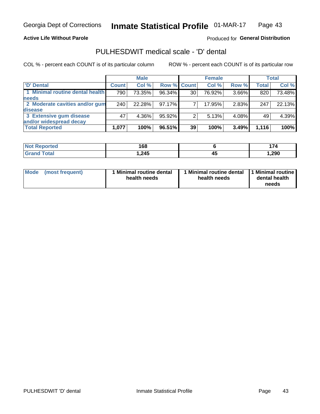**Active Life Without Parole** 

Produced for General Distribution

### PULHESDWIT medical scale - 'D' dental

COL % - percent each COUNT is of its particular column

|                                 |              | <b>Male</b> |             |    | <b>Female</b> |       |              | <b>Total</b> |
|---------------------------------|--------------|-------------|-------------|----|---------------|-------|--------------|--------------|
| 'D' Dental                      | <b>Count</b> | Col %       | Row % Count |    | Col %         | Row % | <b>Total</b> | Col %        |
| 1 Minimal routine dental health | 790          | 73.35%      | 96.34%      | 30 | 76.92%        | 3.66% | 820          | 73.48%       |
| <b>needs</b>                    |              |             |             |    |               |       |              |              |
| 2 Moderate cavities and/or gum  | 240          | 22.28%      | 97.17%      |    | 17.95%        | 2.83% | 247          | 22.13%       |
| disease                         |              |             |             |    |               |       |              |              |
| 3 Extensive gum disease         | 47           | 4.36%       | 95.92%      |    | 5.13%         | 4.08% | 49           | 4.39%        |
| and/or widespread decay         |              |             |             |    |               |       |              |              |
| <b>Total Reported</b>           | 1,077        | 100%        | 96.51%      | 39 | 100%          | 3.49% | 1,116        | 100%         |

| rtea<br><b>NOT</b><br>. | 168    |    |       |
|-------------------------|--------|----|-------|
| int                     | 245. ا | 43 | 1,290 |

| <b>Mode</b>     | Minimal routine dental | 1 Minimal routine dental 1 Minimal routine | dental health |
|-----------------|------------------------|--------------------------------------------|---------------|
| (most frequent) | health needs           | health needs                               | needs         |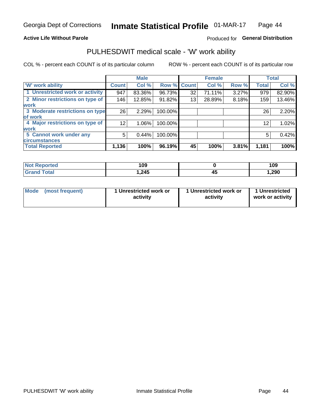#### **Active Life Without Parole**

#### Produced for General Distribution

### PULHESDWIT medical scale - 'W' work ability

COL % - percent each COUNT is of its particular column

|                                 |                 | <b>Male</b> |         |             | <b>Female</b> |       |              | <b>Total</b> |
|---------------------------------|-----------------|-------------|---------|-------------|---------------|-------|--------------|--------------|
| <b>W' work ability</b>          | <b>Count</b>    | Col %       |         | Row % Count | Col %         | Row % | <b>Total</b> | Col %        |
| 1 Unrestricted work or activity | 947             | 83.36%      | 96.73%  | 32          | 71.11%        | 3.27% | 979          | 82.90%       |
| 2 Minor restrictions on type of | 146             | 12.85%      | 91.82%  | 13          | 28.89%        | 8.18% | 159          | 13.46%       |
| <b>work</b>                     |                 |             |         |             |               |       |              |              |
| 3 Moderate restrictions on type | 26              | 2.29%       | 100.00% |             |               |       | 26           | 2.20%        |
| lof work                        |                 |             |         |             |               |       |              |              |
| 4 Major restrictions on type of | 12 <sub>1</sub> | $1.06\%$    | 100.00% |             |               |       | 12           | 1.02%        |
| <b>work</b>                     |                 |             |         |             |               |       |              |              |
| 5 Cannot work under any         | 5               | 0.44%       | 100.00% |             |               |       | 5            | 0.42%        |
| <b>circumstances</b>            |                 |             |         |             |               |       |              |              |
| <b>Total Reported</b>           | 1,136           | 100%        | 96.19%  | 45          | 100%          | 3.81% | 1,181        | 100%         |

| <b>Not Reported</b>         | 109    |    | 109  |
|-----------------------------|--------|----|------|
| <b>Total</b><br><b>Gran</b> | 245. ا | т. | ,290 |

| Mode            | 1 Unrestricted work or | 1 Unrestricted work or | 1 Unrestricted   |
|-----------------|------------------------|------------------------|------------------|
| (most frequent) | activity               | activity               | work or activity |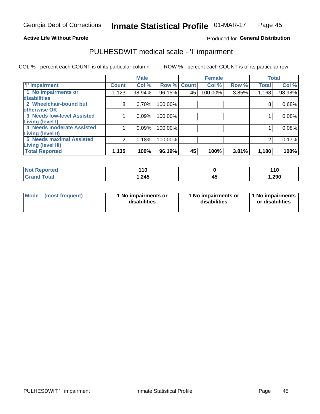#### **Active Life Without Parole**

#### Produced for General Distribution

## PULHESDWIT medical scale - 'I' impairment

COL % - percent each COUNT is of its particular column ROW % - percent each COUNT is of its particular row

|                                   |                | <b>Male</b> |             |    | <b>Female</b> |       |              | <b>Total</b> |
|-----------------------------------|----------------|-------------|-------------|----|---------------|-------|--------------|--------------|
| <b>T' Impairment</b>              | <b>Count</b>   | Col %       | Row % Count |    | Col %         | Row % | <b>Total</b> | Col %        |
| 1 No impairments or               | 1,123          | 98.94%      | 96.15%      | 45 | 100.00%       | 3.85% | 1,168        | 98.98%       |
| <b>disabilities</b>               |                |             |             |    |               |       |              |              |
| 2 Wheelchair-bound but            | 8              | 0.70%       | 100.00%     |    |               |       | 8            | 0.68%        |
| otherwise OK                      |                |             |             |    |               |       |              |              |
| <b>3 Needs low-level Assisted</b> |                | 0.09%       | 100.00%     |    |               |       |              | 0.08%        |
| Living (level I)                  |                |             |             |    |               |       |              |              |
| 4 Needs moderate Assisted         |                | 0.09%       | 100.00%     |    |               |       |              | 0.08%        |
| Living (level II)                 |                |             |             |    |               |       |              |              |
| <b>5 Needs maximal Assisted</b>   | $\overline{2}$ | 0.18%       | 100.00%     |    |               |       | 2            | 0.17%        |
| <b>Living (level III)</b>         |                |             |             |    |               |       |              |              |
| <b>Total Reported</b>             | 1,135          | 100%        | 96.19%      | 45 | 100%          | 3.81% | 1,180        | 100%         |

| <b>orted</b> | 110  | 110   |
|--------------|------|-------|
| <b>Total</b> | .245 | 1,290 |

| Mode | (most frequent) | 1 No impairments or<br>disabilities | 1 No impairments or<br>disabilities | 1 No impairments<br>or disabilities |
|------|-----------------|-------------------------------------|-------------------------------------|-------------------------------------|
|------|-----------------|-------------------------------------|-------------------------------------|-------------------------------------|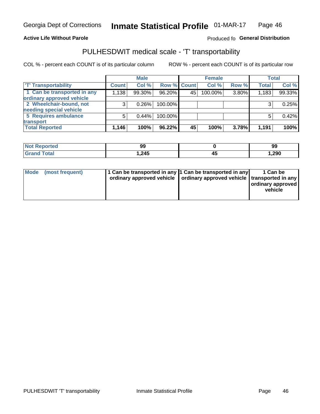#### **Active Life Without Parole**

#### Produced fo General Distribution

## PULHESDWIT medical scale - 'T' transportability

COL % - percent each COUNT is of its particular column

|                             |              | <b>Male</b> |             |     | <b>Female</b> |       |              | <b>Total</b> |
|-----------------------------|--------------|-------------|-------------|-----|---------------|-------|--------------|--------------|
| <b>T' Transportability</b>  | <b>Count</b> | Col%        | Row % Count |     | Col %         | Row % | <b>Total</b> | Col %        |
| 1 Can be transported in any | 1,138        | 99.30%      | 96.20%      | 45' | 100.00%       | 3.80% | 1,183        | 99.33%       |
| ordinary approved vehicle   |              |             |             |     |               |       |              |              |
| 2 Wheelchair-bound, not     |              | 0.26%       | 100.00%     |     |               |       |              | 0.25%        |
| needing special vehicle     |              |             |             |     |               |       |              |              |
| 5 Requires ambulance        |              | 0.44%       | 100.00%     |     |               |       |              | 0.42%        |
| transport                   |              |             |             |     |               |       |              |              |
| <b>Total Reported</b>       | 1,146        | 100%        | 96.22%      | 45  | 100%          | 3.78% | 1,191        | 100%         |

| Reported | 99   | 99    |
|----------|------|-------|
| 'otal    | .245 | 1,290 |

| Mode (most frequent) | 1 Can be transported in any 1 Can be transported in any | ordinary approved vehicle   ordinary approved vehicle   transported in any | 1 Can be<br>  ordinary approved<br>vehicle |
|----------------------|---------------------------------------------------------|----------------------------------------------------------------------------|--------------------------------------------|
|----------------------|---------------------------------------------------------|----------------------------------------------------------------------------|--------------------------------------------|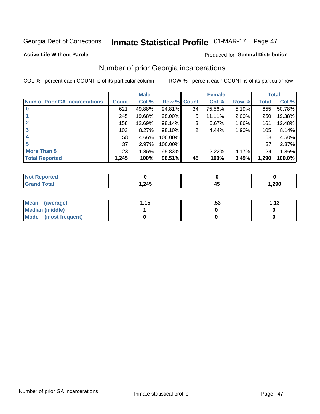## Inmate Statistical Profile 01-MAR-17 Page 47

#### **Active Life Without Parole**

#### **Produced for General Distribution**

### Number of prior Georgia incarcerations

COL % - percent each COUNT is of its particular column

|                                       |              | <b>Male</b> |                    |    | <b>Female</b> |          |       | <b>Total</b> |
|---------------------------------------|--------------|-------------|--------------------|----|---------------|----------|-------|--------------|
| <b>Num of Prior GA Incarcerations</b> | <b>Count</b> | Col %       | <b>Row % Count</b> |    | Col %         | Row %    | Total | Col %        |
|                                       | 621          | 49.88%      | 94.81%             | 34 | 75.56%        | 5.19%    | 655   | 50.78%       |
|                                       | 245          | 19.68%      | 98.00%             | 5  | 11.11%        | $2.00\%$ | 250   | 19.38%       |
|                                       | 158          | 12.69%      | 98.14%             | 3  | 6.67%         | $1.86\%$ | 161   | 12.48%       |
| 3                                     | 103          | 8.27%       | 98.10%             | 2  | 4.44%         | 1.90%    | 105   | 8.14%        |
|                                       | 58           | 4.66%       | 100.00%            |    |               |          | 58    | 4.50%        |
| 5                                     | 37           | 2.97%       | 100.00%            |    |               |          | 37    | 2.87%        |
| <b>More Than 5</b>                    | 23           | 1.85%       | 95.83%             |    | 2.22%         | 4.17%    | 24    | 1.86%        |
| <b>Total Reported</b>                 | 1,245        | 100%        | 96.51%             | 45 | 100%          | 3.49%    | 1,290 | 100.0%       |

| orted                           |              |    |       |
|---------------------------------|--------------|----|-------|
| <b>otal</b><br>$\mathbf{v}$ and | クイベ<br>1.Z4J | −~ | 290,، |

| Mean (average)         | 1.15 | .აა | 1.13 |
|------------------------|------|-----|------|
| <b>Median (middle)</b> |      |     |      |
| Mode (most frequent)   |      |     |      |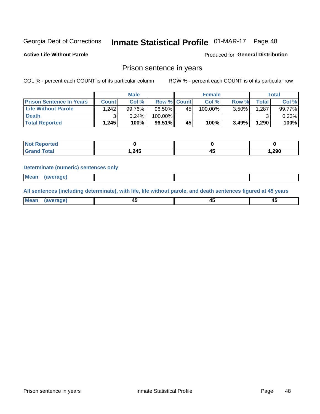## Inmate Statistical Profile 01-MAR-17 Page 48

**Active Life Without Parole** 

**Produced for General Distribution** 

### Prison sentence in years

COL % - percent each COUNT is of its particular column

ROW % - percent each COUNT is of its particular row

|                                 |         | <b>Male</b> |           |                    | <b>Female</b> |       |              | Total           |
|---------------------------------|---------|-------------|-----------|--------------------|---------------|-------|--------------|-----------------|
| <b>Prison Sentence In Years</b> | Count l | Col %       |           | <b>Row % Count</b> | Col %         | Row % | <b>Total</b> | Col %           |
| <b>Life Without Parole</b>      | .242    | 99.76%      | $96.50\%$ | 45                 | $100.00\%$    | 3.50% | 1,287        | 99.77% <b>I</b> |
| <b>Death</b>                    |         | 0.24%       | 100.00%   |                    |               |       |              | 0.23%           |
| <b>Total Reported</b>           | 1,245   | 100%        | 96.51%    | 45                 | 100%          | 3.49% | 1,290        | 100%            |

| ported       |       |    |        |
|--------------|-------|----|--------|
| <b>Total</b> | .245، | -- | 290, ا |

#### **Determinate (numeric) sentences only**

| 1112211 | <b>Mean</b> | Ane <sup>*</sup> |  |  |
|---------|-------------|------------------|--|--|

All sentences (including determinate), with life, life without parole, and death sentences figured at 45 years

| l Mea<br>'ЯМА<br>.<br> | ᠇<br>$\sim$ | $\sim$ |  |
|------------------------|-------------|--------|--|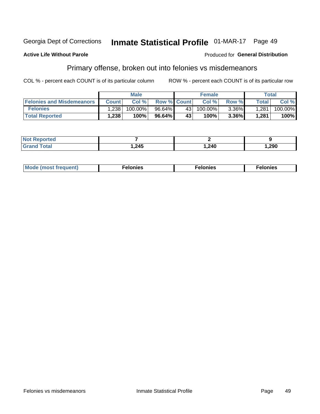#### **Georgia Dept of Corrections** Inmate Statistical Profile 01-MAR-17 Page 49

#### **Active Life Without Parole**

#### **Produced for General Distribution**

### Primary offense, broken out into felonies vs misdemeanors

COL % - percent each COUNT is of its particular column

|                                  |              | <b>Male</b> |                    |                 | <b>Female</b> |          |              | Total      |
|----------------------------------|--------------|-------------|--------------------|-----------------|---------------|----------|--------------|------------|
| <b>Felonies and Misdemeanors</b> | <b>Count</b> | Col%        | <b>Row % Count</b> |                 | Col%          | Row %    | <b>Total</b> | Col %      |
| <b>Felonies</b>                  | .238         | $100.00\%$  | 96.64%             | 43 <sup>1</sup> | $100.00\%$    | $3.36\%$ | 1,281        | $100.00\%$ |
| <b>Total Reported</b>            | .238         | $100\%$     | 96.64%             | 43              | 100%          | $3.36\%$ | 1,281        | 100%       |

| <b>Not Reported</b>          |       |       |        |
|------------------------------|-------|-------|--------|
| <b>Total</b><br><b>Grand</b> | 1,245 | 1,240 | 290, ا |

| <b>Mode</b><br>frequent)<br>nies<br>≧ (most tr.<br>. | onies<br>. | lonies<br>ею<br>____ |
|------------------------------------------------------|------------|----------------------|
|------------------------------------------------------|------------|----------------------|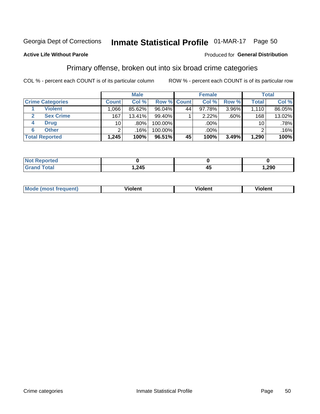## Inmate Statistical Profile 01-MAR-17 Page 50

#### **Active Life Without Parole**

#### **Produced for General Distribution**

### Primary offense, broken out into six broad crime categories

COL % - percent each COUNT is of its particular column

|                         |                 | <b>Male</b> |           |             | <b>Female</b> |          |                 | <b>Total</b> |
|-------------------------|-----------------|-------------|-----------|-------------|---------------|----------|-----------------|--------------|
| <b>Crime Categories</b> | <b>Count</b>    | Col %       |           | Row % Count | Col %         | Row %    | <b>Total</b>    | Col %        |
| <b>Violent</b>          | .066            | 85.62%      | $96.04\%$ | 44          | $97.78\%$     | $3.96\%$ | 1,110           | 86.05%       |
| <b>Sex Crime</b>        | 167             | 13.41%      | 99.40%    |             | 2.22%         | .60%     | 168             | 13.02%       |
| <b>Drug</b><br>4        | 10 <sup>1</sup> | .80%        | 100.00%   |             | .00%          |          | 10 <sup>1</sup> | .78%         |
| <b>Other</b><br>6       | 2               | .16%        | 100.00%   |             | .00%          |          | ົ               | .16%         |
| <b>Total Reported</b>   | 1,245           | 100%        | $96.51\%$ | 45          | 100%          | 3.49%    | 1,290           | 100%         |

| prtea<br><b>NOT REPO</b> |                 |      |  |
|--------------------------|-----------------|------|--|
| <b>Total</b>             | . 245<br>. 2 TV | ,290 |  |

| <b>Mode (most frequent)</b> | <br>'iolent | Violent | --<br><b>Violent</b> |
|-----------------------------|-------------|---------|----------------------|
|                             |             |         |                      |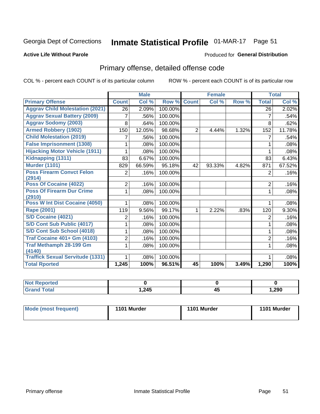## Inmate Statistical Profile 01-MAR-17 Page 51

#### **Active Life Without Parole**

#### **Produced for General Distribution**

## Primary offense, detailed offense code

COL % - percent each COUNT is of its particular column

|                                            |                | <b>Male</b> |         |                | <b>Female</b> |       |                | <b>Total</b> |
|--------------------------------------------|----------------|-------------|---------|----------------|---------------|-------|----------------|--------------|
| <b>Primary Offense</b>                     | <b>Count</b>   | Col %       | Row %   | <b>Count</b>   | Col %         | Row % | <b>Total</b>   | Col %        |
| <b>Aggrav Child Molestation (2021)</b>     | 26             | 2.09%       | 100.00% |                |               |       | 26             | 2.02%        |
| <b>Aggrav Sexual Battery (2009)</b>        | 7              | .56%        | 100.00% |                |               |       | 7              | .54%         |
| <b>Aggrav Sodomy (2003)</b>                | 8              | .64%        | 100.00% |                |               |       | 8              | .62%         |
| <b>Armed Robbery (1902)</b>                | 150            | 12.05%      | 98.68%  | $\overline{2}$ | 4.44%         | 1.32% | 152            | 11.78%       |
| <b>Child Molestation (2019)</b>            |                | .56%        | 100.00% |                |               |       | 7              | .54%         |
| <b>False Imprisonment (1308)</b>           |                | .08%        | 100.00% |                |               |       | 1              | .08%         |
| <b>Hijacking Motor Vehicle (1911)</b>      |                | .08%        | 100.00% |                |               |       |                | .08%         |
| Kidnapping (1311)                          | 83             | 6.67%       | 100.00% |                |               |       | 83             | 6.43%        |
| <b>Murder (1101)</b>                       | 829            | 66.59%      | 95.18%  | 42             | 93.33%        | 4.82% | 871            | 67.52%       |
| <b>Poss Firearm Convct Felon</b>           | $\overline{2}$ | .16%        | 100.00% |                |               |       | 2              | .16%         |
| (2914)                                     |                |             |         |                |               |       |                |              |
| Poss Of Cocaine (4022)                     | $\overline{2}$ | .16%        | 100.00% |                |               |       | $\overline{c}$ | .16%         |
| <b>Poss Of Firearm Dur Crime</b><br>(2910) | 1.             | .08%        | 100.00% |                |               |       | 1              | .08%         |
| <b>Poss W Int Dist Cocaine (4050)</b>      |                | .08%        | 100.00% |                |               |       |                | .08%         |
| <b>Rape (2001)</b>                         | 119            | 9.56%       | 99.17%  |                | 2.22%         | .83%  | 120            | 9.30%        |
| <b>S/D Cocaine (4021)</b>                  | 2              | .16%        | 100.00% |                |               |       | $\overline{2}$ | .16%         |
| S/D Cont Sub Public (4017)                 |                | .08%        | 100.00% |                |               |       | 1              | .08%         |
| S/D Cont Sub School (4018)                 |                | .08%        | 100.00% |                |               |       | 1              | .08%         |
| <b>Traf Cocaine 401+ Gm (4103)</b>         | $\overline{2}$ | .16%        | 100.00% |                |               |       | 2              | .16%         |
| <b>Traf Methamph 28-199 Gm</b>             | 1              | .08%        | 100.00% |                |               |       | 1              | .08%         |
| (4140)                                     |                |             |         |                |               |       |                |              |
| <b>Traffick Sexual Servitude (1331)</b>    |                | .08%        | 100.00% |                |               |       |                | .08%         |
| <b>Total Rported</b>                       | 1,245          | 100%        | 96.51%  | 45             | 100%          | 3.49% | 1,290          | 100%         |

| <b>Reported</b><br><b>NOT</b> |      |            |       |
|-------------------------------|------|------------|-------|
| <b>Fotal</b>                  | .245 | - -<br>ີ່™ | 1,290 |

| Mode (most frequent) | 1101 Murder | 1101 Murder | 1101 Murder |
|----------------------|-------------|-------------|-------------|
|                      |             |             |             |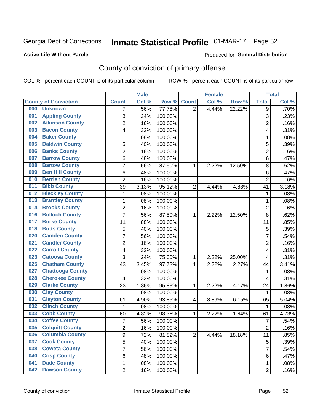## Inmate Statistical Profile 01-MAR-17 Page 52

#### **Active Life Without Parole**

#### Produced for General Distribution

## County of conviction of primary offense

COL % - percent each COUNT is of its particular column

|     |                             |                         | <b>Male</b> |         |                | <b>Female</b> |        |                         | <b>Total</b> |
|-----|-----------------------------|-------------------------|-------------|---------|----------------|---------------|--------|-------------------------|--------------|
|     | <b>County of Conviction</b> | <b>Count</b>            | Col %       | Row %   | <b>Count</b>   | Col %         | Row %  | <b>Total</b>            | Col %        |
| 000 | <b>Unknown</b>              | 7                       | .56%        | 77.78%  | 2              | 4.44%         | 22.22% | 9                       | .70%         |
| 001 | <b>Appling County</b>       | 3                       | .24%        | 100.00% |                |               |        | 3                       | .23%         |
| 002 | <b>Atkinson County</b>      | $\overline{2}$          | .16%        | 100.00% |                |               |        | $\overline{c}$          | .16%         |
| 003 | <b>Bacon County</b>         | 4                       | .32%        | 100.00% |                |               |        | 4                       | .31%         |
| 004 | <b>Baker County</b>         | 1                       | .08%        | 100.00% |                |               |        | 1                       | .08%         |
| 005 | <b>Baldwin County</b>       | 5                       | .40%        | 100.00% |                |               |        | $\overline{5}$          | .39%         |
| 006 | <b>Banks County</b>         | $\overline{2}$          | .16%        | 100.00% |                |               |        | $\overline{2}$          | .16%         |
| 007 | <b>Barrow County</b>        | 6                       | .48%        | 100.00% |                |               |        | $\,6$                   | .47%         |
| 008 | <b>Bartow County</b>        | $\overline{7}$          | .56%        | 87.50%  | 1              | 2.22%         | 12.50% | 8                       | .62%         |
| 009 | <b>Ben Hill County</b>      | $\,6$                   | .48%        | 100.00% |                |               |        | 6                       | .47%         |
| 010 | <b>Berrien County</b>       | $\overline{2}$          | .16%        | 100.00% |                |               |        | $\overline{2}$          | .16%         |
| 011 | <b>Bibb County</b>          | 39                      | 3.13%       | 95.12%  | $\overline{2}$ | 4.44%         | 4.88%  | 41                      | 3.18%        |
| 012 | <b>Bleckley County</b>      | 1                       | .08%        | 100.00% |                |               |        | $\mathbf 1$             | .08%         |
| 013 | <b>Brantley County</b>      | $\mathbf 1$             | .08%        | 100.00% |                |               |        | $\mathbf{1}$            | .08%         |
| 014 | <b>Brooks County</b>        | $\overline{c}$          | .16%        | 100.00% |                |               |        | $\overline{2}$          | .16%         |
| 016 | <b>Bulloch County</b>       | $\overline{7}$          | .56%        | 87.50%  | 1              | 2.22%         | 12.50% | 8                       | .62%         |
| 017 | <b>Burke County</b>         | 11                      | .88%        | 100.00% |                |               |        | 11                      | .85%         |
| 018 | <b>Butts County</b>         | 5                       | .40%        | 100.00% |                |               |        | 5                       | .39%         |
| 020 | <b>Camden County</b>        | $\overline{7}$          | .56%        | 100.00% |                |               |        | $\overline{7}$          | .54%         |
| 021 | <b>Candler County</b>       | $\overline{2}$          | .16%        | 100.00% |                |               |        | $\overline{2}$          | .16%         |
| 022 | <b>Carroll County</b>       | 4                       | .32%        | 100.00% |                |               |        | $\overline{\mathbf{4}}$ | .31%         |
| 023 | <b>Catoosa County</b>       | 3                       | .24%        | 75.00%  | $\mathbf{1}$   | 2.22%         | 25.00% | $\overline{\mathbf{4}}$ | .31%         |
| 025 | <b>Chatham County</b>       | 43                      | 3.45%       | 97.73%  | 1              | 2.22%         | 2.27%  | 44                      | 3.41%        |
| 027 | <b>Chattooga County</b>     | 1                       | .08%        | 100.00% |                |               |        | $\mathbf{1}$            | .08%         |
| 028 | <b>Cherokee County</b>      | 4                       | .32%        | 100.00% |                |               |        | 4                       | .31%         |
| 029 | <b>Clarke County</b>        | 23                      | 1.85%       | 95.83%  | 1              | 2.22%         | 4.17%  | 24                      | 1.86%        |
| 030 | <b>Clay County</b>          | 1                       | .08%        | 100.00% |                |               |        | 1                       | .08%         |
| 031 | <b>Clayton County</b>       | 61                      | 4.90%       | 93.85%  | 4              | 8.89%         | 6.15%  | 65                      | 5.04%        |
| 032 | <b>Clinch County</b>        | 1                       | .08%        | 100.00% |                |               |        | $\mathbf 1$             | .08%         |
| 033 | <b>Cobb County</b>          | 60                      | 4.82%       | 98.36%  | 1              | 2.22%         | 1.64%  | 61                      | 4.73%        |
| 034 | <b>Coffee County</b>        | $\overline{7}$          | .56%        | 100.00% |                |               |        | $\overline{7}$          | .54%         |
| 035 | <b>Colquitt County</b>      | $\overline{\mathbf{c}}$ | .16%        | 100.00% |                |               |        | $\overline{\mathbf{c}}$ | .16%         |
| 036 | <b>Columbia County</b>      | 9                       | .72%        | 81.82%  | $\overline{2}$ | 4.44%         | 18.18% | 11                      | .85%         |
| 037 | <b>Cook County</b>          | $\overline{5}$          | .40%        | 100.00% |                |               |        | 5                       | .39%         |
| 038 | <b>Coweta County</b>        | 7                       | .56%        | 100.00% |                |               |        | $\overline{7}$          | .54%         |
| 040 | <b>Crisp County</b>         | 6                       | .48%        | 100.00% |                |               |        | 6                       | .47%         |
| 041 | <b>Dade County</b>          | 1                       | .08%        | 100.00% |                |               |        | 1                       | .08%         |
| 042 | <b>Dawson County</b>        | $\overline{2}$          | .16%        | 100.00% |                |               |        | $\overline{2}$          | .16%         |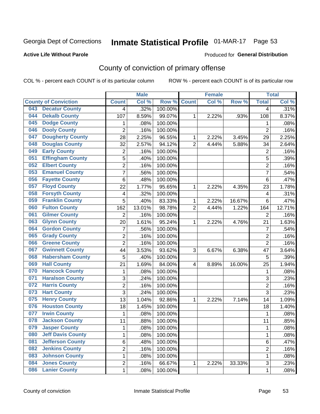## Inmate Statistical Profile 01-MAR-17 Page 53

#### **Active Life Without Parole**

#### Produced for General Distribution

## County of conviction of primary offense

COL % - percent each COUNT is of its particular column

|                             |                          |                         | <b>Male</b> |         |                | <b>Female</b> |        |                | <b>Total</b> |
|-----------------------------|--------------------------|-------------------------|-------------|---------|----------------|---------------|--------|----------------|--------------|
| <b>County of Conviction</b> |                          | <b>Count</b>            | Col %       | Row %   | <b>Count</b>   | Col %         | Row %  | <b>Total</b>   | Col %        |
| 043                         | <b>Decatur County</b>    | 4                       | .32%        | 100.00% |                |               |        | 4              | .31%         |
| 044                         | <b>Dekalb County</b>     | 107                     | 8.59%       | 99.07%  | 1              | 2.22%         | .93%   | 108            | 8.37%        |
| 045                         | <b>Dodge County</b>      | 1                       | .08%        | 100.00% |                |               |        | 1              | .08%         |
| 046                         | <b>Dooly County</b>      | $\overline{2}$          | .16%        | 100.00% |                |               |        | $\overline{2}$ | .16%         |
| 047                         | <b>Dougherty County</b>  | 28                      | 2.25%       | 96.55%  | 1              | 2.22%         | 3.45%  | 29             | 2.25%        |
| 048                         | <b>Douglas County</b>    | 32                      | 2.57%       | 94.12%  | $\overline{2}$ | 4.44%         | 5.88%  | 34             | 2.64%        |
| 049                         | <b>Early County</b>      | $\overline{c}$          | .16%        | 100.00% |                |               |        | $\overline{2}$ | .16%         |
| 051                         | <b>Effingham County</b>  | 5                       | .40%        | 100.00% |                |               |        | 5              | .39%         |
| 052                         | <b>Elbert County</b>     | 2                       | .16%        | 100.00% |                |               |        | $\overline{2}$ | .16%         |
| 053                         | <b>Emanuel County</b>    | $\overline{7}$          | .56%        | 100.00% |                |               |        | 7              | .54%         |
| 056                         | <b>Fayette County</b>    | 6                       | .48%        | 100.00% |                |               |        | 6              | .47%         |
| 057                         | <b>Floyd County</b>      | 22                      | 1.77%       | 95.65%  | 1              | 2.22%         | 4.35%  | 23             | 1.78%        |
| 058                         | <b>Forsyth County</b>    | 4                       | .32%        | 100.00% |                |               |        | 4              | .31%         |
| 059                         | <b>Franklin County</b>   | 5                       | .40%        | 83.33%  | 1              | 2.22%         | 16.67% | 6              | .47%         |
| 060                         | <b>Fulton County</b>     | 162                     | 13.01%      | 98.78%  | $\overline{2}$ | 4.44%         | 1.22%  | 164            | 12.71%       |
| 061                         | <b>Gilmer County</b>     | $\overline{2}$          | .16%        | 100.00% |                |               |        | $\overline{2}$ | .16%         |
| 063                         | <b>Glynn County</b>      | 20                      | 1.61%       | 95.24%  | 1              | 2.22%         | 4.76%  | 21             | 1.63%        |
| 064                         | <b>Gordon County</b>     | 7                       | .56%        | 100.00% |                |               |        | $\overline{7}$ | .54%         |
| 065                         | <b>Grady County</b>      | $\overline{2}$          | .16%        | 100.00% |                |               |        | $\overline{2}$ | .16%         |
| 066                         | <b>Greene County</b>     | $\overline{2}$          | .16%        | 100.00% |                |               |        | $\overline{2}$ | .16%         |
| 067                         | <b>Gwinnett County</b>   | 44                      | 3.53%       | 93.62%  | 3              | 6.67%         | 6.38%  | 47             | 3.64%        |
| 068                         | <b>Habersham County</b>  | 5                       | .40%        | 100.00% |                |               |        | 5              | .39%         |
| 069                         | <b>Hall County</b>       | 21                      | 1.69%       | 84.00%  | 4              | 8.89%         | 16.00% | 25             | 1.94%        |
| 070                         | <b>Hancock County</b>    | 1                       | .08%        | 100.00% |                |               |        | 1              | .08%         |
| 071                         | <b>Haralson County</b>   | 3                       | .24%        | 100.00% |                |               |        | 3              | .23%         |
| 072                         | <b>Harris County</b>     | $\overline{2}$          | .16%        | 100.00% |                |               |        | $\overline{2}$ | .16%         |
| 073                         | <b>Hart County</b>       | 3                       | .24%        | 100.00% |                |               |        | 3              | .23%         |
| 075                         | <b>Henry County</b>      | 13                      | 1.04%       | 92.86%  | 1              | 2.22%         | 7.14%  | 14             | 1.09%        |
| 076                         | <b>Houston County</b>    | 18                      | 1.45%       | 100.00% |                |               |        | 18             | 1.40%        |
| 077                         | <b>Irwin County</b>      | $\mathbf{1}$            | .08%        | 100.00% |                |               |        | $\mathbf{1}$   | .08%         |
| 078                         | <b>Jackson County</b>    | 11                      | .88%        | 100.00% |                |               |        | 11             | .85%         |
| 079                         | <b>Jasper County</b>     | 1                       | .08%        | 100.00% |                |               |        | 1              | .08%         |
| 080                         | <b>Jeff Davis County</b> | 1                       | .08%        | 100.00% |                |               |        | $\mathbf{1}$   | .08%         |
| 081                         | <b>Jefferson County</b>  | 6                       | .48%        | 100.00% |                |               |        | 6              | .47%         |
| 082                         | <b>Jenkins County</b>    | $\overline{\mathbf{c}}$ | .16%        | 100.00% |                |               |        | $\overline{2}$ | .16%         |
| 083                         | <b>Johnson County</b>    | 1                       | .08%        | 100.00% |                |               |        | $\mathbf{1}$   | .08%         |
| 084                         | <b>Jones County</b>      | 2                       | .16%        | 66.67%  | $\mathbf{1}$   | 2.22%         | 33.33% | 3              | .23%         |
| 086                         | <b>Lanier County</b>     | $\mathbf 1$             | .08%        | 100.00% |                |               |        | 1              | .08%         |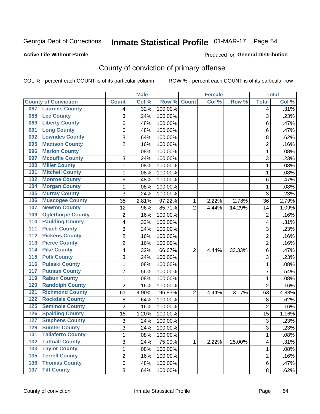## Inmate Statistical Profile 01-MAR-17 Page 54

#### **Active Life Without Parole**

#### **Produced for General Distribution**

## County of conviction of primary offense

COL % - percent each COUNT is of its particular column

|                                            |                | <b>Male</b> |         |                | <b>Female</b> |        |                | <b>Total</b> |
|--------------------------------------------|----------------|-------------|---------|----------------|---------------|--------|----------------|--------------|
| <b>County of Conviction</b>                | <b>Count</b>   | Col %       | Row %   | <b>Count</b>   | Col %         | Row %  | <b>Total</b>   | Col %        |
| <b>Laurens County</b><br>087               | 4              | .32%        | 100.00% |                |               |        | 4              | .31%         |
| <b>Lee County</b><br>088                   | 3              | .24%        | 100.00% |                |               |        | 3              | .23%         |
| <b>Liberty County</b><br>089               | 6              | .48%        | 100.00% |                |               |        | 6              | .47%         |
| <b>Long County</b><br>091                  | 6              | .48%        | 100.00% |                |               |        | 6              | .47%         |
| <b>Lowndes County</b><br>092               | 8              | .64%        | 100.00% |                |               |        | 8              | .62%         |
| <b>Madison County</b><br>095               | $\overline{2}$ | .16%        | 100.00% |                |               |        | $\overline{2}$ | .16%         |
| <b>Marion County</b><br>096                | 1              | .08%        | 100.00% |                |               |        | 1              | .08%         |
| <b>Mcduffie County</b><br>097              | 3              | .24%        | 100.00% |                |               |        | 3              | .23%         |
| <b>Miller County</b><br>100                | 1              | .08%        | 100.00% |                |               |        | 1              | .08%         |
| <b>Mitchell County</b><br>101              | 1              | .08%        | 100.00% |                |               |        | 1              | .08%         |
| <b>Monroe County</b><br>102                | 6              | .48%        | 100.00% |                |               |        | 6              | .47%         |
| <b>Morgan County</b><br>104                | 1              | .08%        | 100.00% |                |               |        | 1              | .08%         |
| <b>Murray County</b><br>105                | 3              | .24%        | 100.00% |                |               |        | 3              | .23%         |
| <b>Muscogee County</b><br>106              | 35             | 2.81%       | 97.22%  | 1              | 2.22%         | 2.78%  | 36             | 2.79%        |
| <b>Newton County</b><br>107                | 12             | .96%        | 85.71%  | $\overline{2}$ | 4.44%         | 14.29% | 14             | 1.09%        |
| <b>Oglethorpe County</b><br>109            | $\overline{2}$ | .16%        | 100.00% |                |               |        | $\overline{2}$ | .16%         |
| <b>Paulding County</b><br>110              | 4              | .32%        | 100.00% |                |               |        | 4              | .31%         |
| <b>Peach County</b><br>111                 | 3              | .24%        | 100.00% |                |               |        | 3              | .23%         |
| <b>Pickens County</b><br>$\overline{112}$  | $\overline{2}$ | .16%        | 100.00% |                |               |        | $\overline{2}$ | .16%         |
| <b>Pierce County</b><br>113                | $\overline{2}$ | .16%        | 100.00% |                |               |        | $\overline{2}$ | .16%         |
| <b>Pike County</b><br>114                  | 4              | .32%        | 66.67%  | $\overline{2}$ | 4.44%         | 33.33% | 6              | .47%         |
| <b>Polk County</b><br>115                  | 3              | .24%        | 100.00% |                |               |        | 3              | .23%         |
| <b>Pulaski County</b><br>$\overline{116}$  | 1              | .08%        | 100.00% |                |               |        | $\mathbf{1}$   | .08%         |
| <b>Putnam County</b><br>117                | $\overline{7}$ | .56%        | 100.00% |                |               |        | $\overline{7}$ | .54%         |
| <b>Rabun County</b><br>119                 | 1              | .08%        | 100.00% |                |               |        | 1              | .08%         |
| <b>Randolph County</b><br>120              | $\overline{2}$ | .16%        | 100.00% |                |               |        | $\overline{2}$ | .16%         |
| <b>Richmond County</b><br>$\overline{121}$ | 61             | 4.90%       | 96.83%  | $\overline{2}$ | 4.44%         | 3.17%  | 63             | 4.88%        |
| <b>Rockdale County</b><br>122              | 8              | .64%        | 100.00% |                |               |        | 8              | .62%         |
| <b>Seminole County</b><br>125              | $\overline{2}$ | .16%        | 100.00% |                |               |        | 2              | .16%         |
| <b>Spalding County</b><br>126              | 15             | 1.20%       | 100.00% |                |               |        | 15             | 1.16%        |
| <b>Stephens County</b><br>127              | 3              | .24%        | 100.00% |                |               |        | 3              | .23%         |
| <b>Sumter County</b><br>129                | $\overline{3}$ | .24%        | 100.00% |                |               |        | 3              | .23%         |
| <b>Taliaferro County</b><br>131            | 1              | .08%        | 100.00% |                |               |        | $\mathbf{1}$   | .08%         |
| $\overline{132}$<br><b>Tattnall County</b> | 3              | .24%        | 75.00%  | 1              | 2.22%         | 25.00% | 4              | .31%         |
| <b>Taylor County</b><br>133                | 1              | .08%        | 100.00% |                |               |        | 1              | .08%         |
| <b>Terrell County</b><br>135               | $\overline{2}$ | .16%        | 100.00% |                |               |        | $\overline{2}$ | .16%         |
| <b>136 Thomas County</b>                   | 6              | .48%        | 100.00% |                |               |        | 6              | .47%         |
| 137 Tift County                            | 8              | .64%        | 100.00% |                |               |        | 8              | .62%         |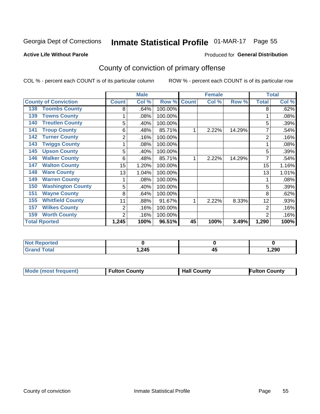## Inmate Statistical Profile 01-MAR-17 Page 55

#### **Active Life Without Parole**

#### **Produced for General Distribution**

## County of conviction of primary offense

COL % - percent each COUNT is of its particular column

|                                 |              | <b>Male</b> |         |              | <b>Female</b> |        |                | <b>Total</b> |
|---------------------------------|--------------|-------------|---------|--------------|---------------|--------|----------------|--------------|
| <b>County of Conviction</b>     | <b>Count</b> | Col %       | Row %   | <b>Count</b> | Col %         | Row %  | <b>Total</b>   | Col %        |
| <b>Toombs County</b><br>138     | 8            | .64%        | 100.00% |              |               |        | 8              | .62%         |
| <b>Towns County</b><br>139      |              | .08%        | 100.00% |              |               |        |                | .08%         |
| <b>Treutlen County</b><br>140   | 5            | .40%        | 100.00% |              |               |        | 5              | .39%         |
| <b>Troup County</b><br>141      | 6            | .48%        | 85.71%  |              | 2.22%         | 14.29% | 7              | .54%         |
| <b>Turner County</b><br>142     | 2            | .16%        | 100.00% |              |               |        | 2              | .16%         |
| <b>Twiggs County</b><br>143     |              | .08%        | 100.00% |              |               |        |                | .08%         |
| <b>Upson County</b><br>145      | 5            | .40%        | 100.00% |              |               |        | 5              | .39%         |
| <b>Walker County</b><br>146     | 6            | .48%        | 85.71%  |              | 2.22%         | 14.29% | 7              | .54%         |
| <b>Walton County</b><br>147     | 15           | 1.20%       | 100.00% |              |               |        | 15             | 1.16%        |
| <b>Ware County</b><br>148       | 13           | 1.04%       | 100.00% |              |               |        | 13             | 1.01%        |
| <b>Warren County</b><br>149     |              | .08%        | 100.00% |              |               |        |                | .08%         |
| <b>Washington County</b><br>150 | 5            | .40%        | 100.00% |              |               |        | 5              | .39%         |
| <b>Wayne County</b><br>151      | 8            | .64%        | 100.00% |              |               |        | 8              | .62%         |
| <b>Whitfield County</b><br>155  | 11           | .88%        | 91.67%  |              | 2.22%         | 8.33%  | 12             | .93%         |
| <b>Wilkes County</b><br>157     | 2            | .16%        | 100.00% |              |               |        | $\overline{2}$ | .16%         |
| <b>Worth County</b><br>159      | 2            | .16%        | 100.00% |              |               |        | $\overline{2}$ | .16%         |
| <b>Total Rported</b>            | 1,245        | 100%        | 96.51%  | 45           | 100%          | 3.49%  | 1,290          | 100%         |

| <b>Not Reported</b> |        |    |       |
|---------------------|--------|----|-------|
| <b>Total</b>        | .245.، | 4. | .290. |

| <b>Mode (most frequent)</b> | <b>Fulton County</b> | <b>Hall County</b> | Fulton County |
|-----------------------------|----------------------|--------------------|---------------|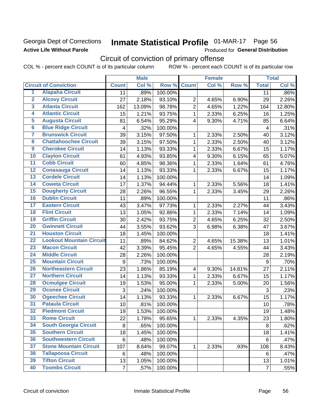### Georgia Dept of Corrections **Active Life Without Parole**

## Inmate Statistical Profile 01-MAR-17 Page 56

Produced for General Distribution

## Circuit of conviction of primary offense

COL % - percent each COUNT is of its particular column ROW % - percent each COUNT is of its particular row

|                         |                                 | <b>Male</b>      |        | <b>Female</b> |                |       | <b>Total</b> |                  |        |
|-------------------------|---------------------------------|------------------|--------|---------------|----------------|-------|--------------|------------------|--------|
|                         | <b>Circuit of Conviction</b>    | <b>Count</b>     | Col %  | Row %         | <b>Count</b>   | Col % | Row %        | <b>Total</b>     | Col %  |
| 1                       | <b>Alapaha Circuit</b>          | 11               | .89%   | 100.00%       |                |       |              | 11               | .86%   |
| $\overline{2}$          | <b>Alcovy Circuit</b>           | 27               | 2.18%  | 93.10%        | $\overline{2}$ | 4.65% | 6.90%        | 29               | 2.26%  |
| $\overline{\mathbf{3}}$ | <b>Atlanta Circuit</b>          | 162              | 13.09% | 98.78%        | $\overline{2}$ | 4.65% | 1.22%        | 164              | 12.80% |
| 4                       | <b>Atlantic Circuit</b>         | 15               | 1.21%  | 93.75%        | 1              | 2.33% | 6.25%        | 16               | 1.25%  |
| 5                       | <b>Augusta Circuit</b>          | 81               | 6.54%  | 95.29%        | $\overline{4}$ | 9.30% | 4.71%        | 85               | 6.64%  |
| $\overline{6}$          | <b>Blue Ridge Circuit</b>       | 4                | .32%   | 100.00%       |                |       |              | 4                | .31%   |
| 7                       | <b>Brunswick Circuit</b>        | 39               | 3.15%  | 97.50%        | 1              | 2.33% | 2.50%        | 40               | 3.12%  |
| 8                       | <b>Chattahoochee Circuit</b>    | 39               | 3.15%  | 97.50%        | 1              | 2.33% | 2.50%        | 40               | 3.12%  |
| $\overline{9}$          | <b>Cherokee Circuit</b>         | 14               | 1.13%  | 93.33%        | 1              | 2.33% | 6.67%        | 15               | 1.17%  |
| 10                      | <b>Clayton Circuit</b>          | 61               | 4.93%  | 93.85%        | 4              | 9.30% | 6.15%        | 65               | 5.07%  |
| $\overline{11}$         | <b>Cobb Circuit</b>             | 60               | 4.85%  | 98.36%        | 1              | 2.33% | 1.64%        | 61               | 4.76%  |
| $\overline{12}$         | <b>Conasauga Circuit</b>        | 14               | 1.13%  | 93.33%        | 1              | 2.33% | 6.67%        | 15               | 1.17%  |
| $\overline{13}$         | <b>Cordele Circuit</b>          | 14               | 1.13%  | 100.00%       |                |       |              | 14               | 1.09%  |
| $\overline{14}$         | <b>Coweta Circuit</b>           | 17               | 1.37%  | 94.44%        | 1              | 2.33% | 5.56%        | 18               | 1.41%  |
| $\overline{15}$         | <b>Dougherty Circuit</b>        | 28               | 2.26%  | 96.55%        | $\mathbf{1}$   | 2.33% | 3.45%        | 29               | 2.26%  |
| 16                      | <b>Dublin Circuit</b>           | 11               | .89%   | 100.00%       |                |       |              | 11               | .86%   |
| 17                      | <b>Eastern Circuit</b>          | 43               | 3.47%  | 97.73%        | 1              | 2.33% | 2.27%        | 44               | 3.43%  |
| 18                      | <b>Flint Circuit</b>            | 13               | 1.05%  | 92.86%        | 1              | 2.33% | 7.14%        | 14               | 1.09%  |
| 19                      | <b>Griffin Circuit</b>          | 30               | 2.42%  | 93.75%        | $\overline{2}$ | 4.65% | 6.25%        | 32               | 2.50%  |
| $\overline{20}$         | <b>Gwinnett Circuit</b>         | 44               | 3.55%  | 93.62%        | 3              | 6.98% | 6.38%        | 47               | 3.67%  |
| $\overline{21}$         | <b>Houston Circuit</b>          | 18               | 1.45%  | 100.00%       |                |       |              | 18               | 1.41%  |
| $\overline{22}$         | <b>Lookout Mountain Circuit</b> | 11               | .89%   | 84.62%        | $\overline{2}$ | 4.65% | 15.38%       | 13               | 1.01%  |
| 23                      | <b>Macon Circuit</b>            | 42               | 3.39%  | 95.45%        | $\overline{2}$ | 4.65% | 4.55%        | 44               | 3.43%  |
| $\overline{24}$         | <b>Middle Circuit</b>           | 28               | 2.26%  | 100.00%       |                |       |              | 28               | 2.19%  |
| $\overline{25}$         | <b>Mountain Circuit</b>         | $\boldsymbol{9}$ | .73%   | 100.00%       |                |       |              | $\boldsymbol{9}$ | .70%   |
| 26                      | <b>Northeastern Circuit</b>     | 23               | 1.86%  | 85.19%        | 4              | 9.30% | 14.81%       | 27               | 2.11%  |
| $\overline{27}$         | <b>Northern Circuit</b>         | 14               | 1.13%  | 93.33%        | 1              | 2.33% | 6.67%        | 15               | 1.17%  |
| 28                      | <b>Ocmulgee Circuit</b>         | 19               | 1.53%  | 95.00%        | 1              | 2.33% | 5.00%        | 20               | 1.56%  |
| 29                      | <b>Oconee Circuit</b>           | 3                | .24%   | 100.00%       |                |       |              | 3                | .23%   |
| 30                      | <b>Ogeechee Circuit</b>         | 14               | 1.13%  | 93.33%        | 1              | 2.33% | 6.67%        | 15               | 1.17%  |
| $\overline{31}$         | <b>Pataula Circuit</b>          | 10               | .81%   | 100.00%       |                |       |              | 10               | .78%   |
| 32                      | <b>Piedmont Circuit</b>         | 19               | 1.53%  | 100.00%       |                |       |              | 19               | 1.48%  |
| 33                      | <b>Rome Circuit</b>             | 22               | 1.78%  | 95.65%        | $\mathbf{1}$   | 2.33% | 4.35%        | 23               | 1.80%  |
| 34                      | <b>South Georgia Circuit</b>    | 8                | .65%   | 100.00%       |                |       |              | 8                | .62%   |
| 35                      | <b>Southern Circuit</b>         | 18               | 1.45%  | 100.00%       |                |       |              | 18               | 1.41%  |
| 36                      | <b>Southwestern Circuit</b>     | 6                | .48%   | 100.00%       |                |       |              | 6                | .47%   |
| 37                      | <b>Stone Mountain Circuit</b>   | 107              | 8.64%  | 99.07%        | 1              | 2.33% | .93%         | 108              | 8.43%  |
| 38                      | <b>Tallapoosa Circuit</b>       | 6                | .48%   | 100.00%       |                |       |              | 6                | .47%   |
| 39                      | <b>Tifton Circuit</b>           | 13               | 1.05%  | 100.00%       |                |       |              | 13               | 1.01%  |
| 40                      | <b>Toombs Circuit</b>           | $\overline{7}$   | .57%   | 100.00%       |                |       |              | $\overline{7}$   | .55%   |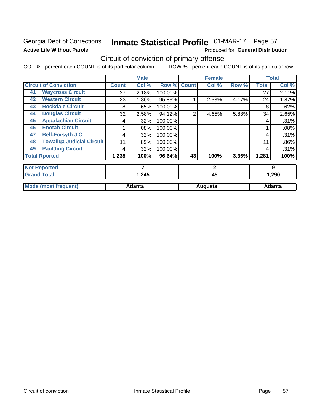### Georgia Dept of Corrections **Active Life Without Parole**

## Inmate Statistical Profile 01-MAR-17 Page 57

Produced for General Distribution

## Circuit of conviction of primary offense

COL % - percent each COUNT is of its particular column ROW % - percent each COUNT is of its particular row

|    |                                  |       | <b>Male</b>    |         |                | <b>Female</b> |       |              | <b>Total</b>   |
|----|----------------------------------|-------|----------------|---------|----------------|---------------|-------|--------------|----------------|
|    | <b>Circuit of Conviction</b>     | Count | Col %          | Row %   | <b>Count</b>   | Col %         | Row % | <b>Total</b> | Col %          |
| 41 | <b>Waycross Circuit</b>          | 27    | 2.18%          | 100.00% |                |               |       | 27           | 2.11%          |
| 42 | <b>Western Circuit</b>           | 23    | $1.86\%$       | 95.83%  |                | 2.33%         | 4.17% | 24           | 1.87%          |
| 43 | <b>Rockdale Circuit</b>          | 8     | .65%           | 100.00% |                |               |       | 8            | .62%           |
| 44 | <b>Douglas Circuit</b>           | 32    | 2.58%          | 94.12%  | $\overline{2}$ | 4.65%         | 5.88% | 34           | 2.65%          |
| 45 | <b>Appalachian Circuit</b>       | 4     | .32%           | 100.00% |                |               |       | 4            | .31%           |
| 46 | <b>Enotah Circuit</b>            |       | .08%           | 100.00% |                |               |       |              | .08%           |
| 47 | <b>Bell-Forsyth J.C.</b>         | 4     | .32%           | 100.00% |                |               |       | 4            | .31%           |
| 48 | <b>Towaliga Judicial Circuit</b> | 11    | .89%           | 100.00% |                |               |       | 11           | .86%           |
| 49 | <b>Paulding Circuit</b>          | 4     | .32%           | 100.00% |                |               |       | 4            | .31%           |
|    | <b>Total Rported</b>             | 1,238 | 100%           | 96.64%  | 43             | 100%          | 3.36% | 1,281        | 100%           |
|    | <b>Not Reported</b>              |       | $\overline{7}$ |         |                | $\mathbf{2}$  |       |              | 9              |
|    | <b>Grand Total</b>               |       | 1,245          |         |                | 45            |       |              | 1,290          |
|    | <b>Mode (most frequent)</b>      |       | <b>Atlanta</b> |         |                | Augusta       |       |              | <b>Atlanta</b> |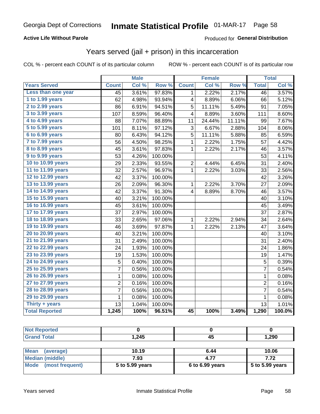#### **Active Life Without Parole**

#### Produced for General Distribution

## Years served (jail + prison) in this incarceration

COL % - percent each COUNT is of its particular column

|                        |                | <b>Male</b> |                  |                | <b>Female</b> |        |                | <b>Total</b> |
|------------------------|----------------|-------------|------------------|----------------|---------------|--------|----------------|--------------|
| <b>Years Served</b>    | <b>Count</b>   | Col %       | Row <sup>%</sup> | <b>Count</b>   | Col %         | Row %  | <b>Total</b>   | Col %        |
| Less than one year     | 45             | 3.61%       | 97.83%           | 1              | 2.22%         | 2.17%  | 46             | 3.57%        |
| 1 to 1.99 years        | 62             | 4.98%       | 93.94%           | 4              | 8.89%         | 6.06%  | 66             | 5.12%        |
| 2 to 2.99 years        | 86             | 6.91%       | 94.51%           | 5              | 11.11%        | 5.49%  | 91             | 7.05%        |
| 3 to 3.99 years        | 107            | 8.59%       | 96.40%           | 4              | 8.89%         | 3.60%  | 111            | 8.60%        |
| 4 to 4.99 years        | 88             | 7.07%       | 88.89%           | 11             | 24.44%        | 11.11% | 99             | 7.67%        |
| 5 to 5.99 years        | 101            | 8.11%       | 97.12%           | 3              | 6.67%         | 2.88%  | 104            | 8.06%        |
| 6 to 6.99 years        | 80             | 6.43%       | 94.12%           | 5              | 11.11%        | 5.88%  | 85             | 6.59%        |
| 7 to 7.99 years        | 56             | 4.50%       | 98.25%           | 1              | 2.22%         | 1.75%  | 57             | 4.42%        |
| <b>8 to 8.99 years</b> | 45             | 3.61%       | 97.83%           | 1              | 2.22%         | 2.17%  | 46             | 3.57%        |
| 9 to 9.99 years        | 53             | 4.26%       | 100.00%          |                |               |        | 53             | 4.11%        |
| 10 to 10.99 years      | 29             | 2.33%       | 93.55%           | $\overline{c}$ | 4.44%         | 6.45%  | 31             | 2.40%        |
| 11 to 11.99 years      | 32             | 2.57%       | 96.97%           | 1              | 2.22%         | 3.03%  | 33             | 2.56%        |
| 12 to 12.99 years      | 42             | 3.37%       | 100.00%          |                |               |        | 42             | 3.26%        |
| 13 to 13.99 years      | 26             | 2.09%       | 96.30%           | $\mathbf{1}$   | 2.22%         | 3.70%  | 27             | 2.09%        |
| 14 to 14.99 years      | 42             | 3.37%       | 91.30%           | 4              | 8.89%         | 8.70%  | 46             | 3.57%        |
| 15 to 15.99 years      | 40             | 3.21%       | 100.00%          |                |               |        | 40             | 3.10%        |
| 16 to 16.99 years      | 45             | 3.61%       | 100.00%          |                |               |        | 45             | 3.49%        |
| 17 to 17.99 years      | 37             | 2.97%       | 100.00%          |                |               |        | 37             | 2.87%        |
| 18 to 18.99 years      | 33             | 2.65%       | 97.06%           | $\mathbf 1$    | 2.22%         | 2.94%  | 34             | 2.64%        |
| 19 to 19.99 years      | 46             | 3.69%       | 97.87%           | 1              | 2.22%         | 2.13%  | 47             | 3.64%        |
| 20 to 20.99 years      | 40             | 3.21%       | 100.00%          |                |               |        | 40             | 3.10%        |
| 21 to 21.99 years      | 31             | 2.49%       | 100.00%          |                |               |        | 31             | 2.40%        |
| 22 to 22.99 years      | 24             | 1.93%       | 100.00%          |                |               |        | 24             | 1.86%        |
| 23 to 23.99 years      | 19             | 1.53%       | 100.00%          |                |               |        | 19             | 1.47%        |
| 24 to 24.99 years      | 5              | 0.40%       | 100.00%          |                |               |        | 5              | 0.39%        |
| 25 to 25.99 years      | $\overline{7}$ | 0.56%       | 100.00%          |                |               |        | $\overline{7}$ | 0.54%        |
| 26 to 26.99 years      | $\mathbf{1}$   | 0.08%       | 100.00%          |                |               |        | 1              | 0.08%        |
| 27 to 27.99 years      | $\overline{2}$ | 0.16%       | 100.00%          |                |               |        | $\overline{2}$ | 0.16%        |
| 28 to 28.99 years      | 7              | 0.56%       | 100.00%          |                |               |        | 7              | 0.54%        |
| 29 to 29.99 years      | 1              | 0.08%       | 100.00%          |                |               |        | $\mathbf{1}$   | 0.08%        |
| Thirty + years         | 13             | 1.04%       | 100.00%          |                |               |        | 13             | 1.01%        |
| <b>Total Reported</b>  | 1,245          | 100%        | 96.51%           | 45             | 100%          | 3.49%  | 1,290          | 100.0%       |

| <b>Not Reported</b> |       |           |       |
|---------------------|-------|-----------|-------|
| <b>Grand Total</b>  | 1,245 | . .<br>45 | 1,290 |
|                     |       |           |       |

| Mean<br>(average)    | 10.19           | 6.44              | 10.06             |
|----------------------|-----------------|-------------------|-------------------|
| Median (middle)      | 7.93            | 4.77              | 7.72              |
| Mode (most frequent) | 5 to 5.99 years | $6$ to 6.99 years | $5$ to 5.99 years |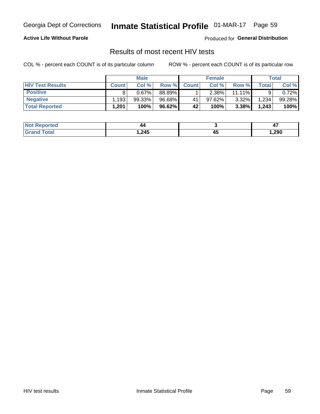## Inmate Statistical Profile 01-MAR-17 Page 59

#### **Active Life Without Parole**

Produced for General Distribution

### Results of most recent HIV tests

COL % - percent each COUNT is of its particular column

|                         | <b>Male</b>  |        |        | <b>Female</b> |          |           | Total       |        |
|-------------------------|--------------|--------|--------|---------------|----------|-----------|-------------|--------|
| <b>HIV Test Results</b> | <b>Count</b> | Col%   | Row %I | <b>Count</b>  | Col %    | Row %     | $\tau$ otal | Col %  |
| <b>Positive</b>         |              | 0.67%  | 88.89% |               | $2.38\%$ | $11.11\%$ |             | 0.72%  |
| <b>Negative</b>         | .193         | 99.33% | 96.68% | 41            | 97.62%   | $3.32\%$  | 1,234       | 99.28% |
| <b>Total Reported</b>   | .201.        | 100%   | 96.62% | 42            | 100%     | 3.38%     | 1,243       | 100%   |

| <b>Not Reported</b> | . .  |             | . .  |
|---------------------|------|-------------|------|
| Total               | ,245 | ᠇<br>$\sim$ | ,290 |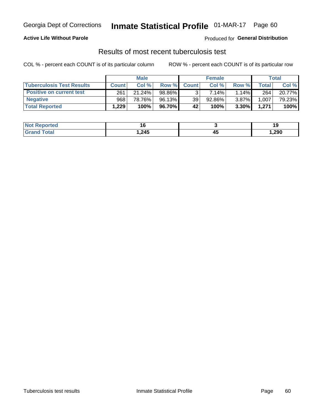## Georgia Dept of Corrections **Inmate Statistical Profile** 01-MAR-17 Page 60

#### **Active Life Without Parole**

Produced for **General Distribution**

### Results of most recent tuberculosis test

COL % - percent each COUNT is of its particular column ROW % - percent each COUNT is of its particular row

|                                  | <b>Male</b>  |        |        | <b>Female</b> |        |          | Total        |        |
|----------------------------------|--------------|--------|--------|---------------|--------|----------|--------------|--------|
| <b>Tuberculosis Test Results</b> | <b>Count</b> | Col%   | Row %I | <b>Count</b>  | Col %  | Row %I   | <b>Total</b> | Col %  |
| <b>Positive on current test</b>  | 261          | 21.24% | 98.86% |               | 7.14%  | $1.14\%$ | 264          | 20.77% |
| <b>Negative</b>                  | 968          | 78.76% | 96.13% | 39            | 92.86% | 3.87%    | 1,007        | 79.23% |
| <b>Total Reported</b>            | .229         | 100%   | 96.70% | 42            | 100%   | $3.30\%$ | 1,271        | 100%   |

| <b>Not Reported</b>           | . w    |              | 10.   |
|-------------------------------|--------|--------------|-------|
| <b>Total</b><br>$C$ ro $\sim$ | 245, ا | ᠇֊<br>$\sim$ | 1,290 |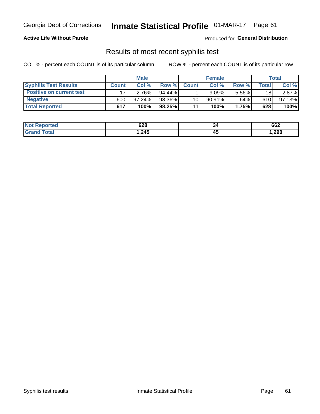## Georgia Dept of Corrections **Inmate Statistical Profile** 01-MAR-17 Page 61

#### **Active Life Without Parole**

Produced for **General Distribution**

### Results of most recent syphilis test

COL % - percent each COUNT is of its particular column ROW % - percent each COUNT is of its particular row

|                                 | <b>Male</b>  |           |           | <b>Female</b> |           |          | Total           |        |
|---------------------------------|--------------|-----------|-----------|---------------|-----------|----------|-----------------|--------|
| <b>Syphilis Test Results</b>    | <b>Count</b> | Col%      | Row %I    | <b>Count</b>  | Col %     | Row %    | Total           | Col %  |
| <b>Positive on current test</b> |              | 2.76%     | $94.44\%$ |               | 9.09%     | $5.56\%$ | 18 <sub>1</sub> | 2.87%  |
| <b>Negative</b>                 | 600          | $97.24\%$ | 98.36%    | 10            | $90.91\%$ | 1.64%    | 610             | 97.13% |
| <b>Total Reported</b>           | 617          | 100%      | 98.25%    | 11            | 100%      | 1.75%    | 628             | 100%   |

| <b>Not Reported</b> | 628    | 34 | 662    |
|---------------------|--------|----|--------|
| <b>Total</b>        | 245, ا | ∼  | 290, ا |